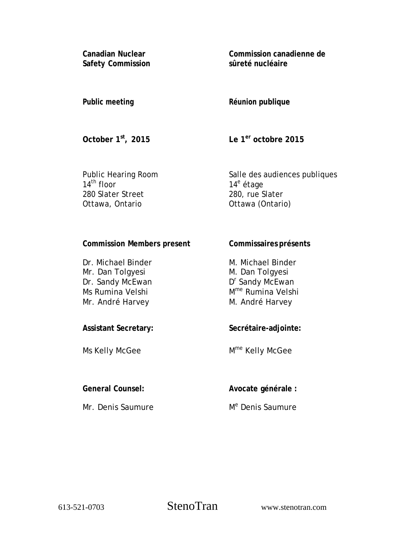**Canadian Nuclear Safety Commission**  **Commission canadienne de sûreté nucléaire** 

# **Public meeting**

# **Réunion publique**

**October 1st, 2015** 

**Le 1er octobre 2015** 

Public Hearing Room  $14^{\text{th}}$  floor 280 Slater Street Ottawa, Ontario

Salle des audiences publiques 14<sup>e</sup> étage 280, rue Slater Ottawa (Ontario)

## **Commission Members present**

Dr. Michael Binder Mr. Dan Tolgyesi Dr. Sandy McEwan Ms Rumina Velshi Mr. André Harvey

**Secrétaire-adjointe:** 

Mme Kelly McGee

**Commissaires présents** 

M. Michael Binder M. Dan Tolgyesi D<sup>r</sup> Sandy McEwan Mme Rumina Velshi M. André Harvey

Ms Kelly McGee

**Assistant Secretary:** 

Mr. Denis Saumure

**General Counsel:** 

**Avocate générale :** 

M<sup>e</sup> Denis Saumure

613-521-0703 StenoTran www.stenotran.com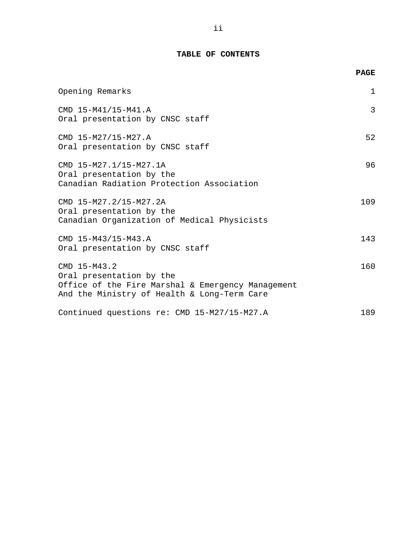### **TABLE OF CONTENTS**

|                                                                                                                                              | <b>PAGE</b>  |
|----------------------------------------------------------------------------------------------------------------------------------------------|--------------|
| Opening Remarks                                                                                                                              | $\mathbf{1}$ |
| CMD 15-M41/15-M41.A<br>Oral presentation by CNSC staff                                                                                       | 3            |
| CMD 15-M27/15-M27.A<br>Oral presentation by CNSC staff                                                                                       | 52           |
| CMD 15-M27.1/15-M27.1A<br>Oral presentation by the<br>Canadian Radiation Protection Association                                              | 96           |
| CMD 15-M27.2/15-M27.2A<br>Oral presentation by the<br>Canadian Organization of Medical Physicists                                            | 109          |
| CMD 15-M43/15-M43.A<br>Oral presentation by CNSC staff                                                                                       | 143          |
| CMD 15-M43.2<br>Oral presentation by the<br>Office of the Fire Marshal & Emergency Management<br>And the Ministry of Health & Long-Term Care | 160          |
| Continued questions re: CMD 15-M27/15-M27.A                                                                                                  | 189          |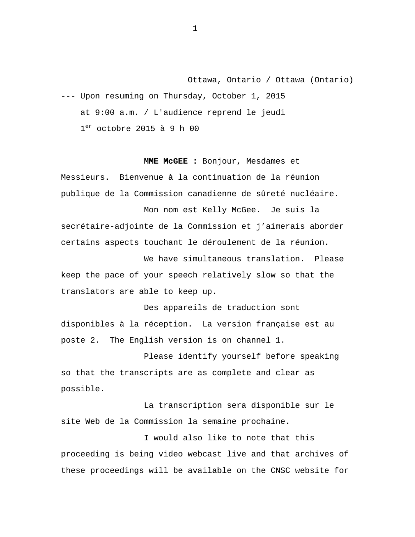<span id="page-2-0"></span>Ottawa, Ontario / Ottawa (Ontario) --- Upon resuming on Thursday, October 1, 2015 at 9:00 a.m. / L'audience reprend le jeudi  $1<sup>er</sup>$  octobre 2015 à 9 h 00

**MME McGEE :** Bonjour, Mesdames et

Messieurs. Bienvenue à la continuation de la réunion publique de la Commission canadienne de sûreté nucléaire.

Mon nom est Kelly McGee. Je suis la secrétaire-adjointe de la Commission et j'aimerais aborder certains aspects touchant le déroulement de la réunion.

We have simultaneous translation. Please keep the pace of your speech relatively slow so that the translators are able to keep up.

Des appareils de traduction sont disponibles à la réception. La version française est au poste 2. The English version is on channel 1.

Please identify yourself before speaking so that the transcripts are as complete and clear as possible.

La transcription sera disponible sur le site Web de la Commission la semaine prochaine.

I would also like to note that this proceeding is being video webcast live and that archives of these proceedings will be available on the CNSC website for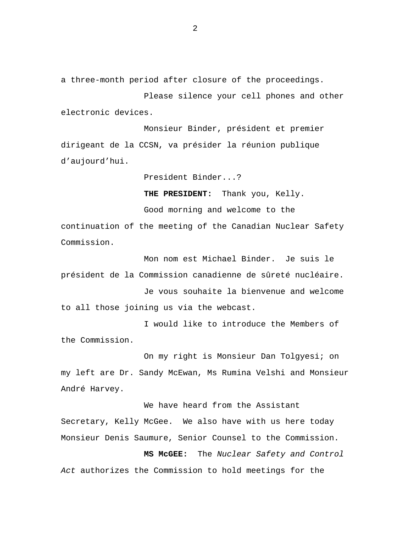a three-month period after closure of the proceedings.

Please silence your cell phones and other electronic devices.

Monsieur Binder, président et premier dirigeant de la CCSN, va présider la réunion publique d'aujourd'hui.

President Binder...?

**THE PRESIDENT:** Thank you, Kelly.

Good morning and welcome to the continuation of the meeting of the Canadian Nuclear Safety Commission.

Mon nom est Michael Binder. Je suis le président de la Commission canadienne de sûreté nucléaire.

Je vous souhaite la bienvenue and welcome to all those joining us via the webcast.

I would like to introduce the Members of the Commission.

On my right is Monsieur Dan Tolgyesi; on my left are Dr. Sandy McEwan, Ms Rumina Velshi and Monsieur André Harvey.

We have heard from the Assistant Secretary, Kelly McGee. We also have with us here today Monsieur Denis Saumure, Senior Counsel to the Commission.

**MS McGEE:** The *Nuclear Safety and Control Act* authorizes the Commission to hold meetings for the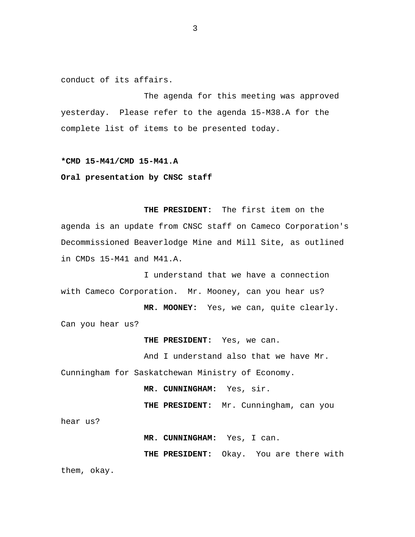<span id="page-4-0"></span>conduct of its affairs.

The agenda for this meeting was approved yesterday. Please refer to the agenda 15-M38.A for the complete list of items to be presented today.

#### **\*CMD 15-M41/CMD 15-M41.A**

#### **Oral presentation by CNSC staff**

**THE PRESIDENT:** The first item on the agenda is an update from CNSC staff on Cameco Corporation's Decommissioned Beaverlodge Mine and Mill Site, as outlined in CMDs 15-M41 and M41.A.

I understand that we have a connection with Cameco Corporation. Mr. Mooney, can you hear us?

**MR. MOONEY:** Yes, we can, quite clearly. Can you hear us?

**THE PRESIDENT:** Yes, we can.

And I understand also that we have Mr. Cunningham for Saskatchewan Ministry of Economy.

**MR. CUNNINGHAM:** Yes, sir.

**THE PRESIDENT:** Mr. Cunningham, can you

hear us?

**MR. CUNNINGHAM:** Yes, I can.

**THE PRESIDENT:** Okay. You are there with them, okay.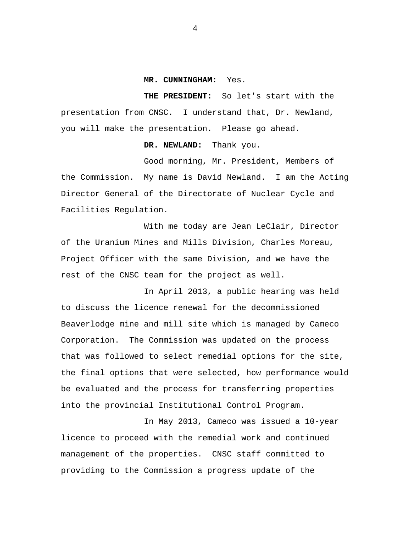#### **MR. CUNNINGHAM:** Yes.

**THE PRESIDENT:** So let's start with the presentation from CNSC. I understand that, Dr. Newland, you will make the presentation. Please go ahead.

#### **DR. NEWLAND:** Thank you.

Good morning, Mr. President, Members of the Commission. My name is David Newland. I am the Acting Director General of the Directorate of Nuclear Cycle and Facilities Regulation.

With me today are Jean LeClair, Director of the Uranium Mines and Mills Division, Charles Moreau, Project Officer with the same Division, and we have the rest of the CNSC team for the project as well.

In April 2013, a public hearing was held to discuss the licence renewal for the decommissioned Beaverlodge mine and mill site which is managed by Cameco Corporation. The Commission was updated on the process that was followed to select remedial options for the site, the final options that were selected, how performance would be evaluated and the process for transferring properties into the provincial Institutional Control Program.

In May 2013, Cameco was issued a 10-year licence to proceed with the remedial work and continued management of the properties. CNSC staff committed to providing to the Commission a progress update of the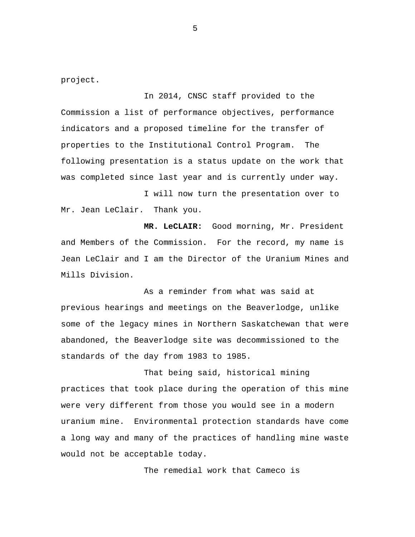project.

In 2014, CNSC staff provided to the Commission a list of performance objectives, performance indicators and a proposed timeline for the transfer of properties to the Institutional Control Program. The following presentation is a status update on the work that was completed since last year and is currently under way.

I will now turn the presentation over to Mr. Jean LeClair. Thank you.

 **MR. LeCLAIR:** Good morning, Mr. President and Members of the Commission. For the record, my name is Jean LeClair and I am the Director of the Uranium Mines and Mills Division.

As a reminder from what was said at previous hearings and meetings on the Beaverlodge, unlike some of the legacy mines in Northern Saskatchewan that were abandoned, the Beaverlodge site was decommissioned to the standards of the day from 1983 to 1985.

That being said, historical mining practices that took place during the operation of this mine were very different from those you would see in a modern uranium mine. Environmental protection standards have come a long way and many of the practices of handling mine waste would not be acceptable today.

The remedial work that Cameco is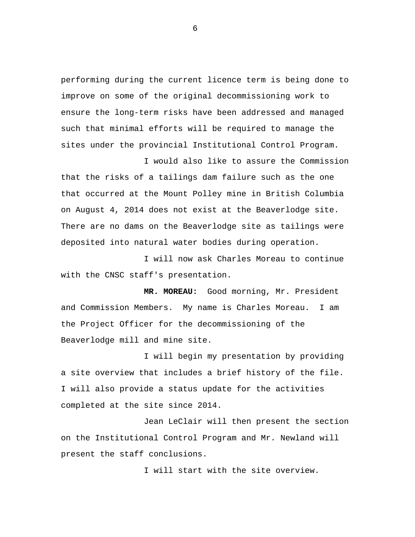performing during the current licence term is being done to improve on some of the original decommissioning work to ensure the long-term risks have been addressed and managed such that minimal efforts will be required to manage the sites under the provincial Institutional Control Program.

I would also like to assure the Commission that the risks of a tailings dam failure such as the one that occurred at the Mount Polley mine in British Columbia on August 4, 2014 does not exist at the Beaverlodge site. There are no dams on the Beaverlodge site as tailings were deposited into natural water bodies during operation.

I will now ask Charles Moreau to continue with the CNSC staff's presentation.

 **MR. MOREAU:** Good morning, Mr. President and Commission Members. My name is Charles Moreau. I am the Project Officer for the decommissioning of the Beaverlodge mill and mine site.

I will begin my presentation by providing a site overview that includes a brief history of the file. I will also provide a status update for the activities completed at the site since 2014.

Jean LeClair will then present the section on the Institutional Control Program and Mr. Newland will present the staff conclusions.

I will start with the site overview.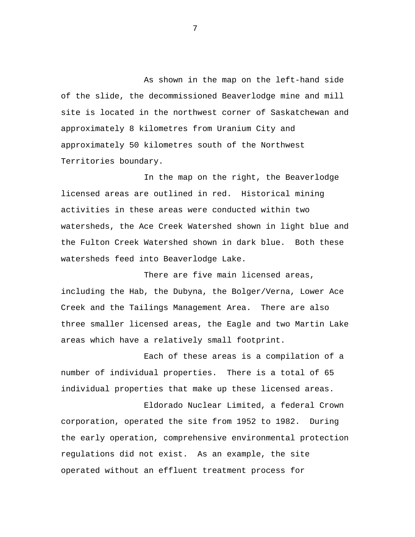As shown in the map on the left-hand side of the slide, the decommissioned Beaverlodge mine and mill site is located in the northwest corner of Saskatchewan and approximately 8 kilometres from Uranium City and approximately 50 kilometres south of the Northwest Territories boundary.

In the map on the right, the Beaverlodge licensed areas are outlined in red. Historical mining activities in these areas were conducted within two watersheds, the Ace Creek Watershed shown in light blue and the Fulton Creek Watershed shown in dark blue. Both these watersheds feed into Beaverlodge Lake.

There are five main licensed areas, including the Hab, the Dubyna, the Bolger/Verna, Lower Ace Creek and the Tailings Management Area. There are also three smaller licensed areas, the Eagle and two Martin Lake areas which have a relatively small footprint.

Each of these areas is a compilation of a number of individual properties. There is a total of 65 individual properties that make up these licensed areas.

Eldorado Nuclear Limited, a federal Crown corporation, operated the site from 1952 to 1982. During the early operation, comprehensive environmental protection regulations did not exist. As an example, the site operated without an effluent treatment process for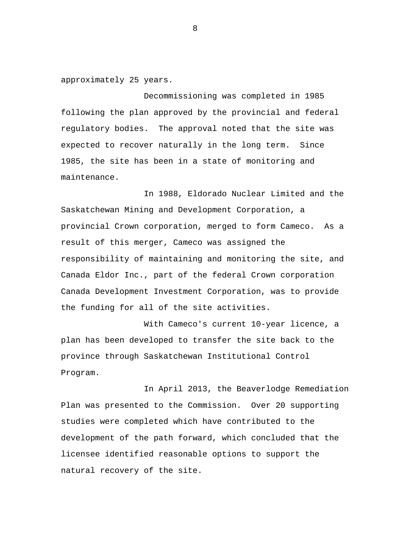approximately 25 years.

Decommissioning was completed in 1985 following the plan approved by the provincial and federal regulatory bodies. The approval noted that the site was expected to recover naturally in the long term. Since 1985, the site has been in a state of monitoring and maintenance.

In 1988, Eldorado Nuclear Limited and the Saskatchewan Mining and Development Corporation, a provincial Crown corporation, merged to form Cameco. As a result of this merger, Cameco was assigned the responsibility of maintaining and monitoring the site, and Canada Eldor Inc., part of the federal Crown corporation Canada Development Investment Corporation, was to provide the funding for all of the site activities.

With Cameco's current 10-year licence, a plan has been developed to transfer the site back to the province through Saskatchewan Institutional Control Program.

In April 2013, the Beaverlodge Remediation Plan was presented to the Commission. Over 20 supporting studies were completed which have contributed to the development of the path forward, which concluded that the licensee identified reasonable options to support the natural recovery of the site.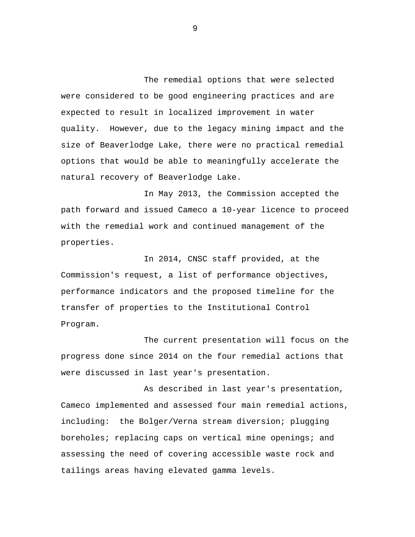The remedial options that were selected were considered to be good engineering practices and are expected to result in localized improvement in water quality. However, due to the legacy mining impact and the size of Beaverlodge Lake, there were no practical remedial options that would be able to meaningfully accelerate the natural recovery of Beaverlodge Lake.

In May 2013, the Commission accepted the path forward and issued Cameco a 10-year licence to proceed with the remedial work and continued management of the properties.

In 2014, CNSC staff provided, at the Commission's request, a list of performance objectives, performance indicators and the proposed timeline for the transfer of properties to the Institutional Control Program.

The current presentation will focus on the progress done since 2014 on the four remedial actions that were discussed in last year's presentation.

As described in last year's presentation, Cameco implemented and assessed four main remedial actions, including: the Bolger/Verna stream diversion; plugging boreholes; replacing caps on vertical mine openings; and assessing the need of covering accessible waste rock and tailings areas having elevated gamma levels.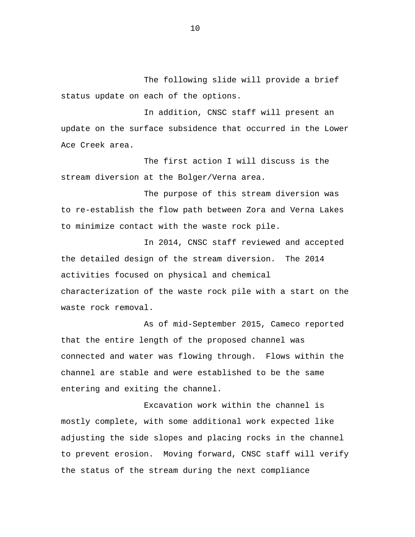The following slide will provide a brief status update on each of the options.

In addition, CNSC staff will present an update on the surface subsidence that occurred in the Lower Ace Creek area.

The first action I will discuss is the stream diversion at the Bolger/Verna area.

The purpose of this stream diversion was to re-establish the flow path between Zora and Verna Lakes to minimize contact with the waste rock pile.

In 2014, CNSC staff reviewed and accepted the detailed design of the stream diversion. The 2014 activities focused on physical and chemical characterization of the waste rock pile with a start on the waste rock removal.

As of mid-September 2015, Cameco reported that the entire length of the proposed channel was connected and water was flowing through. Flows within the channel are stable and were established to be the same entering and exiting the channel.

Excavation work within the channel is mostly complete, with some additional work expected like adjusting the side slopes and placing rocks in the channel to prevent erosion. Moving forward, CNSC staff will verify the status of the stream during the next compliance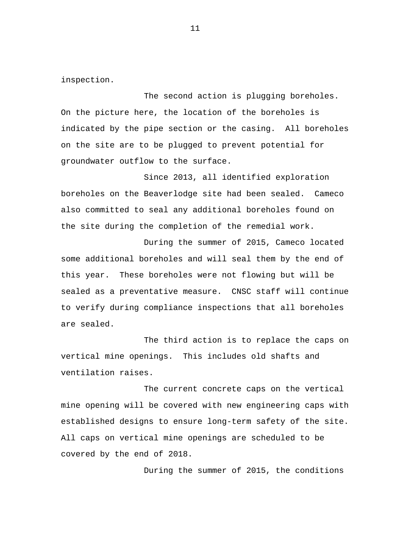inspection.

The second action is plugging boreholes. On the picture here, the location of the boreholes is indicated by the pipe section or the casing. All boreholes on the site are to be plugged to prevent potential for groundwater outflow to the surface.

Since 2013, all identified exploration boreholes on the Beaverlodge site had been sealed. Cameco also committed to seal any additional boreholes found on the site during the completion of the remedial work.

During the summer of 2015, Cameco located some additional boreholes and will seal them by the end of this year. These boreholes were not flowing but will be sealed as a preventative measure. CNSC staff will continue to verify during compliance inspections that all boreholes are sealed.

The third action is to replace the caps on vertical mine openings. This includes old shafts and ventilation raises.

The current concrete caps on the vertical mine opening will be covered with new engineering caps with established designs to ensure long-term safety of the site. All caps on vertical mine openings are scheduled to be covered by the end of 2018.

During the summer of 2015, the conditions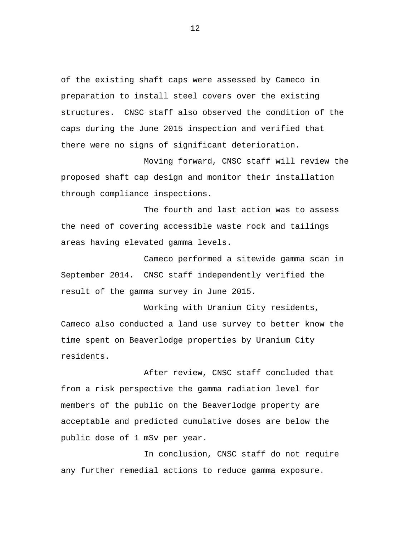of the existing shaft caps were assessed by Cameco in preparation to install steel covers over the existing structures. CNSC staff also observed the condition of the caps during the June 2015 inspection and verified that there were no signs of significant deterioration.

Moving forward, CNSC staff will review the proposed shaft cap design and monitor their installation through compliance inspections.

The fourth and last action was to assess the need of covering accessible waste rock and tailings areas having elevated gamma levels.

Cameco performed a sitewide gamma scan in September 2014. CNSC staff independently verified the result of the gamma survey in June 2015.

Working with Uranium City residents, Cameco also conducted a land use survey to better know the time spent on Beaverlodge properties by Uranium City residents.

After review, CNSC staff concluded that from a risk perspective the gamma radiation level for members of the public on the Beaverlodge property are acceptable and predicted cumulative doses are below the public dose of 1 mSv per year.

In conclusion, CNSC staff do not require any further remedial actions to reduce gamma exposure.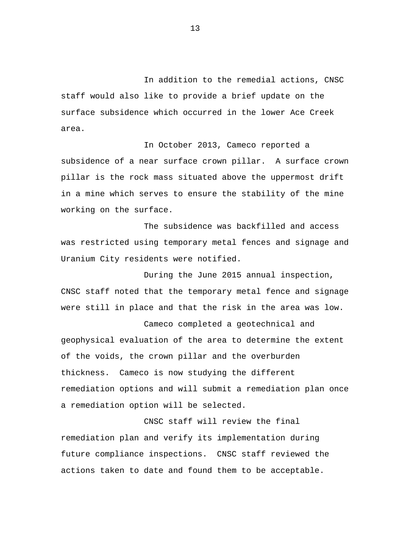In addition to the remedial actions, CNSC staff would also like to provide a brief update on the surface subsidence which occurred in the lower Ace Creek area.

In October 2013, Cameco reported a subsidence of a near surface crown pillar. A surface crown pillar is the rock mass situated above the uppermost drift in a mine which serves to ensure the stability of the mine working on the surface.

The subsidence was backfilled and access was restricted using temporary metal fences and signage and Uranium City residents were notified.

During the June 2015 annual inspection, CNSC staff noted that the temporary metal fence and signage were still in place and that the risk in the area was low.

Cameco completed a geotechnical and geophysical evaluation of the area to determine the extent of the voids, the crown pillar and the overburden thickness. Cameco is now studying the different remediation options and will submit a remediation plan once a remediation option will be selected.

CNSC staff will review the final remediation plan and verify its implementation during future compliance inspections. CNSC staff reviewed the actions taken to date and found them to be acceptable.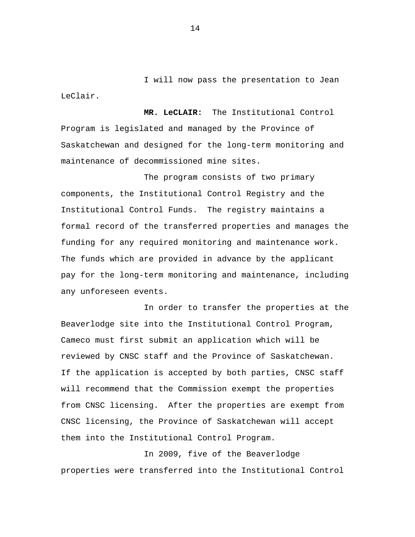I will now pass the presentation to Jean LeClair.

 **MR. LeCLAIR:** The Institutional Control Program is legislated and managed by the Province of Saskatchewan and designed for the long-term monitoring and maintenance of decommissioned mine sites.

The program consists of two primary components, the Institutional Control Registry and the Institutional Control Funds. The registry maintains a formal record of the transferred properties and manages the funding for any required monitoring and maintenance work. The funds which are provided in advance by the applicant pay for the long-term monitoring and maintenance, including any unforeseen events.

In order to transfer the properties at the Beaverlodge site into the Institutional Control Program, Cameco must first submit an application which will be reviewed by CNSC staff and the Province of Saskatchewan. If the application is accepted by both parties, CNSC staff will recommend that the Commission exempt the properties from CNSC licensing. After the properties are exempt from CNSC licensing, the Province of Saskatchewan will accept them into the Institutional Control Program.

In 2009, five of the Beaverlodge properties were transferred into the Institutional Control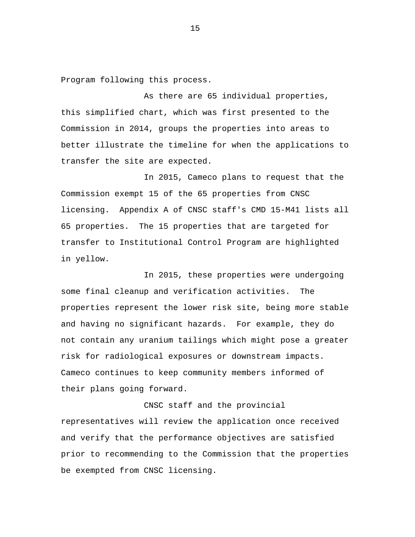Program following this process.

As there are 65 individual properties, this simplified chart, which was first presented to the Commission in 2014, groups the properties into areas to better illustrate the timeline for when the applications to transfer the site are expected.

In 2015, Cameco plans to request that the Commission exempt 15 of the 65 properties from CNSC licensing. Appendix A of CNSC staff's CMD 15-M41 lists all 65 properties. The 15 properties that are targeted for transfer to Institutional Control Program are highlighted in yellow.

In 2015, these properties were undergoing some final cleanup and verification activities. The properties represent the lower risk site, being more stable and having no significant hazards. For example, they do not contain any uranium tailings which might pose a greater risk for radiological exposures or downstream impacts. Cameco continues to keep community members informed of their plans going forward.

CNSC staff and the provincial representatives will review the application once received and verify that the performance objectives are satisfied prior to recommending to the Commission that the properties be exempted from CNSC licensing.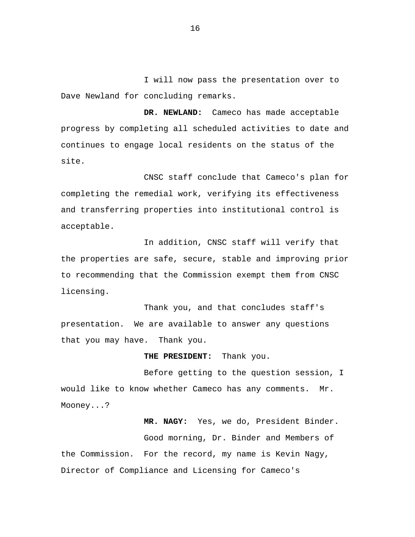I will now pass the presentation over to Dave Newland for concluding remarks.

**DR. NEWLAND:** Cameco has made acceptable progress by completing all scheduled activities to date and continues to engage local residents on the status of the site.

CNSC staff conclude that Cameco's plan for completing the remedial work, verifying its effectiveness and transferring properties into institutional control is acceptable.

In addition, CNSC staff will verify that the properties are safe, secure, stable and improving prior to recommending that the Commission exempt them from CNSC licensing.

Thank you, and that concludes staff's presentation. We are available to answer any questions that you may have. Thank you.

**THE PRESIDENT:** Thank you.

Before getting to the question session, I would like to know whether Cameco has any comments. Mr. Mooney...?

**MR. NAGY:** Yes, we do, President Binder. Good morning, Dr. Binder and Members of the Commission. For the record, my name is Kevin Nagy, Director of Compliance and Licensing for Cameco's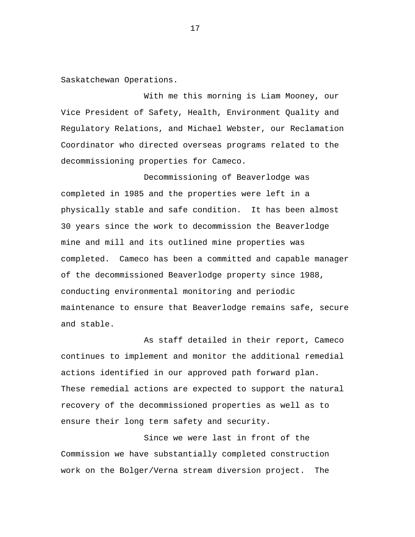Saskatchewan Operations.

With me this morning is Liam Mooney, our Vice President of Safety, Health, Environment Quality and Regulatory Relations, and Michael Webster, our Reclamation Coordinator who directed overseas programs related to the decommissioning properties for Cameco.

Decommissioning of Beaverlodge was completed in 1985 and the properties were left in a physically stable and safe condition. It has been almost 30 years since the work to decommission the Beaverlodge mine and mill and its outlined mine properties was completed. Cameco has been a committed and capable manager of the decommissioned Beaverlodge property since 1988, conducting environmental monitoring and periodic maintenance to ensure that Beaverlodge remains safe, secure and stable.

As staff detailed in their report, Cameco continues to implement and monitor the additional remedial actions identified in our approved path forward plan. These remedial actions are expected to support the natural recovery of the decommissioned properties as well as to ensure their long term safety and security.

Since we were last in front of the Commission we have substantially completed construction work on the Bolger/Verna stream diversion project. The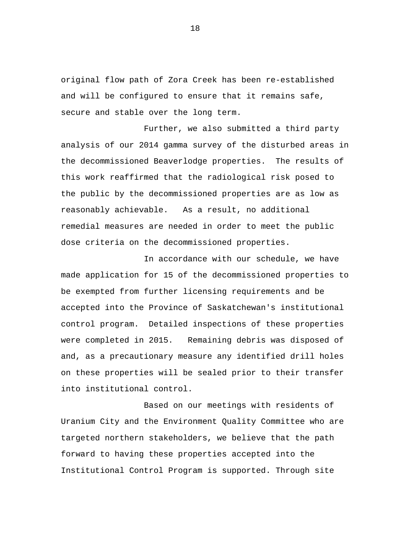original flow path of Zora Creek has been re-established and will be configured to ensure that it remains safe, secure and stable over the long term.

Further, we also submitted a third party analysis of our 2014 gamma survey of the disturbed areas in the decommissioned Beaverlodge properties. The results of this work reaffirmed that the radiological risk posed to the public by the decommissioned properties are as low as reasonably achievable. As a result, no additional remedial measures are needed in order to meet the public dose criteria on the decommissioned properties.

In accordance with our schedule, we have made application for 15 of the decommissioned properties to be exempted from further licensing requirements and be accepted into the Province of Saskatchewan's institutional control program. Detailed inspections of these properties were completed in 2015. Remaining debris was disposed of and, as a precautionary measure any identified drill holes on these properties will be sealed prior to their transfer into institutional control.

Based on our meetings with residents of Uranium City and the Environment Quality Committee who are targeted northern stakeholders, we believe that the path forward to having these properties accepted into the Institutional Control Program is supported. Through site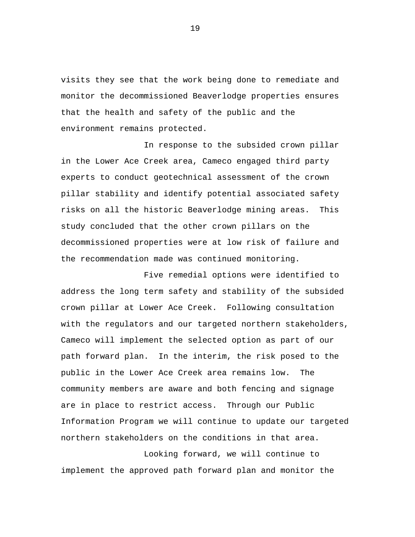visits they see that the work being done to remediate and monitor the decommissioned Beaverlodge properties ensures that the health and safety of the public and the environment remains protected.

In response to the subsided crown pillar in the Lower Ace Creek area, Cameco engaged third party experts to conduct geotechnical assessment of the crown pillar stability and identify potential associated safety risks on all the historic Beaverlodge mining areas. This study concluded that the other crown pillars on the decommissioned properties were at low risk of failure and the recommendation made was continued monitoring.

Five remedial options were identified to address the long term safety and stability of the subsided crown pillar at Lower Ace Creek. Following consultation with the regulators and our targeted northern stakeholders, Cameco will implement the selected option as part of our path forward plan. In the interim, the risk posed to the public in the Lower Ace Creek area remains low. The community members are aware and both fencing and signage are in place to restrict access. Through our Public Information Program we will continue to update our targeted northern stakeholders on the conditions in that area.

Looking forward, we will continue to implement the approved path forward plan and monitor the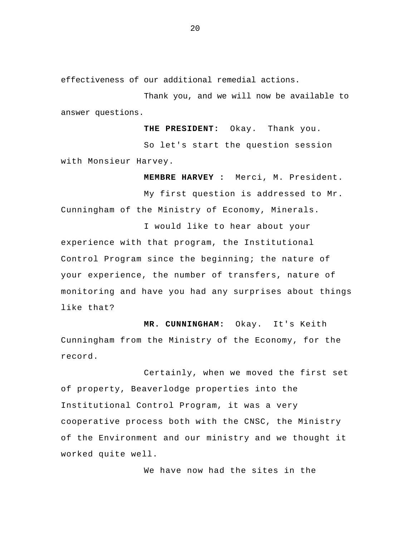effectiveness of our additional remedial actions.

Thank you, and we will now be available to answer questions.

**THE PRESIDENT:** Okay. Thank you.

So let's start the question session with Monsieur Harvey.

**MEMBRE HARVEY :** Merci, M. President.

 My first question is addressed to Mr. Cunningham of the Ministry of Economy, Minerals.

I would like to hear about your experience with that program, the Institutional Control Program since the beginning; the nature of your experience, the number of transfers, nature of monitoring and have you had any surprises about things like that?

**MR. CUNNINGHAM:** Okay. It's Keith Cunningham from the Ministry of the Economy, for the record.

Certainly, when we moved the first set of property, Beaverlodge properties into the Institutional Control Program, it was a very cooperative process both with the CNSC, the Ministry of the Environment and our ministry and we thought it worked quite well.

We have now had the sites in the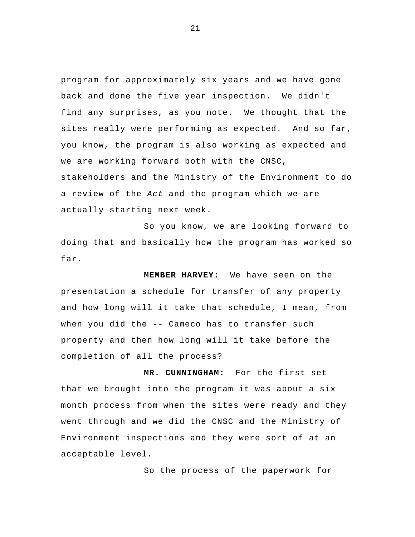program for approximately six years and we have gone back and done the five year inspection. We didn't find any surprises, as you note. We thought that the sites really were performing as expected. And so far, you know, the program is also working as expected and we are working forward both with the CNSC, stakeholders and the Ministry of the Environment to do a review of the *Act* and the program which we are actually starting next week.

So you know, we are looking forward to doing that and basically how the program has worked so far.

 **MEMBER HARVEY:** We have seen on the presentation a schedule for transfer of any property and how long will it take that schedule, I mean, from when you did the -- Cameco has to transfer such property and then how long will it take before the completion of all the process?

**MR. CUNNINGHAM:** For the first set that we brought into the program it was about a six month process from when the sites were ready and they went through and we did the CNSC and the Ministry of Environment inspections and they were sort of at an acceptable level.

So the process of the paperwork for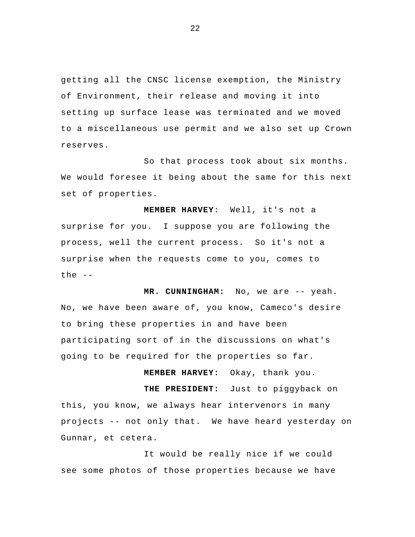getting all the CNSC license exemption, the Ministry of Environment, their release and moving it into setting up surface lease was terminated and we moved to a miscellaneous use permit and we also set up Crown reserves.

So that process took about six months. We would foresee it being about the same for this next set of properties.

 **MEMBER HARVEY**: Well, it's not a surprise for you. I suppose you are following the process, well the current process. So it's not a surprise when the requests come to you, comes to the  $--$ 

**MR. CUNNINGHAM:** No, we are -- yeah. No, we have been aware of, you know, Cameco's desire to bring these properties in and have been participating sort of in the discussions on what's going to be required for the properties so far.

 **MEMBER HARVEY:** Okay, thank you. **THE PRESIDENT:** Just to piggyback on this, you know, we always hear intervenors in many projects -- not only that. We have heard yesterday on Gunnar, et cetera.

It would be really nice if we could see some photos of those properties because we have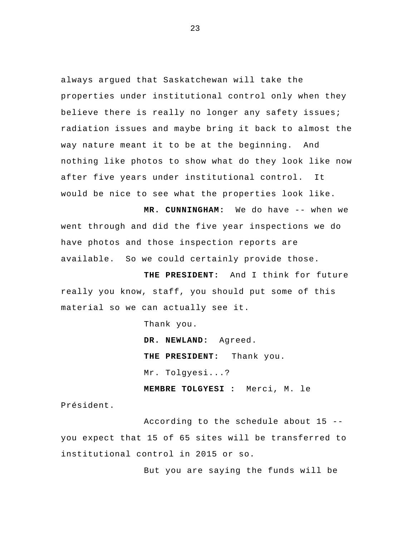always argued that Saskatchewan will take the properties under institutional control only when they believe there is really no longer any safety issues; radiation issues and maybe bring it back to almost the way nature meant it to be at the beginning. And nothing like photos to show what do they look like now after five years under institutional control. It would be nice to see what the properties look like.

**MR. CUNNINGHAM:** We do have -- when we went through and did the five year inspections we do have photos and those inspection reports are available. So we could certainly provide those.

**THE PRESIDENT:** And I think for future really you know, staff, you should put some of this material so we can actually see it.

Thank you.

**DR. NEWLAND:** Agreed. **THE PRESIDENT:** Thank you. Mr. Tolgyesi...? **MEMBRE TOLGYESI :** Merci, M. le

Président.

 According to the schedule about 15 - you expect that 15 of 65 sites will be transferred to institutional control in 2015 or so.

But you are saying the funds will be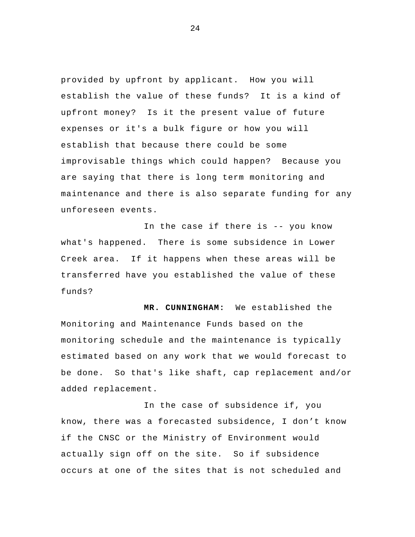provided by upfront by applicant. How you will establish the value of these funds? It is a kind of upfront money? Is it the present value of future expenses or it's a bulk figure or how you will establish that because there could be some improvisable things which could happen? Because you are saying that there is long term monitoring and maintenance and there is also separate funding for any unforeseen events.

In the case if there is -- you know what's happened. There is some subsidence in Lower Creek area. If it happens when these areas will be transferred have you established the value of these funds?

**MR. CUNNINGHAM:** We established the Monitoring and Maintenance Funds based on the monitoring schedule and the maintenance is typically estimated based on any work that we would forecast to be done. So that's like shaft, cap replacement and/or added replacement.

In the case of subsidence if, you know, there was a forecasted subsidence, I don't know if the CNSC or the Ministry of Environment would actually sign off on the site. So if subsidence occurs at one of the sites that is not scheduled and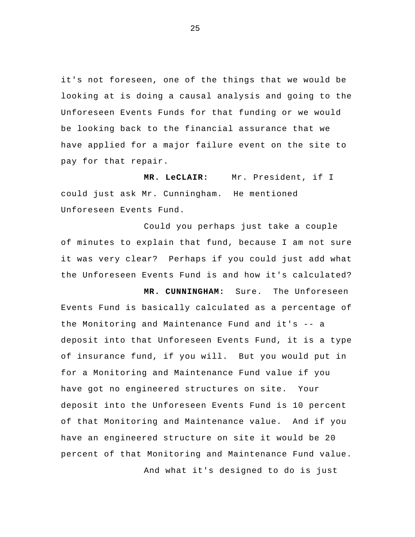it's not foreseen, one of the things that we would be looking at is doing a causal analysis and going to the Unforeseen Events Funds for that funding or we would be looking back to the financial assurance that we have applied for a major failure event on the site to pay for that repair.

MR. LeCLAIR: Mr. President, if I could just ask Mr. Cunningham. He mentioned Unforeseen Events Fund.

 Could you perhaps just take a couple of minutes to explain that fund, because I am not sure it was very clear? Perhaps if you could just add what the Unforeseen Events Fund is and how it's calculated?

**MR. CUNNINGHAM:** Sure. The Unforeseen Events Fund is basically calculated as a percentage of the Monitoring and Maintenance Fund and it's -- a deposit into that Unforeseen Events Fund, it is a type of insurance fund, if you will. But you would put in for a Monitoring and Maintenance Fund value if you have got no engineered structures on site. Your deposit into the Unforeseen Events Fund is 10 percent of that Monitoring and Maintenance value. And if you have an engineered structure on site it would be 20 percent of that Monitoring and Maintenance Fund value. And what it's designed to do is just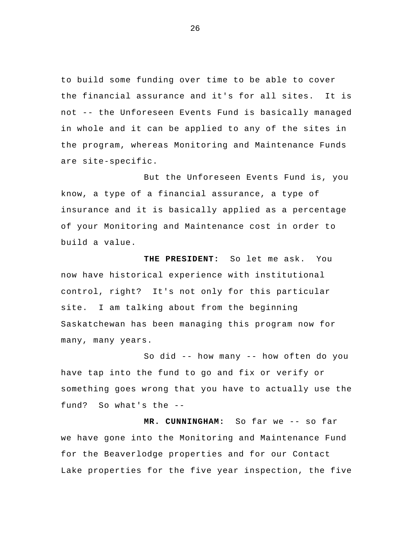to build some funding over time to be able to cover the financial assurance and it's for all sites. It is not -- the Unforeseen Events Fund is basically managed in whole and it can be applied to any of the sites in the program, whereas Monitoring and Maintenance Funds are site-specific.

But the Unforeseen Events Fund is, you know, a type of a financial assurance, a type of insurance and it is basically applied as a percentage of your Monitoring and Maintenance cost in order to build a value.

**THE PRESIDENT:** So let me ask. You now have historical experience with institutional control, right? It's not only for this particular site. I am talking about from the beginning Saskatchewan has been managing this program now for many, many years.

So did -- how many -- how often do you have tap into the fund to go and fix or verify or something goes wrong that you have to actually use the fund? So what's the --

**MR. CUNNINGHAM:** So far we -- so far we have gone into the Monitoring and Maintenance Fund for the Beaverlodge properties and for our Contact Lake properties for the five year inspection, the five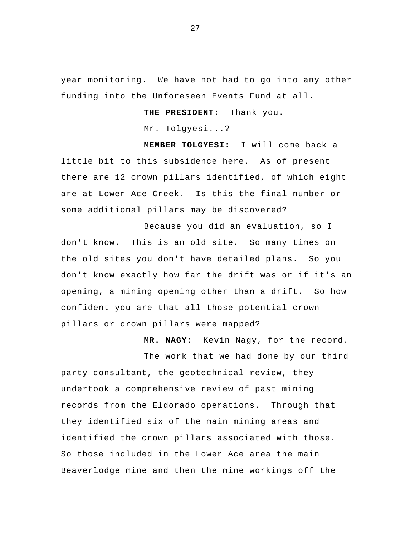year monitoring. We have not had to go into any other funding into the Unforeseen Events Fund at all.

**THE PRESIDENT:** Thank you.

Mr. Tolgyesi...?

**MEMBER TOLGYESI:** I will come back a little bit to this subsidence here. As of present there are 12 crown pillars identified, of which eight are at Lower Ace Creek. Is this the final number or some additional pillars may be discovered?

Because you did an evaluation, so I don't know. This is an old site. So many times on the old sites you don't have detailed plans. So you don't know exactly how far the drift was or if it's an opening, a mining opening other than a drift. So how confident you are that all those potential crown pillars or crown pillars were mapped?

**MR. NAGY:** Kevin Nagy, for the record.

The work that we had done by our third party consultant, the geotechnical review, they undertook a comprehensive review of past mining records from the Eldorado operations. Through that they identified six of the main mining areas and identified the crown pillars associated with those. So those included in the Lower Ace area the main Beaverlodge mine and then the mine workings off the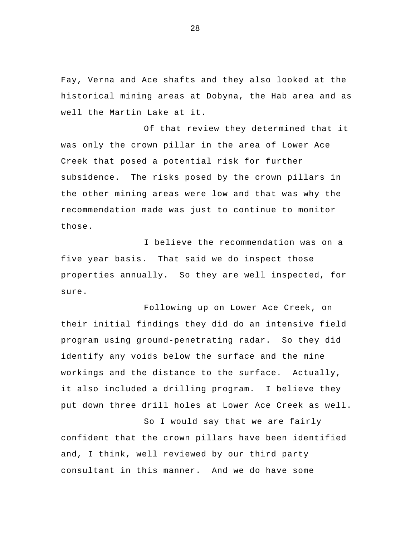Fay, Verna and Ace shafts and they also looked at the historical mining areas at Dobyna, the Hab area and as well the Martin Lake at it.

 Of that review they determined that it was only the crown pillar in the area of Lower Ace Creek that posed a potential risk for further subsidence. The risks posed by the crown pillars in the other mining areas were low and that was why the recommendation made was just to continue to monitor those.

I believe the recommendation was on a five year basis. That said we do inspect those properties annually. So they are well inspected, for sure.

Following up on Lower Ace Creek, on their initial findings they did do an intensive field program using ground-penetrating radar. So they did identify any voids below the surface and the mine workings and the distance to the surface. Actually, it also included a drilling program. I believe they put down three drill holes at Lower Ace Creek as well.

So I would say that we are fairly confident that the crown pillars have been identified and, I think, well reviewed by our third party consultant in this manner. And we do have some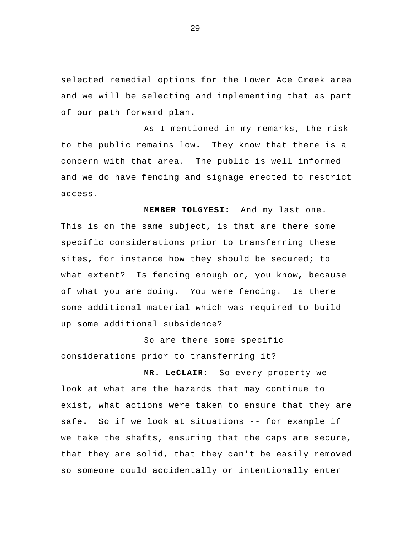selected remedial options for the Lower Ace Creek area and we will be selecting and implementing that as part of our path forward plan.

As I mentioned in my remarks, the risk to the public remains low. They know that there is a concern with that area. The public is well informed and we do have fencing and signage erected to restrict access.

 **MEMBER TOLGYESI:** And my last one. This is on the same subject, is that are there some specific considerations prior to transferring these sites, for instance how they should be secured; to what extent? Is fencing enough or, you know, because of what you are doing. You were fencing. Is there some additional material which was required to build up some additional subsidence?

So are there some specific considerations prior to transferring it?

**MR. LeCLAIR:** So every property we look at what are the hazards that may continue to exist, what actions were taken to ensure that they are safe. So if we look at situations -- for example if we take the shafts, ensuring that the caps are secure, that they are solid, that they can't be easily removed so someone could accidentally or intentionally enter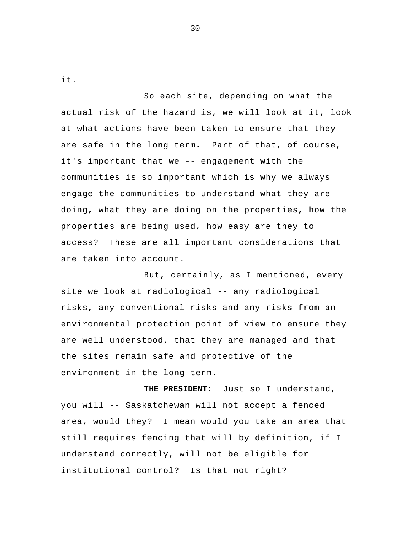it.

 So each site, depending on what the actual risk of the hazard is, we will look at it, look at what actions have been taken to ensure that they are safe in the long term. Part of that, of course, it's important that we -- engagement with the communities is so important which is why we always engage the communities to understand what they are doing, what they are doing on the properties, how the properties are being used, how easy are they to access? These are all important considerations that are taken into account.

 But, certainly, as I mentioned, every site we look at radiological -- any radiological risks, any conventional risks and any risks from an environmental protection point of view to ensure they are well understood, that they are managed and that the sites remain safe and protective of the environment in the long term.

**THE PRESIDENT**: Just so I understand, you will -- Saskatchewan will not accept a fenced area, would they? I mean would you take an area that still requires fencing that will by definition, if I understand correctly, will not be eligible for institutional control? Is that not right?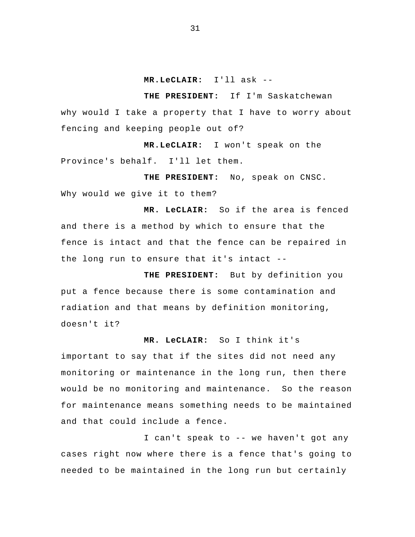### **MR.LeCLAIR:** I'll ask --

**THE PRESIDENT:** If I'm Saskatchewan why would I take a property that I have to worry about fencing and keeping people out of?

**MR.LeCLAIR:** I won't speak on the Province's behalf. I'll let them.

**THE PRESIDENT:** No, speak on CNSC. Why would we give it to them?

**MR. LeCLAIR:** So if the area is fenced and there is a method by which to ensure that the fence is intact and that the fence can be repaired in the long run to ensure that it's intact --

**THE PRESIDENT:** But by definition you put a fence because there is some contamination and radiation and that means by definition monitoring, doesn't it?

### **MR. LeCLAIR:** So I think it's

important to say that if the sites did not need any monitoring or maintenance in the long run, then there would be no monitoring and maintenance. So the reason for maintenance means something needs to be maintained and that could include a fence.

I can't speak to -- we haven't got any cases right now where there is a fence that's going to needed to be maintained in the long run but certainly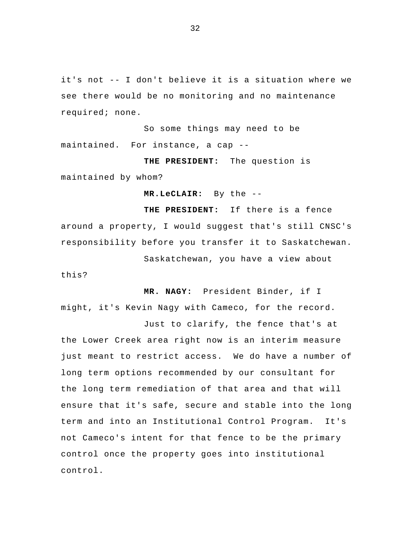it's not -- I don't believe it is a situation where we see there would be no monitoring and no maintenance required; none.

 So some things may need to be maintained. For instance, a cap --

**THE PRESIDENT:** The question is maintained by whom?

**MR.LeCLAIR:** By the --

**THE PRESIDENT:** If there is a fence around a property, I would suggest that's still CNSC's responsibility before you transfer it to Saskatchewan.

Saskatchewan, you have a view about

**MR. NAGY:** President Binder, if I might, it's Kevin Nagy with Cameco, for the record.

this?

 Just to clarify, the fence that's at the Lower Creek area right now is an interim measure just meant to restrict access. We do have a number of long term options recommended by our consultant for the long term remediation of that area and that will ensure that it's safe, secure and stable into the long term and into an Institutional Control Program. It's not Cameco's intent for that fence to be the primary control once the property goes into institutional control.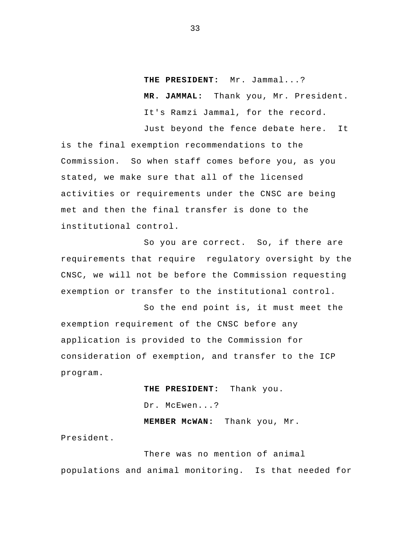**THE PRESIDENT:** Mr. Jammal...? **MR. JAMMAL:** Thank you, Mr. President. It's Ramzi Jammal, for the record.

Just beyond the fence debate here. It is the final exemption recommendations to the Commission. So when staff comes before you, as you stated, we make sure that all of the licensed activities or requirements under the CNSC are being met and then the final transfer is done to the institutional control.

So you are correct. So, if there are requirements that require regulatory oversight by the CNSC, we will not be before the Commission requesting exemption or transfer to the institutional control.

So the end point is, it must meet the exemption requirement of the CNSC before any application is provided to the Commission for consideration of exemption, and transfer to the ICP program.

> **THE PRESIDENT:** Thank you. Dr. McEwen...? **MEMBER McWAN:** Thank you, Mr.

President.

 There was no mention of animal populations and animal monitoring. Is that needed for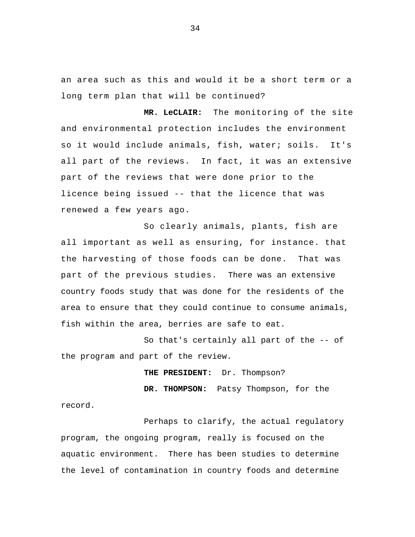an area such as this and would it be a short term or a long term plan that will be continued?

**MR. LeCLAIR:** The monitoring of the site and environmental protection includes the environment so it would include animals, fish, water; soils. It's all part of the reviews. In fact, it was an extensive part of the reviews that were done prior to the licence being issued -- that the licence that was renewed a few years ago.

 So clearly animals, plants, fish are all important as well as ensuring, for instance. that the harvesting of those foods can be done. That was part of the previous studies. There was an extensive country foods study that was done for the residents of the area to ensure that they could continue to consume animals, fish within the area, berries are safe to eat.

So that's certainly all part of the -- of the program and part of the review.

**THE PRESIDENT:** Dr. Thompson?

**DR. THOMPSON:** Patsy Thompson, for the record.

Perhaps to clarify, the actual regulatory program, the ongoing program, really is focused on the aquatic environment. There has been studies to determine the level of contamination in country foods and determine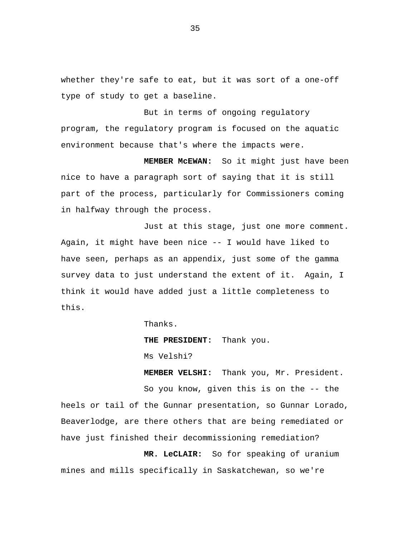whether they're safe to eat, but it was sort of a one-off type of study to get a baseline.

But in terms of ongoing regulatory program, the regulatory program is focused on the aquatic environment because that's where the impacts were.

**MEMBER McEWAN:** So it might just have been nice to have a paragraph sort of saying that it is still part of the process, particularly for Commissioners coming in halfway through the process.

Just at this stage, just one more comment. Again, it might have been nice -- I would have liked to have seen, perhaps as an appendix, just some of the gamma survey data to just understand the extent of it. Again, I think it would have added just a little completeness to this.

Thanks.

**THE PRESIDENT:** Thank you.

Ms Velshi?

**MEMBER VELSHI:** Thank you, Mr. President. So you know, given this is on the -- the heels or tail of the Gunnar presentation, so Gunnar Lorado, Beaverlodge, are there others that are being remediated or have just finished their decommissioning remediation?

**MR. LeCLAIR:** So for speaking of uranium mines and mills specifically in Saskatchewan, so we're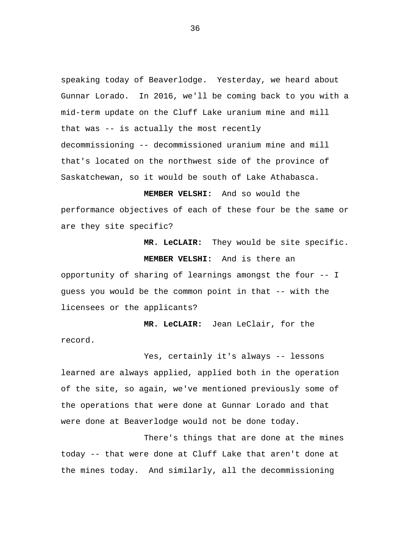speaking today of Beaverlodge. Yesterday, we heard about Gunnar Lorado. In 2016, we'll be coming back to you with a mid-term update on the Cluff Lake uranium mine and mill that was -- is actually the most recently decommissioning -- decommissioned uranium mine and mill that's located on the northwest side of the province of Saskatchewan, so it would be south of Lake Athabasca.

**MEMBER VELSHI:** And so would the performance objectives of each of these four be the same or are they site specific?

**MR. LeCLAIR:** They would be site specific.

**MEMBER VELSHI:** And is there an opportunity of sharing of learnings amongst the four -- I guess you would be the common point in that -- with the licensees or the applicants?

**MR. LeCLAIR:** Jean LeClair, for the record.

Yes, certainly it's always -- lessons learned are always applied, applied both in the operation of the site, so again, we've mentioned previously some of the operations that were done at Gunnar Lorado and that were done at Beaverlodge would not be done today.

There's things that are done at the mines today -- that were done at Cluff Lake that aren't done at the mines today. And similarly, all the decommissioning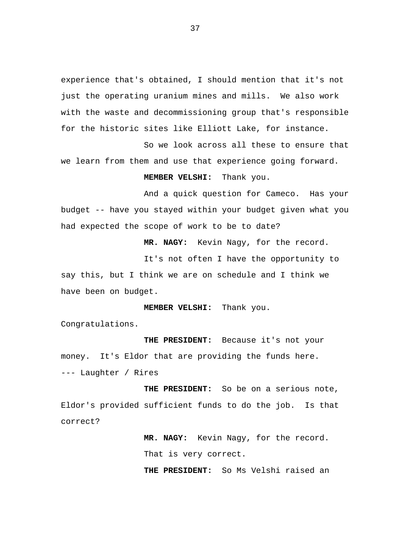experience that's obtained, I should mention that it's not just the operating uranium mines and mills. We also work with the waste and decommissioning group that's responsible for the historic sites like Elliott Lake, for instance.

So we look across all these to ensure that we learn from them and use that experience going forward.

**MEMBER VELSHI:** Thank you.

And a quick question for Cameco. Has your budget -- have you stayed within your budget given what you had expected the scope of work to be to date?

**MR. NAGY:** Kevin Nagy, for the record.

It's not often I have the opportunity to say this, but I think we are on schedule and I think we have been on budget.

**MEMBER VELSHI:** Thank you.

Congratulations.

**THE PRESIDENT:** Because it's not your money. It's Eldor that are providing the funds here. --- Laughter / Rires

**THE PRESIDENT:** So be on a serious note, Eldor's provided sufficient funds to do the job. Is that correct?

> **MR. NAGY:** Kevin Nagy, for the record. That is very correct.

> **THE PRESIDENT:** So Ms Velshi raised an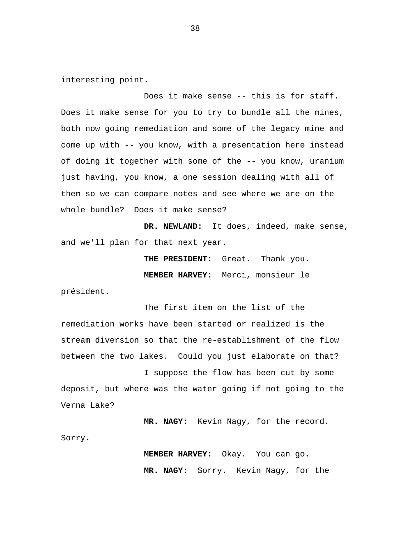interesting point.

Does it make sense -- this is for staff. Does it make sense for you to try to bundle all the mines, both now going remediation and some of the legacy mine and come up with -- you know, with a presentation here instead of doing it together with some of the -- you know, uranium just having, you know, a one session dealing with all of them so we can compare notes and see where we are on the whole bundle? Does it make sense?

**DR. NEWLAND:** It does, indeed, make sense, and we'll plan for that next year.

> **THE PRESIDENT:** Great. Thank you. **MEMBER HARVEY:** Merci, monsieur le

président.

The first item on the list of the remediation works have been started or realized is the stream diversion so that the re-establishment of the flow between the two lakes. Could you just elaborate on that?

I suppose the flow has been cut by some deposit, but where was the water going if not going to the Verna Lake?

**MR. NAGY:** Kevin Nagy, for the record.

Sorry.

**MEMBER HARVEY:** Okay. You can go. **MR. NAGY:** Sorry. Kevin Nagy, for the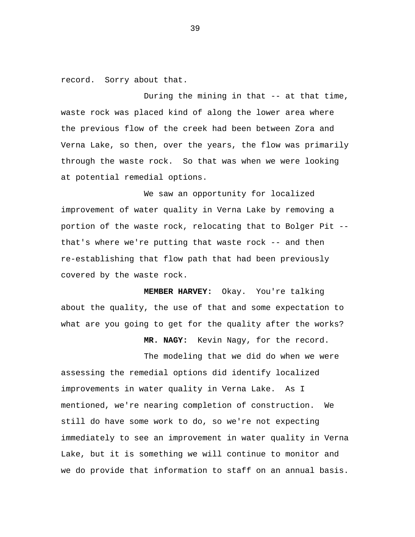record. Sorry about that.

During the mining in that -- at that time, waste rock was placed kind of along the lower area where the previous flow of the creek had been between Zora and Verna Lake, so then, over the years, the flow was primarily through the waste rock. So that was when we were looking at potential remedial options.

We saw an opportunity for localized improvement of water quality in Verna Lake by removing a portion of the waste rock, relocating that to Bolger Pit - that's where we're putting that waste rock -- and then re-establishing that flow path that had been previously covered by the waste rock.

**MEMBER HARVEY:** Okay. You're talking about the quality, the use of that and some expectation to what are you going to get for the quality after the works?

**MR. NAGY:** Kevin Nagy, for the record.

The modeling that we did do when we were assessing the remedial options did identify localized improvements in water quality in Verna Lake. As I mentioned, we're nearing completion of construction. We still do have some work to do, so we're not expecting immediately to see an improvement in water quality in Verna Lake, but it is something we will continue to monitor and we do provide that information to staff on an annual basis.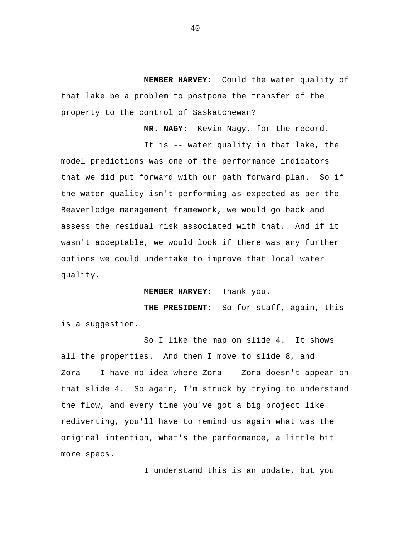**MEMBER HARVEY:** Could the water quality of that lake be a problem to postpone the transfer of the property to the control of Saskatchewan?

**MR. NAGY:** Kevin Nagy, for the record.

It is -- water quality in that lake, the model predictions was one of the performance indicators that we did put forward with our path forward plan. So if the water quality isn't performing as expected as per the Beaverlodge management framework, we would go back and assess the residual risk associated with that. And if it wasn't acceptable, we would look if there was any further options we could undertake to improve that local water quality.

## **MEMBER HARVEY:** Thank you.

**THE PRESIDENT:** So for staff, again, this is a suggestion.

So I like the map on slide 4. It shows all the properties. And then I move to slide 8, and Zora -- I have no idea where Zora -- Zora doesn't appear on that slide 4. So again, I'm struck by trying to understand the flow, and every time you've got a big project like rediverting, you'll have to remind us again what was the original intention, what's the performance, a little bit more specs.

I understand this is an update, but you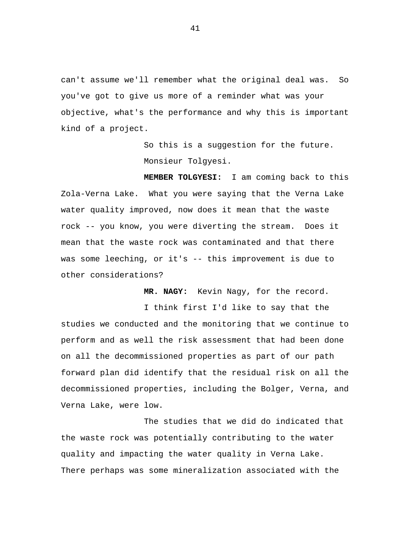can't assume we'll remember what the original deal was. So you've got to give us more of a reminder what was your objective, what's the performance and why this is important kind of a project.

> So this is a suggestion for the future. Monsieur Tolgyesi.

**MEMBER TOLGYESI:** I am coming back to this Zola-Verna Lake. What you were saying that the Verna Lake water quality improved, now does it mean that the waste rock -- you know, you were diverting the stream. Does it mean that the waste rock was contaminated and that there was some leeching, or it's -- this improvement is due to other considerations?

**MR. NAGY:** Kevin Nagy, for the record.

I think first I'd like to say that the studies we conducted and the monitoring that we continue to perform and as well the risk assessment that had been done on all the decommissioned properties as part of our path forward plan did identify that the residual risk on all the decommissioned properties, including the Bolger, Verna, and Verna Lake, were low.

The studies that we did do indicated that the waste rock was potentially contributing to the water quality and impacting the water quality in Verna Lake. There perhaps was some mineralization associated with the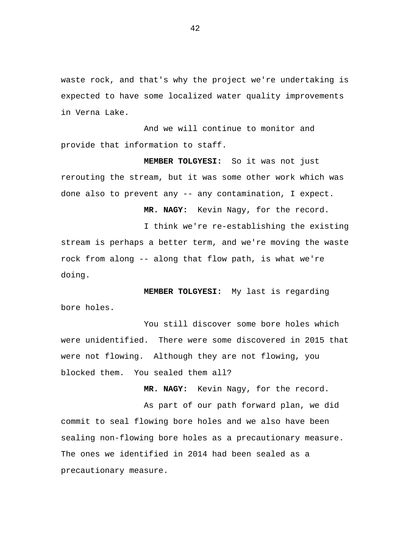waste rock, and that's why the project we're undertaking is expected to have some localized water quality improvements in Verna Lake.

And we will continue to monitor and provide that information to staff.

**MEMBER TOLGYESI:** So it was not just rerouting the stream, but it was some other work which was done also to prevent any -- any contamination, I expect.

**MR. NAGY:** Kevin Nagy, for the record.

I think we're re-establishing the existing stream is perhaps a better term, and we're moving the waste rock from along -- along that flow path, is what we're doing.

**MEMBER TOLGYESI:** My last is regarding bore holes.

You still discover some bore holes which were unidentified. There were some discovered in 2015 that were not flowing. Although they are not flowing, you blocked them. You sealed them all?

**MR. NAGY:** Kevin Nagy, for the record.

As part of our path forward plan, we did commit to seal flowing bore holes and we also have been sealing non-flowing bore holes as a precautionary measure. The ones we identified in 2014 had been sealed as a precautionary measure.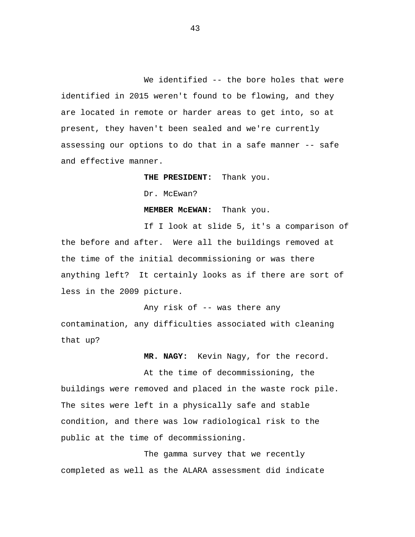We identified -- the bore holes that were identified in 2015 weren't found to be flowing, and they are located in remote or harder areas to get into, so at present, they haven't been sealed and we're currently assessing our options to do that in a safe manner -- safe and effective manner.

**THE PRESIDENT:** Thank you.

Dr. McEwan?

**MEMBER McEWAN:** Thank you.

If I look at slide 5, it's a comparison of the before and after. Were all the buildings removed at the time of the initial decommissioning or was there anything left? It certainly looks as if there are sort of less in the 2009 picture.

Any risk of -- was there any contamination, any difficulties associated with cleaning that up?

**MR. NAGY:** Kevin Nagy, for the record.

At the time of decommissioning, the buildings were removed and placed in the waste rock pile. The sites were left in a physically safe and stable condition, and there was low radiological risk to the public at the time of decommissioning.

The gamma survey that we recently completed as well as the ALARA assessment did indicate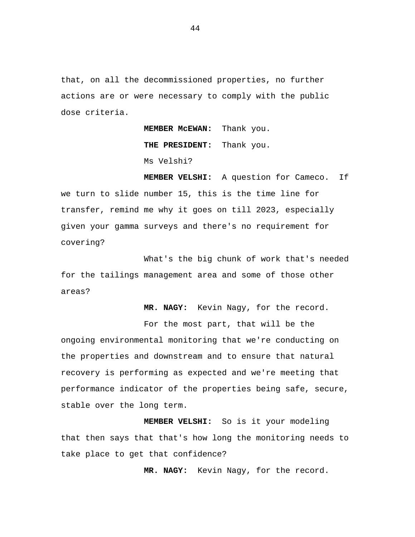that, on all the decommissioned properties, no further actions are or were necessary to comply with the public dose criteria.

> **MEMBER McEWAN:** Thank you. **THE PRESIDENT:** Thank you. Ms Velshi?

**MEMBER VELSHI:** A question for Cameco. If we turn to slide number 15, this is the time line for transfer, remind me why it goes on till 2023, especially given your gamma surveys and there's no requirement for covering?

What's the big chunk of work that's needed for the tailings management area and some of those other areas?

**MR. NAGY:** Kevin Nagy, for the record.

For the most part, that will be the ongoing environmental monitoring that we're conducting on the properties and downstream and to ensure that natural recovery is performing as expected and we're meeting that performance indicator of the properties being safe, secure, stable over the long term.

**MEMBER VELSHI:** So is it your modeling that then says that that's how long the monitoring needs to take place to get that confidence?

**MR. NAGY:** Kevin Nagy, for the record.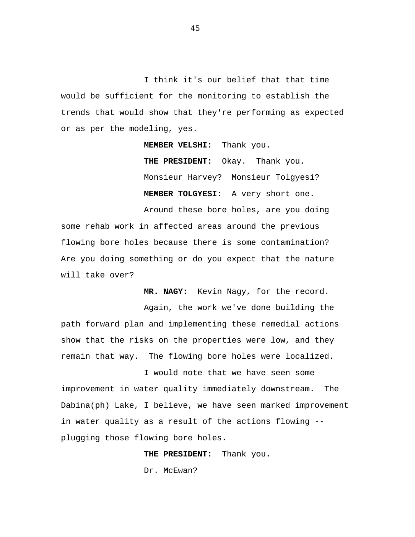I think it's our belief that that time would be sufficient for the monitoring to establish the trends that would show that they're performing as expected or as per the modeling, yes.

**MEMBER VELSHI:** Thank you.

**THE PRESIDENT:** Okay. Thank you. Monsieur Harvey? Monsieur Tolgyesi? **MEMBER TOLGYESI:** A very short one.

Around these bore holes, are you doing some rehab work in affected areas around the previous flowing bore holes because there is some contamination? Are you doing something or do you expect that the nature will take over?

**MR. NAGY:** Kevin Nagy, for the record.

Again, the work we've done building the path forward plan and implementing these remedial actions show that the risks on the properties were low, and they remain that way. The flowing bore holes were localized.

I would note that we have seen some improvement in water quality immediately downstream. The Dabina(ph) Lake, I believe, we have seen marked improvement in water quality as a result of the actions flowing - plugging those flowing bore holes.

> **THE PRESIDENT:** Thank you. Dr. McEwan?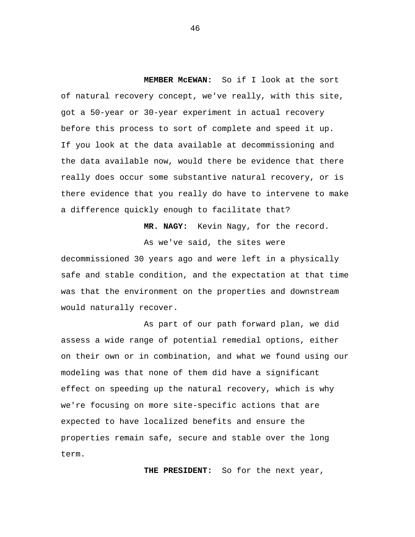**MEMBER McEWAN:** So if I look at the sort of natural recovery concept, we've really, with this site, got a 50-year or 30-year experiment in actual recovery before this process to sort of complete and speed it up. If you look at the data available at decommissioning and the data available now, would there be evidence that there really does occur some substantive natural recovery, or is there evidence that you really do have to intervene to make a difference quickly enough to facilitate that?

> **MR. NAGY:** Kevin Nagy, for the record. As we've said, the sites were

decommissioned 30 years ago and were left in a physically safe and stable condition, and the expectation at that time was that the environment on the properties and downstream would naturally recover.

As part of our path forward plan, we did assess a wide range of potential remedial options, either on their own or in combination, and what we found using our modeling was that none of them did have a significant effect on speeding up the natural recovery, which is why we're focusing on more site-specific actions that are expected to have localized benefits and ensure the properties remain safe, secure and stable over the long term.

**THE PRESIDENT:** So for the next year,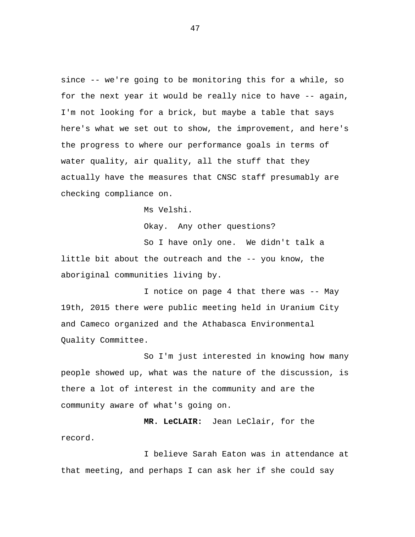since -- we're going to be monitoring this for a while, so for the next year it would be really nice to have -- again, I'm not looking for a brick, but maybe a table that says here's what we set out to show, the improvement, and here's the progress to where our performance goals in terms of water quality, air quality, all the stuff that they actually have the measures that CNSC staff presumably are checking compliance on.

Ms Velshi.

Okay. Any other questions?

So I have only one. We didn't talk a little bit about the outreach and the -- you know, the aboriginal communities living by.

I notice on page 4 that there was -- May 19th, 2015 there were public meeting held in Uranium City and Cameco organized and the Athabasca Environmental Quality Committee.

So I'm just interested in knowing how many people showed up, what was the nature of the discussion, is there a lot of interest in the community and are the community aware of what's going on.

**MR. LeCLAIR:** Jean LeClair, for the record.

I believe Sarah Eaton was in attendance at that meeting, and perhaps I can ask her if she could say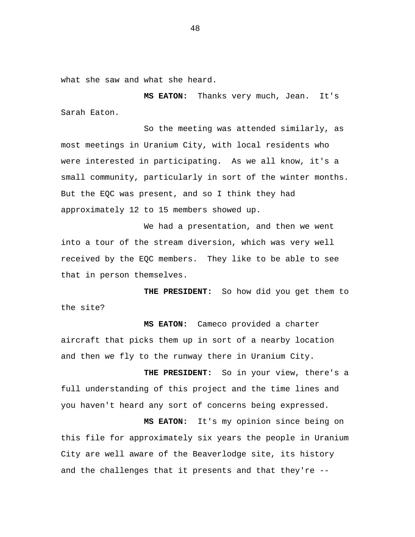what she saw and what she heard.

**MS EATON:** Thanks very much, Jean. It's Sarah Eaton.

So the meeting was attended similarly, as most meetings in Uranium City, with local residents who were interested in participating. As we all know, it's a small community, particularly in sort of the winter months. But the EQC was present, and so I think they had approximately 12 to 15 members showed up.

We had a presentation, and then we went into a tour of the stream diversion, which was very well received by the EQC members. They like to be able to see that in person themselves.

**THE PRESIDENT:** So how did you get them to the site?

**MS EATON:** Cameco provided a charter aircraft that picks them up in sort of a nearby location and then we fly to the runway there in Uranium City.

**THE PRESIDENT:** So in your view, there's a full understanding of this project and the time lines and you haven't heard any sort of concerns being expressed.

**MS EATON:** It's my opinion since being on this file for approximately six years the people in Uranium City are well aware of the Beaverlodge site, its history and the challenges that it presents and that they're --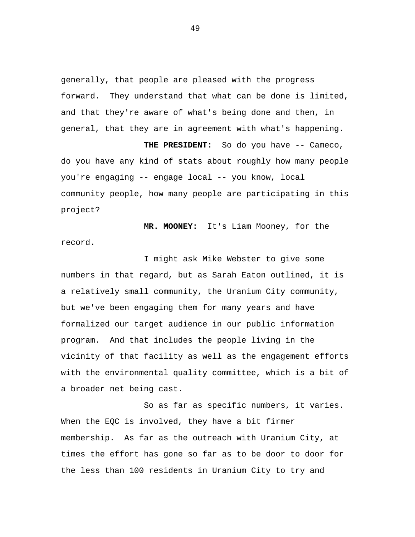generally, that people are pleased with the progress forward. They understand that what can be done is limited, and that they're aware of what's being done and then, in general, that they are in agreement with what's happening.

**THE PRESIDENT:** So do you have -- Cameco, do you have any kind of stats about roughly how many people you're engaging -- engage local -- you know, local community people, how many people are participating in this project?

**MR. MOONEY:** It's Liam Mooney, for the record.

I might ask Mike Webster to give some numbers in that regard, but as Sarah Eaton outlined, it is a relatively small community, the Uranium City community, but we've been engaging them for many years and have formalized our target audience in our public information program. And that includes the people living in the vicinity of that facility as well as the engagement efforts with the environmental quality committee, which is a bit of a broader net being cast.

So as far as specific numbers, it varies. When the EQC is involved, they have a bit firmer membership. As far as the outreach with Uranium City, at times the effort has gone so far as to be door to door for the less than 100 residents in Uranium City to try and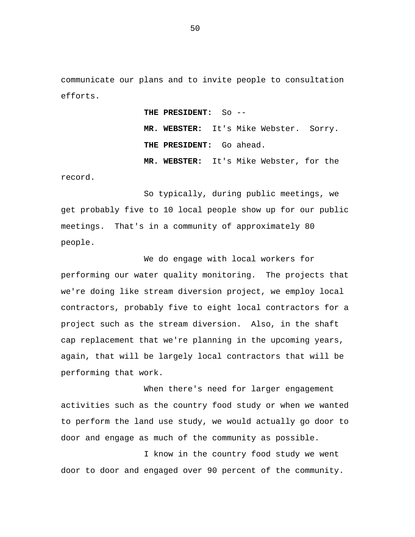communicate our plans and to invite people to consultation efforts.

> **THE PRESIDENT:** So -- **MR. WEBSTER:** It's Mike Webster. Sorry. **THE PRESIDENT:** Go ahead. **MR. WEBSTER:** It's Mike Webster, for the

record.

So typically, during public meetings, we get probably five to 10 local people show up for our public meetings. That's in a community of approximately 80 people.

We do engage with local workers for performing our water quality monitoring. The projects that we're doing like stream diversion project, we employ local contractors, probably five to eight local contractors for a project such as the stream diversion. Also, in the shaft cap replacement that we're planning in the upcoming years, again, that will be largely local contractors that will be performing that work.

When there's need for larger engagement activities such as the country food study or when we wanted to perform the land use study, we would actually go door to door and engage as much of the community as possible.

I know in the country food study we went door to door and engaged over 90 percent of the community.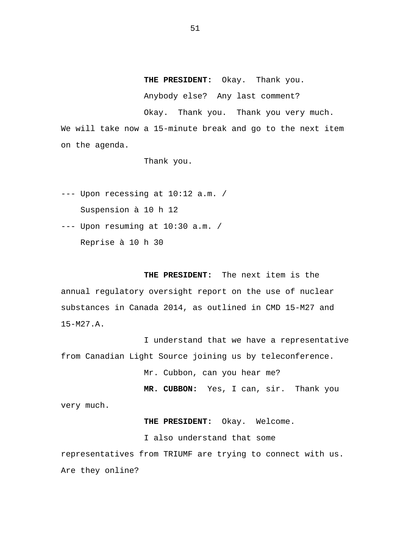**THE PRESIDENT:** Okay. Thank you.

Anybody else? Any last comment?

Okay. Thank you. Thank you very much.

We will take now a 15-minute break and go to the next item on the agenda.

Thank you.

--- Upon recessing at 10:12 a.m. / Suspension à 10 h 12

--- Upon resuming at 10:30 a.m. /

Reprise à 10 h 30

**THE PRESIDENT:** The next item is the annual regulatory oversight report on the use of nuclear substances in Canada 2014, as outlined in CMD 15-M27 and 15-M27.A.

I understand that we have a representative from Canadian Light Source joining us by teleconference.

Mr. Cubbon, can you hear me?

**MR. CUBBON:** Yes, I can, sir. Thank you very much.

**THE PRESIDENT:** Okay. Welcome.

I also understand that some

representatives from TRIUMF are trying to connect with us. Are they online?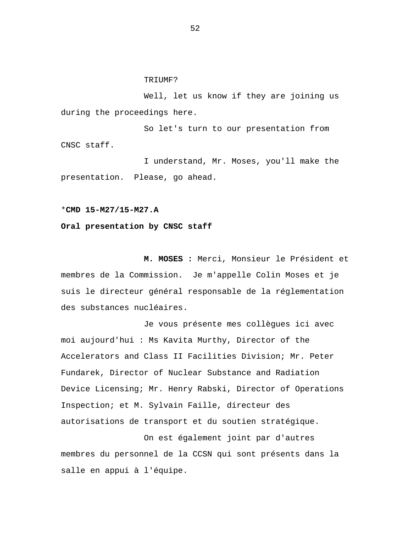## TRIUMF?

Well, let us know if they are joining us during the proceedings here.

So let's turn to our presentation from CNSC staff.

I understand, Mr. Moses, you'll make the presentation. Please, go ahead.

```
*CMD 15-M27/15-M27.A
```
## **Oral presentation by CNSC staff**

**M. MOSES :** Merci, Monsieur le Président et membres de la Commission. Je m'appelle Colin Moses et je suis le directeur général responsable de la réglementation des substances nucléaires.

Je vous présente mes collègues ici avec moi aujourd'hui : Ms Kavita Murthy, Director of the Accelerators and Class II Facilities Division; Mr. Peter Fundarek, Director of Nuclear Substance and Radiation Device Licensing; Mr. Henry Rabski, Director of Operations Inspection; et M. Sylvain Faille, directeur des autorisations de transport et du soutien stratégique.

On est également joint par d'autres membres du personnel de la CCSN qui sont présents dans la salle en appui à l'équipe.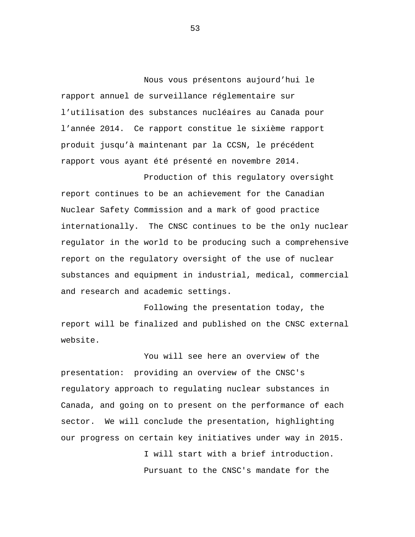Nous vous présentons aujourd'hui le rapport annuel de surveillance réglementaire sur l'utilisation des substances nucléaires au Canada pour l'année 2014. Ce rapport constitue le sixième rapport produit jusqu'à maintenant par la CCSN, le précédent rapport vous ayant été présenté en novembre 2014.

Production of this regulatory oversight report continues to be an achievement for the Canadian Nuclear Safety Commission and a mark of good practice internationally. The CNSC continues to be the only nuclear regulator in the world to be producing such a comprehensive report on the regulatory oversight of the use of nuclear substances and equipment in industrial, medical, commercial and research and academic settings.

Following the presentation today, the report will be finalized and published on the CNSC external website.

You will see here an overview of the presentation: providing an overview of the CNSC's regulatory approach to regulating nuclear substances in Canada, and going on to present on the performance of each sector. We will conclude the presentation, highlighting our progress on certain key initiatives under way in 2015.

> I will start with a brief introduction. Pursuant to the CNSC's mandate for the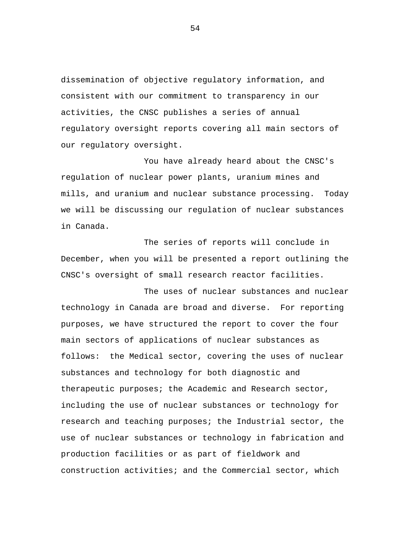dissemination of objective regulatory information, and consistent with our commitment to transparency in our activities, the CNSC publishes a series of annual regulatory oversight reports covering all main sectors of our regulatory oversight.

You have already heard about the CNSC's regulation of nuclear power plants, uranium mines and mills, and uranium and nuclear substance processing. Today we will be discussing our regulation of nuclear substances in Canada.

The series of reports will conclude in December, when you will be presented a report outlining the CNSC's oversight of small research reactor facilities.

The uses of nuclear substances and nuclear technology in Canada are broad and diverse. For reporting purposes, we have structured the report to cover the four main sectors of applications of nuclear substances as follows: the Medical sector, covering the uses of nuclear substances and technology for both diagnostic and therapeutic purposes; the Academic and Research sector, including the use of nuclear substances or technology for research and teaching purposes; the Industrial sector, the use of nuclear substances or technology in fabrication and production facilities or as part of fieldwork and construction activities; and the Commercial sector, which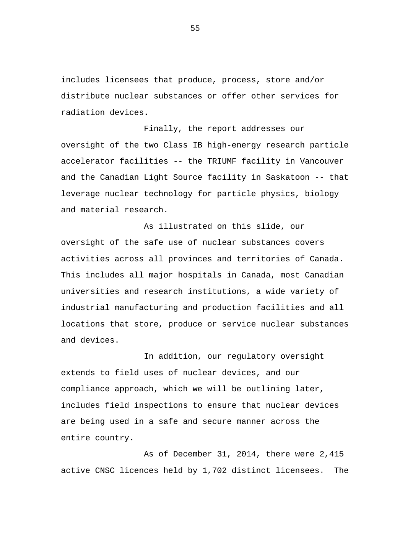includes licensees that produce, process, store and/or distribute nuclear substances or offer other services for radiation devices.

Finally, the report addresses our oversight of the two Class IB high-energy research particle accelerator facilities -- the TRIUMF facility in Vancouver and the Canadian Light Source facility in Saskatoon -- that leverage nuclear technology for particle physics, biology and material research.

As illustrated on this slide, our oversight of the safe use of nuclear substances covers activities across all provinces and territories of Canada. This includes all major hospitals in Canada, most Canadian universities and research institutions, a wide variety of industrial manufacturing and production facilities and all locations that store, produce or service nuclear substances and devices.

In addition, our regulatory oversight extends to field uses of nuclear devices, and our compliance approach, which we will be outlining later, includes field inspections to ensure that nuclear devices are being used in a safe and secure manner across the entire country.

As of December 31, 2014, there were 2,415 active CNSC licences held by 1,702 distinct licensees. The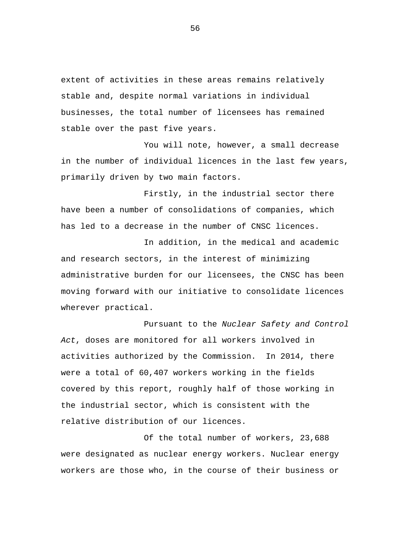extent of activities in these areas remains relatively stable and, despite normal variations in individual businesses, the total number of licensees has remained stable over the past five years.

You will note, however, a small decrease in the number of individual licences in the last few years, primarily driven by two main factors.

Firstly, in the industrial sector there have been a number of consolidations of companies, which has led to a decrease in the number of CNSC licences.

In addition, in the medical and academic and research sectors, in the interest of minimizing administrative burden for our licensees, the CNSC has been moving forward with our initiative to consolidate licences wherever practical.

Pursuant to the *Nuclear Safety and Control Act*, doses are monitored for all workers involved in activities authorized by the Commission. In 2014, there were a total of 60,407 workers working in the fields covered by this report, roughly half of those working in the industrial sector, which is consistent with the relative distribution of our licences.

Of the total number of workers, 23,688 were designated as nuclear energy workers. Nuclear energy workers are those who, in the course of their business or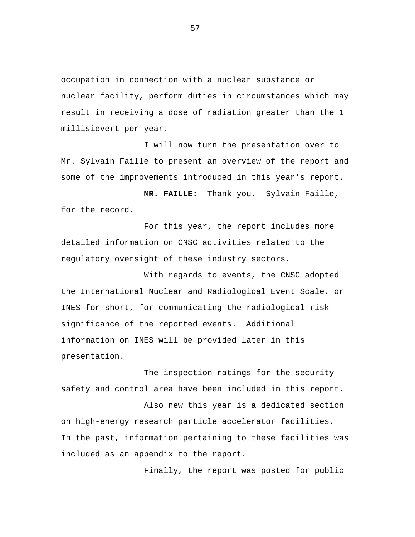occupation in connection with a nuclear substance or nuclear facility, perform duties in circumstances which may result in receiving a dose of radiation greater than the 1 millisievert per year.

I will now turn the presentation over to Mr. Sylvain Faille to present an overview of the report and some of the improvements introduced in this year's report.

**MR. FAILLE:** Thank you. Sylvain Faille, for the record.

For this year, the report includes more detailed information on CNSC activities related to the regulatory oversight of these industry sectors.

With regards to events, the CNSC adopted the International Nuclear and Radiological Event Scale, or INES for short, for communicating the radiological risk significance of the reported events. Additional information on INES will be provided later in this presentation.

The inspection ratings for the security safety and control area have been included in this report.

Also new this year is a dedicated section on high-energy research particle accelerator facilities. In the past, information pertaining to these facilities was included as an appendix to the report.

Finally, the report was posted for public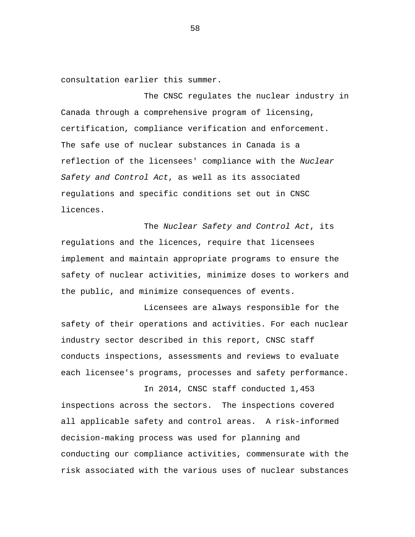consultation earlier this summer.

The CNSC regulates the nuclear industry in Canada through a comprehensive program of licensing, certification, compliance verification and enforcement. The safe use of nuclear substances in Canada is a reflection of the licensees' compliance with the *Nuclear Safety and Control Act*, as well as its associated regulations and specific conditions set out in CNSC licences.

The *Nuclear Safety and Control Act*, its regulations and the licences, require that licensees implement and maintain appropriate programs to ensure the safety of nuclear activities, minimize doses to workers and the public, and minimize consequences of events.

Licensees are always responsible for the safety of their operations and activities. For each nuclear industry sector described in this report, CNSC staff conducts inspections, assessments and reviews to evaluate each licensee's programs, processes and safety performance.

In 2014, CNSC staff conducted 1,453 inspections across the sectors. The inspections covered all applicable safety and control areas. A risk-informed decision-making process was used for planning and conducting our compliance activities, commensurate with the risk associated with the various uses of nuclear substances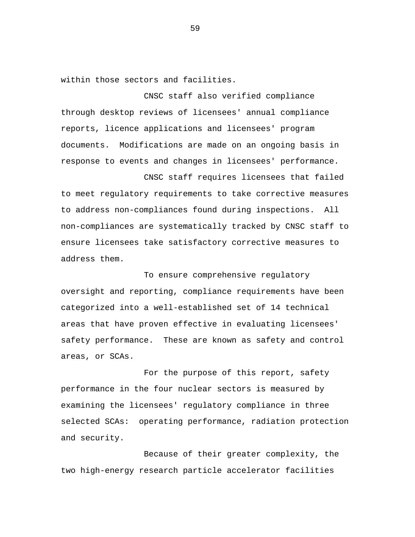within those sectors and facilities.

CNSC staff also verified compliance through desktop reviews of licensees' annual compliance reports, licence applications and licensees' program documents. Modifications are made on an ongoing basis in response to events and changes in licensees' performance.

CNSC staff requires licensees that failed to meet regulatory requirements to take corrective measures to address non-compliances found during inspections. All non-compliances are systematically tracked by CNSC staff to ensure licensees take satisfactory corrective measures to address them.

To ensure comprehensive regulatory oversight and reporting, compliance requirements have been categorized into a well-established set of 14 technical areas that have proven effective in evaluating licensees' safety performance. These are known as safety and control areas, or SCAs.

For the purpose of this report, safety performance in the four nuclear sectors is measured by examining the licensees' regulatory compliance in three selected SCAs: operating performance, radiation protection and security.

Because of their greater complexity, the two high-energy research particle accelerator facilities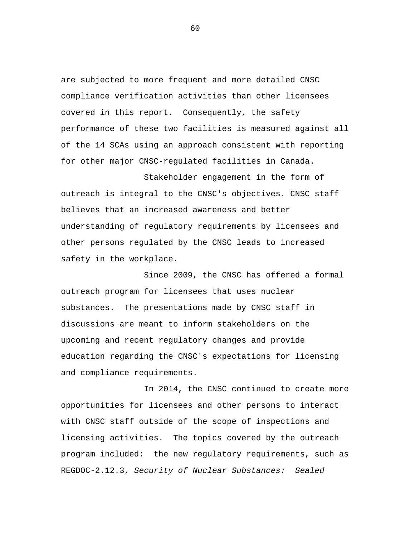are subjected to more frequent and more detailed CNSC compliance verification activities than other licensees covered in this report. Consequently, the safety performance of these two facilities is measured against all of the 14 SCAs using an approach consistent with reporting for other major CNSC-regulated facilities in Canada.

Stakeholder engagement in the form of outreach is integral to the CNSC's objectives. CNSC staff believes that an increased awareness and better understanding of regulatory requirements by licensees and other persons regulated by the CNSC leads to increased safety in the workplace.

Since 2009, the CNSC has offered a formal outreach program for licensees that uses nuclear substances. The presentations made by CNSC staff in discussions are meant to inform stakeholders on the upcoming and recent regulatory changes and provide education regarding the CNSC's expectations for licensing and compliance requirements.

In 2014, the CNSC continued to create more opportunities for licensees and other persons to interact with CNSC staff outside of the scope of inspections and licensing activities. The topics covered by the outreach program included: the new regulatory requirements, such as REGDOC-2.12.3, *Security of Nuclear Substances: Sealed*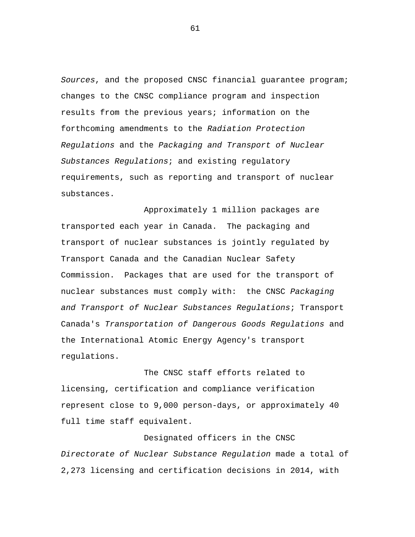*Sources*, and the proposed CNSC financial guarantee program; changes to the CNSC compliance program and inspection results from the previous years; information on the forthcoming amendments to the *Radiation Protection Regulations* and the *Packaging and Transport of Nuclear Substances Regulations*; and existing regulatory requirements, such as reporting and transport of nuclear substances.

Approximately 1 million packages are transported each year in Canada. The packaging and transport of nuclear substances is jointly regulated by Transport Canada and the Canadian Nuclear Safety Commission. Packages that are used for the transport of nuclear substances must comply with: the CNSC *Packaging and Transport of Nuclear Substances Regulations*; Transport Canada's *Transportation of Dangerous Goods Regulations* and the International Atomic Energy Agency's transport regulations.

The CNSC staff efforts related to licensing, certification and compliance verification represent close to 9,000 person-days, or approximately 40 full time staff equivalent.

Designated officers in the CNSC *Directorate of Nuclear Substance Regulation* made a total of 2,273 licensing and certification decisions in 2014, with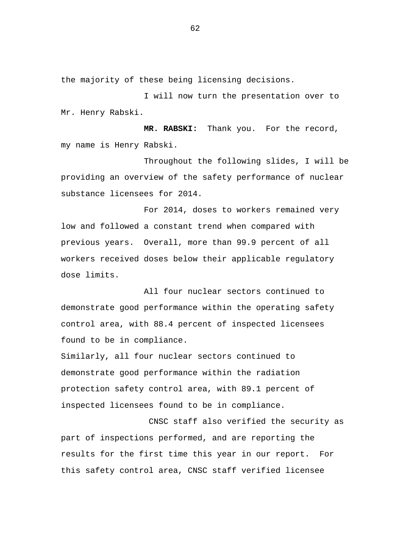the majority of these being licensing decisions.

I will now turn the presentation over to Mr. Henry Rabski.

**MR. RABSKI:** Thank you. For the record, my name is Henry Rabski.

Throughout the following slides, I will be providing an overview of the safety performance of nuclear substance licensees for 2014.

For 2014, doses to workers remained very low and followed a constant trend when compared with previous years. Overall, more than 99.9 percent of all workers received doses below their applicable regulatory dose limits.

All four nuclear sectors continued to demonstrate good performance within the operating safety control area, with 88.4 percent of inspected licensees found to be in compliance.

Similarly, all four nuclear sectors continued to demonstrate good performance within the radiation protection safety control area, with 89.1 percent of inspected licensees found to be in compliance.

CNSC staff also verified the security as part of inspections performed, and are reporting the results for the first time this year in our report. For this safety control area, CNSC staff verified licensee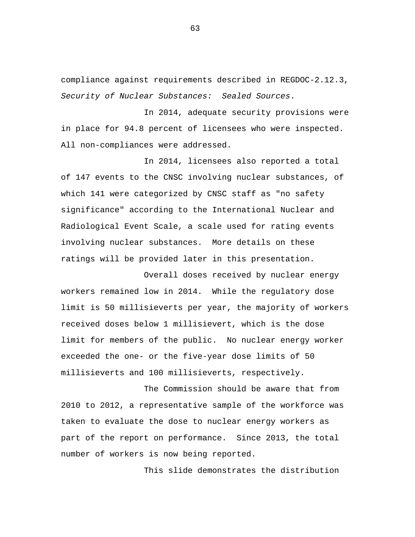compliance against requirements described in REGDOC-2.12.3, *Security of Nuclear Substances: Sealed Sources*.

In 2014, adequate security provisions were in place for 94.8 percent of licensees who were inspected. All non-compliances were addressed.

In 2014, licensees also reported a total of 147 events to the CNSC involving nuclear substances, of which 141 were categorized by CNSC staff as "no safety significance" according to the International Nuclear and Radiological Event Scale, a scale used for rating events involving nuclear substances. More details on these ratings will be provided later in this presentation.

Overall doses received by nuclear energy workers remained low in 2014. While the regulatory dose limit is 50 millisieverts per year, the majority of workers received doses below 1 millisievert, which is the dose limit for members of the public. No nuclear energy worker exceeded the one- or the five-year dose limits of 50 millisieverts and 100 millisieverts, respectively.

The Commission should be aware that from 2010 to 2012, a representative sample of the workforce was taken to evaluate the dose to nuclear energy workers as part of the report on performance. Since 2013, the total number of workers is now being reported.

This slide demonstrates the distribution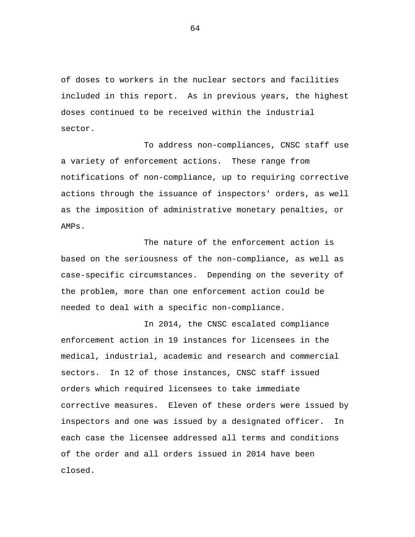of doses to workers in the nuclear sectors and facilities included in this report. As in previous years, the highest doses continued to be received within the industrial sector.

To address non-compliances, CNSC staff use a variety of enforcement actions. These range from notifications of non-compliance, up to requiring corrective actions through the issuance of inspectors' orders, as well as the imposition of administrative monetary penalties, or AMPs.

The nature of the enforcement action is based on the seriousness of the non-compliance, as well as case-specific circumstances. Depending on the severity of the problem, more than one enforcement action could be needed to deal with a specific non-compliance.

In 2014, the CNSC escalated compliance enforcement action in 19 instances for licensees in the medical, industrial, academic and research and commercial sectors. In 12 of those instances, CNSC staff issued orders which required licensees to take immediate corrective measures. Eleven of these orders were issued by inspectors and one was issued by a designated officer. In each case the licensee addressed all terms and conditions of the order and all orders issued in 2014 have been closed.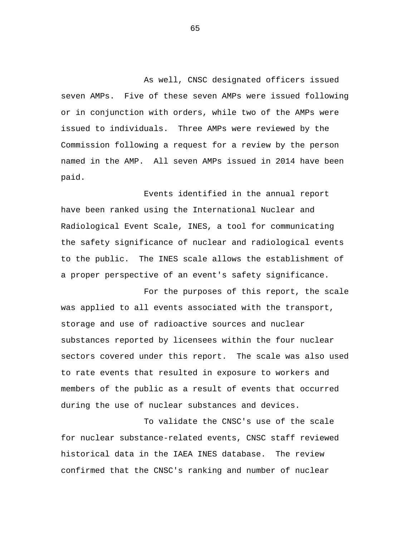As well, CNSC designated officers issued seven AMPs. Five of these seven AMPs were issued following or in conjunction with orders, while two of the AMPs were issued to individuals. Three AMPs were reviewed by the Commission following a request for a review by the person named in the AMP. All seven AMPs issued in 2014 have been paid.

Events identified in the annual report have been ranked using the International Nuclear and Radiological Event Scale, INES, a tool for communicating the safety significance of nuclear and radiological events to the public. The INES scale allows the establishment of a proper perspective of an event's safety significance.

For the purposes of this report, the scale was applied to all events associated with the transport, storage and use of radioactive sources and nuclear substances reported by licensees within the four nuclear sectors covered under this report. The scale was also used to rate events that resulted in exposure to workers and members of the public as a result of events that occurred during the use of nuclear substances and devices.

To validate the CNSC's use of the scale for nuclear substance-related events, CNSC staff reviewed historical data in the IAEA INES database. The review confirmed that the CNSC's ranking and number of nuclear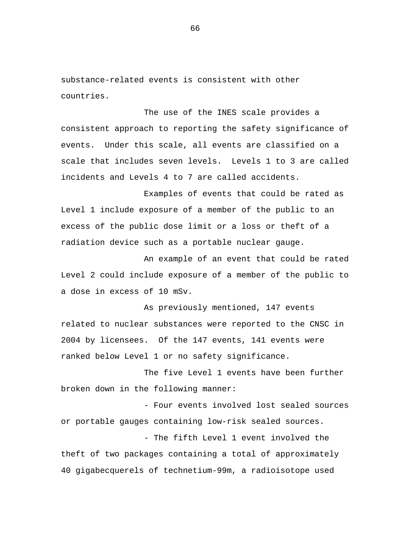substance-related events is consistent with other countries.

The use of the INES scale provides a consistent approach to reporting the safety significance of events. Under this scale, all events are classified on a scale that includes seven levels. Levels 1 to 3 are called incidents and Levels 4 to 7 are called accidents.

Examples of events that could be rated as Level 1 include exposure of a member of the public to an excess of the public dose limit or a loss or theft of a radiation device such as a portable nuclear gauge.

An example of an event that could be rated Level 2 could include exposure of a member of the public to a dose in excess of 10 mSv.

As previously mentioned, 147 events related to nuclear substances were reported to the CNSC in 2004 by licensees. Of the 147 events, 141 events were ranked below Level 1 or no safety significance.

The five Level 1 events have been further broken down in the following manner:

- Four events involved lost sealed sources or portable gauges containing low-risk sealed sources.

- The fifth Level 1 event involved the theft of two packages containing a total of approximately 40 gigabecquerels of technetium-99m, a radioisotope used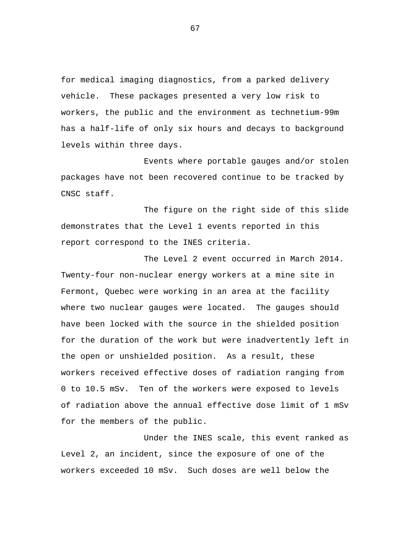for medical imaging diagnostics, from a parked delivery vehicle. These packages presented a very low risk to workers, the public and the environment as technetium-99m has a half-life of only six hours and decays to background levels within three days.

Events where portable gauges and/or stolen packages have not been recovered continue to be tracked by CNSC staff.

The figure on the right side of this slide demonstrates that the Level 1 events reported in this report correspond to the INES criteria.

The Level 2 event occurred in March 2014. Twenty-four non-nuclear energy workers at a mine site in Fermont, Quebec were working in an area at the facility where two nuclear gauges were located. The gauges should have been locked with the source in the shielded position for the duration of the work but were inadvertently left in the open or unshielded position. As a result, these workers received effective doses of radiation ranging from 0 to 10.5 mSv. Ten of the workers were exposed to levels of radiation above the annual effective dose limit of 1 mSv for the members of the public.

Under the INES scale, this event ranked as Level 2, an incident, since the exposure of one of the workers exceeded 10 mSv. Such doses are well below the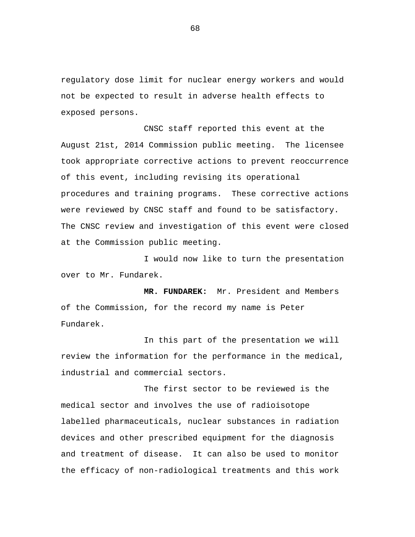regulatory dose limit for nuclear energy workers and would not be expected to result in adverse health effects to exposed persons.

CNSC staff reported this event at the August 21st, 2014 Commission public meeting. The licensee took appropriate corrective actions to prevent reoccurrence of this event, including revising its operational procedures and training programs. These corrective actions were reviewed by CNSC staff and found to be satisfactory. The CNSC review and investigation of this event were closed at the Commission public meeting.

I would now like to turn the presentation over to Mr. Fundarek.

**MR. FUNDAREK:** Mr. President and Members of the Commission, for the record my name is Peter Fundarek.

In this part of the presentation we will review the information for the performance in the medical, industrial and commercial sectors.

The first sector to be reviewed is the medical sector and involves the use of radioisotope labelled pharmaceuticals, nuclear substances in radiation devices and other prescribed equipment for the diagnosis and treatment of disease. It can also be used to monitor the efficacy of non-radiological treatments and this work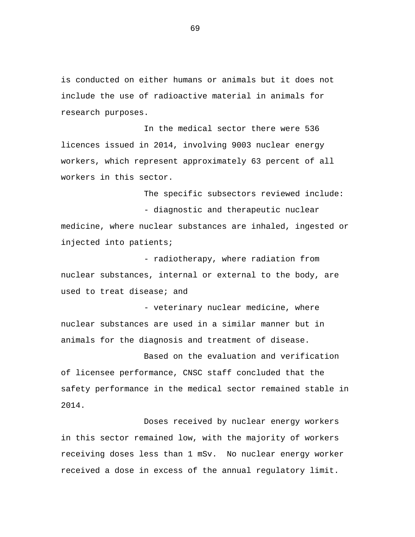is conducted on either humans or animals but it does not include the use of radioactive material in animals for research purposes.

In the medical sector there were 536 licences issued in 2014, involving 9003 nuclear energy workers, which represent approximately 63 percent of all workers in this sector.

The specific subsectors reviewed include: - diagnostic and therapeutic nuclear medicine, where nuclear substances are inhaled, ingested or injected into patients;

- radiotherapy, where radiation from nuclear substances, internal or external to the body, are used to treat disease; and

- veterinary nuclear medicine, where nuclear substances are used in a similar manner but in animals for the diagnosis and treatment of disease.

Based on the evaluation and verification of licensee performance, CNSC staff concluded that the safety performance in the medical sector remained stable in 2014.

Doses received by nuclear energy workers in this sector remained low, with the majority of workers receiving doses less than 1 mSv. No nuclear energy worker received a dose in excess of the annual regulatory limit.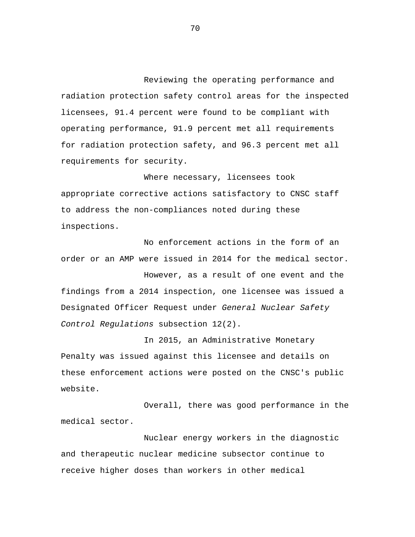Reviewing the operating performance and radiation protection safety control areas for the inspected licensees, 91.4 percent were found to be compliant with operating performance, 91.9 percent met all requirements for radiation protection safety, and 96.3 percent met all requirements for security.

Where necessary, licensees took appropriate corrective actions satisfactory to CNSC staff to address the non-compliances noted during these inspections.

No enforcement actions in the form of an order or an AMP were issued in 2014 for the medical sector.

However, as a result of one event and the findings from a 2014 inspection, one licensee was issued a Designated Officer Request under *General Nuclear Safety Control Regulations* subsection 12(2).

In 2015, an Administrative Monetary Penalty was issued against this licensee and details on these enforcement actions were posted on the CNSC's public website.

Overall, there was good performance in the medical sector.

Nuclear energy workers in the diagnostic and therapeutic nuclear medicine subsector continue to receive higher doses than workers in other medical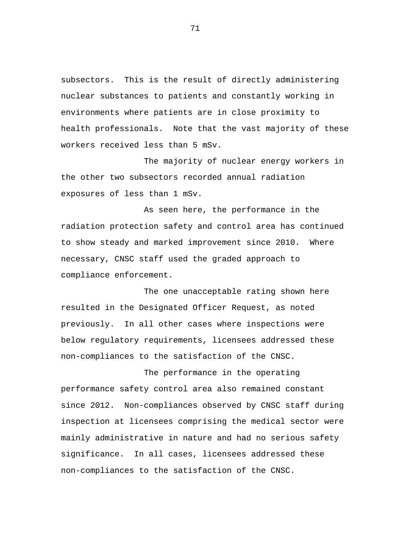subsectors. This is the result of directly administering nuclear substances to patients and constantly working in environments where patients are in close proximity to health professionals. Note that the vast majority of these workers received less than 5 mSv.

The majority of nuclear energy workers in the other two subsectors recorded annual radiation exposures of less than 1 mSv.

As seen here, the performance in the radiation protection safety and control area has continued to show steady and marked improvement since 2010. Where necessary, CNSC staff used the graded approach to compliance enforcement.

The one unacceptable rating shown here resulted in the Designated Officer Request, as noted previously. In all other cases where inspections were below regulatory requirements, licensees addressed these non-compliances to the satisfaction of the CNSC.

The performance in the operating performance safety control area also remained constant since 2012. Non-compliances observed by CNSC staff during inspection at licensees comprising the medical sector were mainly administrative in nature and had no serious safety significance. In all cases, licensees addressed these non-compliances to the satisfaction of the CNSC.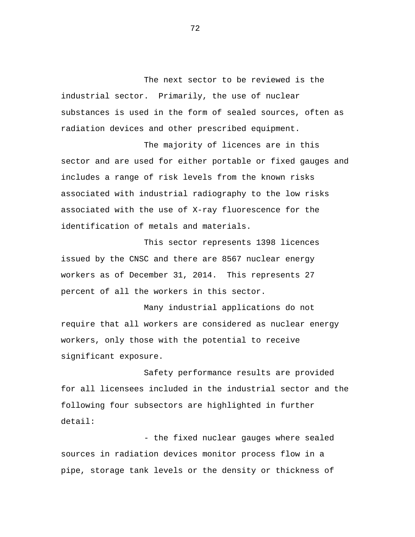The next sector to be reviewed is the industrial sector. Primarily, the use of nuclear substances is used in the form of sealed sources, often as radiation devices and other prescribed equipment.

The majority of licences are in this sector and are used for either portable or fixed gauges and includes a range of risk levels from the known risks associated with industrial radiography to the low risks associated with the use of X-ray fluorescence for the identification of metals and materials.

This sector represents 1398 licences issued by the CNSC and there are 8567 nuclear energy workers as of December 31, 2014. This represents 27 percent of all the workers in this sector.

Many industrial applications do not require that all workers are considered as nuclear energy workers, only those with the potential to receive significant exposure.

Safety performance results are provided for all licensees included in the industrial sector and the following four subsectors are highlighted in further detail:

- the fixed nuclear gauges where sealed sources in radiation devices monitor process flow in a pipe, storage tank levels or the density or thickness of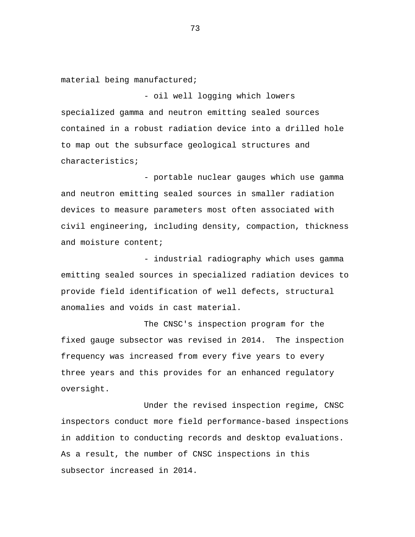material being manufactured;

- oil well logging which lowers specialized gamma and neutron emitting sealed sources contained in a robust radiation device into a drilled hole to map out the subsurface geological structures and characteristics;

- portable nuclear gauges which use gamma and neutron emitting sealed sources in smaller radiation devices to measure parameters most often associated with civil engineering, including density, compaction, thickness and moisture content;

- industrial radiography which uses gamma emitting sealed sources in specialized radiation devices to provide field identification of well defects, structural anomalies and voids in cast material.

The CNSC's inspection program for the fixed gauge subsector was revised in 2014. The inspection frequency was increased from every five years to every three years and this provides for an enhanced regulatory oversight.

Under the revised inspection regime, CNSC inspectors conduct more field performance-based inspections in addition to conducting records and desktop evaluations. As a result, the number of CNSC inspections in this subsector increased in 2014.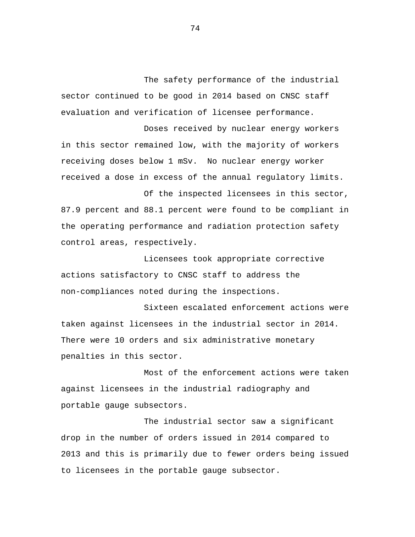The safety performance of the industrial sector continued to be good in 2014 based on CNSC staff evaluation and verification of licensee performance.

Doses received by nuclear energy workers in this sector remained low, with the majority of workers receiving doses below 1 mSv. No nuclear energy worker received a dose in excess of the annual regulatory limits.

Of the inspected licensees in this sector, 87.9 percent and 88.1 percent were found to be compliant in the operating performance and radiation protection safety control areas, respectively.

Licensees took appropriate corrective actions satisfactory to CNSC staff to address the non-compliances noted during the inspections.

Sixteen escalated enforcement actions were taken against licensees in the industrial sector in 2014. There were 10 orders and six administrative monetary penalties in this sector.

Most of the enforcement actions were taken against licensees in the industrial radiography and portable gauge subsectors.

The industrial sector saw a significant drop in the number of orders issued in 2014 compared to 2013 and this is primarily due to fewer orders being issued to licensees in the portable gauge subsector.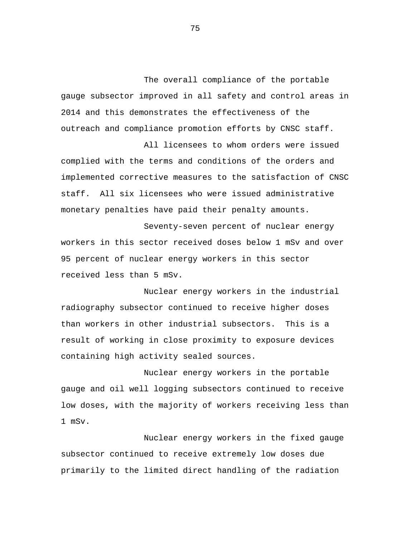The overall compliance of the portable gauge subsector improved in all safety and control areas in 2014 and this demonstrates the effectiveness of the outreach and compliance promotion efforts by CNSC staff.

All licensees to whom orders were issued complied with the terms and conditions of the orders and implemented corrective measures to the satisfaction of CNSC staff. All six licensees who were issued administrative monetary penalties have paid their penalty amounts.

Seventy-seven percent of nuclear energy workers in this sector received doses below 1 mSv and over 95 percent of nuclear energy workers in this sector received less than 5 mSv.

Nuclear energy workers in the industrial radiography subsector continued to receive higher doses than workers in other industrial subsectors. This is a result of working in close proximity to exposure devices containing high activity sealed sources.

Nuclear energy workers in the portable gauge and oil well logging subsectors continued to receive low doses, with the majority of workers receiving less than 1 mSv.

Nuclear energy workers in the fixed gauge subsector continued to receive extremely low doses due primarily to the limited direct handling of the radiation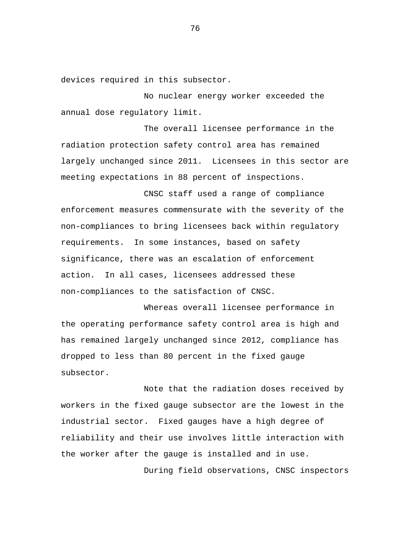devices required in this subsector.

No nuclear energy worker exceeded the annual dose regulatory limit.

The overall licensee performance in the radiation protection safety control area has remained largely unchanged since 2011. Licensees in this sector are meeting expectations in 88 percent of inspections.

CNSC staff used a range of compliance enforcement measures commensurate with the severity of the non-compliances to bring licensees back within regulatory requirements. In some instances, based on safety significance, there was an escalation of enforcement action. In all cases, licensees addressed these non-compliances to the satisfaction of CNSC.

Whereas overall licensee performance in the operating performance safety control area is high and has remained largely unchanged since 2012, compliance has dropped to less than 80 percent in the fixed gauge subsector.

Note that the radiation doses received by workers in the fixed gauge subsector are the lowest in the industrial sector. Fixed gauges have a high degree of reliability and their use involves little interaction with the worker after the gauge is installed and in use.

During field observations, CNSC inspectors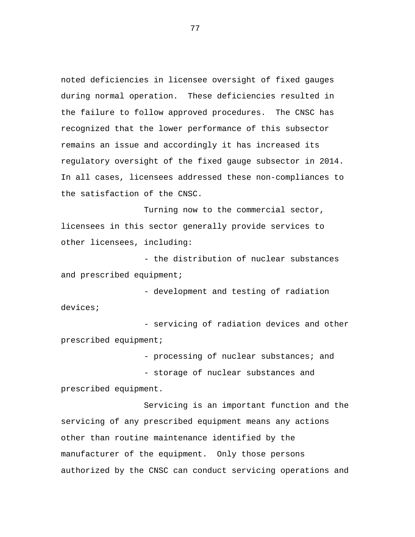noted deficiencies in licensee oversight of fixed gauges during normal operation. These deficiencies resulted in the failure to follow approved procedures. The CNSC has recognized that the lower performance of this subsector remains an issue and accordingly it has increased its regulatory oversight of the fixed gauge subsector in 2014. In all cases, licensees addressed these non-compliances to the satisfaction of the CNSC.

Turning now to the commercial sector, licensees in this sector generally provide services to other licensees, including:

- the distribution of nuclear substances and prescribed equipment;

- development and testing of radiation devices;

- servicing of radiation devices and other prescribed equipment;

- processing of nuclear substances; and

- storage of nuclear substances and

prescribed equipment.

Servicing is an important function and the servicing of any prescribed equipment means any actions other than routine maintenance identified by the manufacturer of the equipment. Only those persons authorized by the CNSC can conduct servicing operations and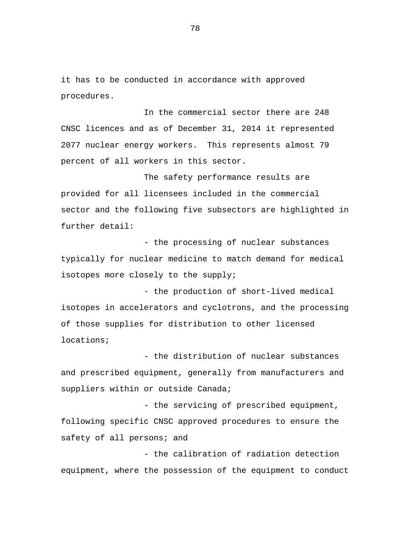it has to be conducted in accordance with approved procedures.

In the commercial sector there are 248 CNSC licences and as of December 31, 2014 it represented 2077 nuclear energy workers. This represents almost 79 percent of all workers in this sector.

The safety performance results are provided for all licensees included in the commercial sector and the following five subsectors are highlighted in further detail:

- the processing of nuclear substances typically for nuclear medicine to match demand for medical isotopes more closely to the supply;

- the production of short-lived medical isotopes in accelerators and cyclotrons, and the processing of those supplies for distribution to other licensed locations;

- the distribution of nuclear substances and prescribed equipment, generally from manufacturers and suppliers within or outside Canada;

- the servicing of prescribed equipment, following specific CNSC approved procedures to ensure the safety of all persons; and

- the calibration of radiation detection equipment, where the possession of the equipment to conduct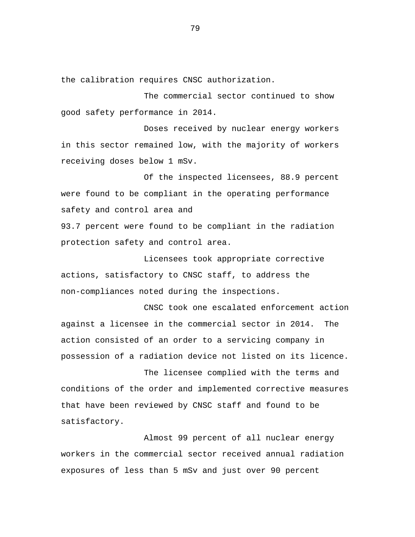the calibration requires CNSC authorization.

The commercial sector continued to show good safety performance in 2014.

Doses received by nuclear energy workers in this sector remained low, with the majority of workers receiving doses below 1 mSv.

Of the inspected licensees, 88.9 percent were found to be compliant in the operating performance safety and control area and

93.7 percent were found to be compliant in the radiation protection safety and control area.

Licensees took appropriate corrective actions, satisfactory to CNSC staff, to address the non-compliances noted during the inspections.

CNSC took one escalated enforcement action against a licensee in the commercial sector in 2014. The action consisted of an order to a servicing company in possession of a radiation device not listed on its licence.

The licensee complied with the terms and conditions of the order and implemented corrective measures that have been reviewed by CNSC staff and found to be satisfactory.

Almost 99 percent of all nuclear energy workers in the commercial sector received annual radiation exposures of less than 5 mSv and just over 90 percent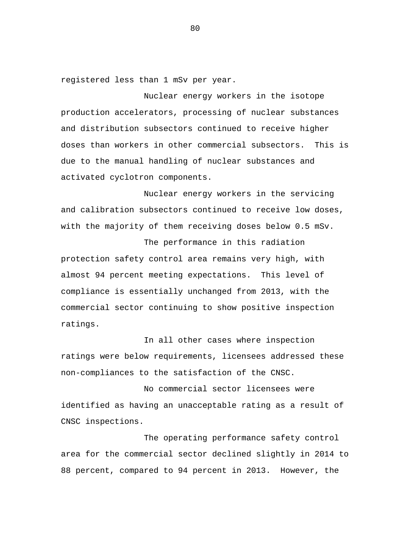registered less than 1 mSv per year.

Nuclear energy workers in the isotope production accelerators, processing of nuclear substances and distribution subsectors continued to receive higher doses than workers in other commercial subsectors. This is due to the manual handling of nuclear substances and activated cyclotron components.

Nuclear energy workers in the servicing and calibration subsectors continued to receive low doses, with the majority of them receiving doses below 0.5 mSv.

The performance in this radiation protection safety control area remains very high, with almost 94 percent meeting expectations. This level of compliance is essentially unchanged from 2013, with the commercial sector continuing to show positive inspection ratings.

In all other cases where inspection ratings were below requirements, licensees addressed these non-compliances to the satisfaction of the CNSC.

No commercial sector licensees were identified as having an unacceptable rating as a result of CNSC inspections.

The operating performance safety control area for the commercial sector declined slightly in 2014 to 88 percent, compared to 94 percent in 2013. However, the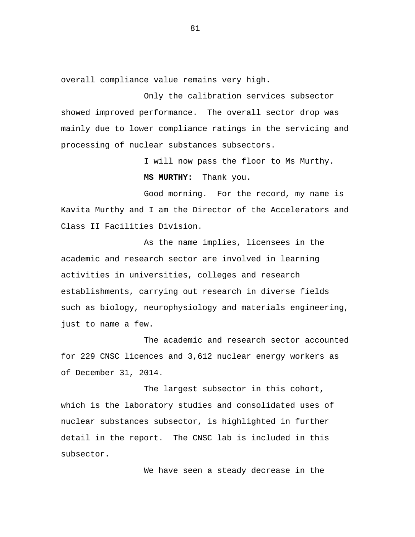overall compliance value remains very high.

Only the calibration services subsector showed improved performance. The overall sector drop was mainly due to lower compliance ratings in the servicing and processing of nuclear substances subsectors.

I will now pass the floor to Ms Murthy.

**MS MURTHY:** Thank you.

Good morning. For the record, my name is Kavita Murthy and I am the Director of the Accelerators and Class II Facilities Division.

As the name implies, licensees in the academic and research sector are involved in learning activities in universities, colleges and research establishments, carrying out research in diverse fields such as biology, neurophysiology and materials engineering, just to name a few.

The academic and research sector accounted for 229 CNSC licences and 3,612 nuclear energy workers as of December 31, 2014.

The largest subsector in this cohort, which is the laboratory studies and consolidated uses of nuclear substances subsector, is highlighted in further detail in the report. The CNSC lab is included in this subsector.

We have seen a steady decrease in the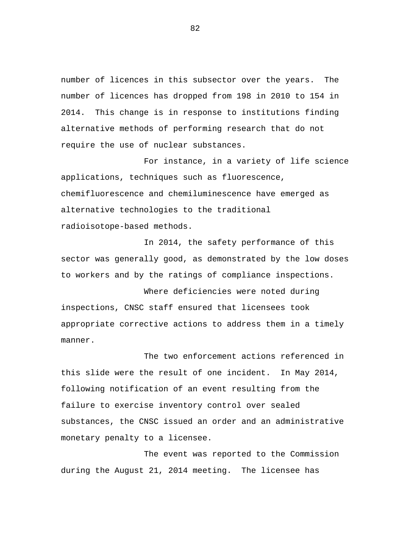number of licences in this subsector over the years. The number of licences has dropped from 198 in 2010 to 154 in 2014. This change is in response to institutions finding alternative methods of performing research that do not require the use of nuclear substances.

For instance, in a variety of life science applications, techniques such as fluorescence, chemifluorescence and chemiluminescence have emerged as alternative technologies to the traditional radioisotope-based methods.

In 2014, the safety performance of this sector was generally good, as demonstrated by the low doses to workers and by the ratings of compliance inspections.

Where deficiencies were noted during inspections, CNSC staff ensured that licensees took appropriate corrective actions to address them in a timely manner.

The two enforcement actions referenced in this slide were the result of one incident. In May 2014, following notification of an event resulting from the failure to exercise inventory control over sealed substances, the CNSC issued an order and an administrative monetary penalty to a licensee.

The event was reported to the Commission during the August 21, 2014 meeting. The licensee has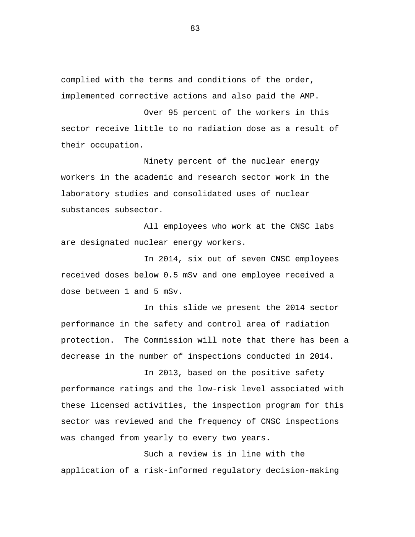complied with the terms and conditions of the order, implemented corrective actions and also paid the AMP.

Over 95 percent of the workers in this sector receive little to no radiation dose as a result of their occupation.

Ninety percent of the nuclear energy workers in the academic and research sector work in the laboratory studies and consolidated uses of nuclear substances subsector.

All employees who work at the CNSC labs are designated nuclear energy workers.

In 2014, six out of seven CNSC employees received doses below 0.5 mSv and one employee received a dose between 1 and 5 mSv.

In this slide we present the 2014 sector performance in the safety and control area of radiation protection. The Commission will note that there has been a decrease in the number of inspections conducted in 2014.

In 2013, based on the positive safety performance ratings and the low-risk level associated with these licensed activities, the inspection program for this sector was reviewed and the frequency of CNSC inspections was changed from yearly to every two years.

Such a review is in line with the application of a risk-informed regulatory decision-making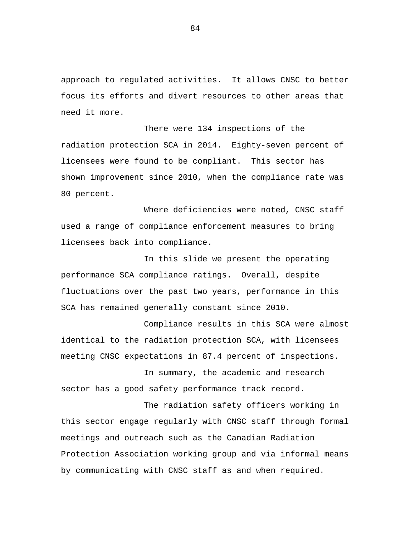approach to regulated activities. It allows CNSC to better focus its efforts and divert resources to other areas that need it more.

There were 134 inspections of the radiation protection SCA in 2014. Eighty-seven percent of licensees were found to be compliant. This sector has shown improvement since 2010, when the compliance rate was 80 percent.

Where deficiencies were noted, CNSC staff used a range of compliance enforcement measures to bring licensees back into compliance.

In this slide we present the operating performance SCA compliance ratings. Overall, despite fluctuations over the past two years, performance in this SCA has remained generally constant since 2010.

Compliance results in this SCA were almost identical to the radiation protection SCA, with licensees meeting CNSC expectations in 87.4 percent of inspections.

In summary, the academic and research sector has a good safety performance track record.

The radiation safety officers working in this sector engage regularly with CNSC staff through formal meetings and outreach such as the Canadian Radiation Protection Association working group and via informal means by communicating with CNSC staff as and when required.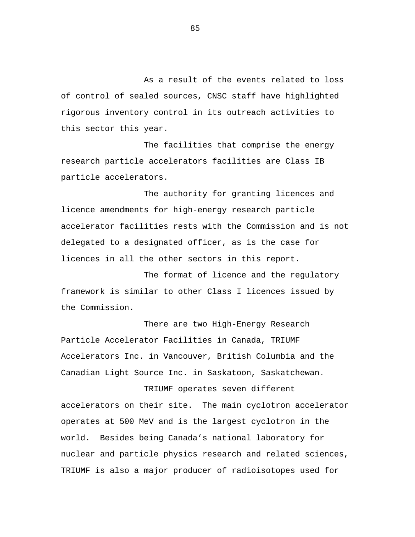As a result of the events related to loss of control of sealed sources, CNSC staff have highlighted rigorous inventory control in its outreach activities to this sector this year.

The facilities that comprise the energy research particle accelerators facilities are Class IB particle accelerators.

The authority for granting licences and licence amendments for high-energy research particle accelerator facilities rests with the Commission and is not delegated to a designated officer, as is the case for licences in all the other sectors in this report.

The format of licence and the regulatory framework is similar to other Class I licences issued by the Commission.

There are two High-Energy Research Particle Accelerator Facilities in Canada, TRIUMF Accelerators Inc. in Vancouver, British Columbia and the Canadian Light Source Inc. in Saskatoon, Saskatchewan.

TRIUMF operates seven different accelerators on their site. The main cyclotron accelerator operates at 500 MeV and is the largest cyclotron in the world. Besides being Canada's national laboratory for nuclear and particle physics research and related sciences, TRIUMF is also a major producer of radioisotopes used for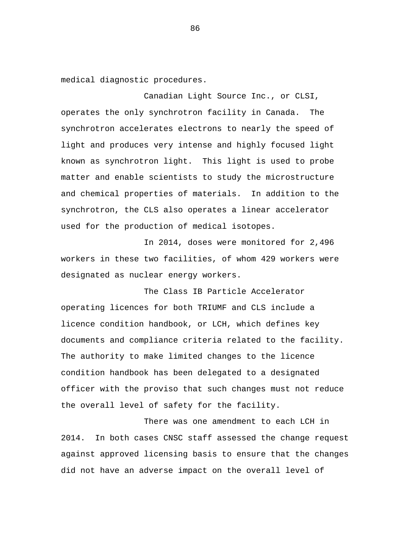medical diagnostic procedures.

Canadian Light Source Inc., or CLSI, operates the only synchrotron facility in Canada. The synchrotron accelerates electrons to nearly the speed of light and produces very intense and highly focused light known as synchrotron light. This light is used to probe matter and enable scientists to study the microstructure and chemical properties of materials. In addition to the synchrotron, the CLS also operates a linear accelerator used for the production of medical isotopes.

In 2014, doses were monitored for 2,496 workers in these two facilities, of whom 429 workers were designated as nuclear energy workers.

The Class IB Particle Accelerator operating licences for both TRIUMF and CLS include a licence condition handbook, or LCH, which defines key documents and compliance criteria related to the facility. The authority to make limited changes to the licence condition handbook has been delegated to a designated officer with the proviso that such changes must not reduce the overall level of safety for the facility.

There was one amendment to each LCH in 2014. In both cases CNSC staff assessed the change request against approved licensing basis to ensure that the changes did not have an adverse impact on the overall level of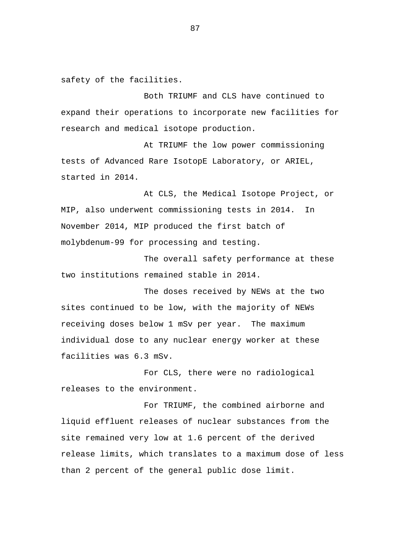safety of the facilities.

Both TRIUMF and CLS have continued to expand their operations to incorporate new facilities for research and medical isotope production.

At TRIUMF the low power commissioning tests of Advanced Rare IsotopE Laboratory, or ARIEL, started in 2014.

At CLS, the Medical Isotope Project, or MIP, also underwent commissioning tests in 2014. In November 2014, MIP produced the first batch of molybdenum-99 for processing and testing.

The overall safety performance at these two institutions remained stable in 2014.

The doses received by NEWs at the two sites continued to be low, with the majority of NEWs receiving doses below 1 mSv per year. The maximum individual dose to any nuclear energy worker at these facilities was 6.3 mSv.

For CLS, there were no radiological releases to the environment.

For TRIUMF, the combined airborne and liquid effluent releases of nuclear substances from the site remained very low at 1.6 percent of the derived release limits, which translates to a maximum dose of less than 2 percent of the general public dose limit.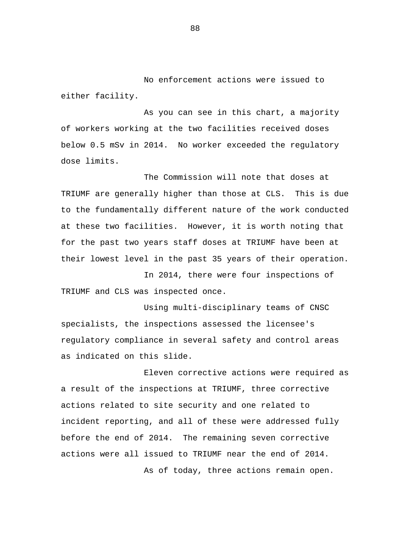No enforcement actions were issued to either facility.

As you can see in this chart, a majority of workers working at the two facilities received doses below 0.5 mSv in 2014. No worker exceeded the regulatory dose limits.

The Commission will note that doses at TRIUMF are generally higher than those at CLS. This is due to the fundamentally different nature of the work conducted at these two facilities. However, it is worth noting that for the past two years staff doses at TRIUMF have been at their lowest level in the past 35 years of their operation.

In 2014, there were four inspections of TRIUMF and CLS was inspected once.

Using multi-disciplinary teams of CNSC specialists, the inspections assessed the licensee's regulatory compliance in several safety and control areas as indicated on this slide.

Eleven corrective actions were required as a result of the inspections at TRIUMF, three corrective actions related to site security and one related to incident reporting, and all of these were addressed fully before the end of 2014. The remaining seven corrective actions were all issued to TRIUMF near the end of 2014.

As of today, three actions remain open.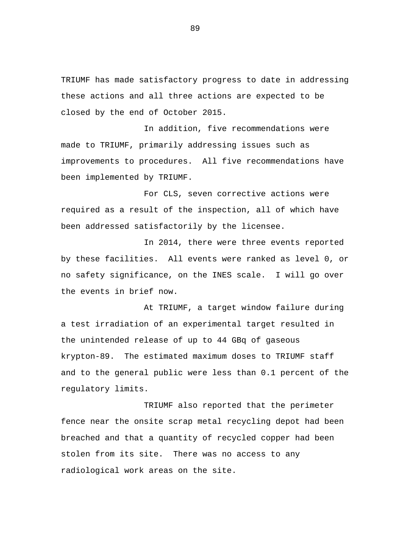TRIUMF has made satisfactory progress to date in addressing these actions and all three actions are expected to be closed by the end of October 2015.

In addition, five recommendations were made to TRIUMF, primarily addressing issues such as improvements to procedures. All five recommendations have been implemented by TRIUMF.

For CLS, seven corrective actions were required as a result of the inspection, all of which have been addressed satisfactorily by the licensee.

In 2014, there were three events reported by these facilities. All events were ranked as level 0, or no safety significance, on the INES scale. I will go over the events in brief now.

At TRIUMF, a target window failure during a test irradiation of an experimental target resulted in the unintended release of up to 44 GBq of gaseous krypton-89. The estimated maximum doses to TRIUMF staff and to the general public were less than 0.1 percent of the regulatory limits.

TRIUMF also reported that the perimeter fence near the onsite scrap metal recycling depot had been breached and that a quantity of recycled copper had been stolen from its site. There was no access to any radiological work areas on the site.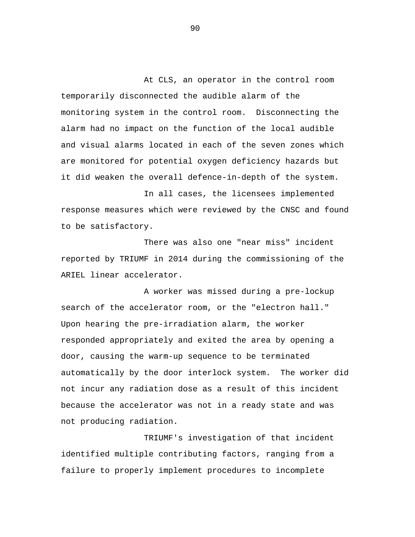At CLS, an operator in the control room temporarily disconnected the audible alarm of the monitoring system in the control room. Disconnecting the alarm had no impact on the function of the local audible and visual alarms located in each of the seven zones which are monitored for potential oxygen deficiency hazards but it did weaken the overall defence-in-depth of the system.

In all cases, the licensees implemented response measures which were reviewed by the CNSC and found to be satisfactory.

There was also one "near miss" incident reported by TRIUMF in 2014 during the commissioning of the ARIEL linear accelerator.

A worker was missed during a pre-lockup search of the accelerator room, or the "electron hall." Upon hearing the pre-irradiation alarm, the worker responded appropriately and exited the area by opening a door, causing the warm-up sequence to be terminated automatically by the door interlock system. The worker did not incur any radiation dose as a result of this incident because the accelerator was not in a ready state and was not producing radiation.

TRIUMF's investigation of that incident identified multiple contributing factors, ranging from a failure to properly implement procedures to incomplete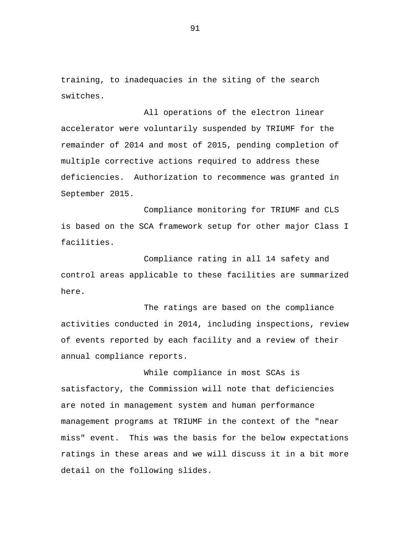training, to inadequacies in the siting of the search switches.

All operations of the electron linear accelerator were voluntarily suspended by TRIUMF for the remainder of 2014 and most of 2015, pending completion of multiple corrective actions required to address these deficiencies. Authorization to recommence was granted in September 2015.

Compliance monitoring for TRIUMF and CLS is based on the SCA framework setup for other major Class I facilities.

Compliance rating in all 14 safety and control areas applicable to these facilities are summarized here.

The ratings are based on the compliance activities conducted in 2014, including inspections, review of events reported by each facility and a review of their annual compliance reports.

While compliance in most SCAs is satisfactory, the Commission will note that deficiencies are noted in management system and human performance management programs at TRIUMF in the context of the "near miss" event. This was the basis for the below expectations ratings in these areas and we will discuss it in a bit more detail on the following slides.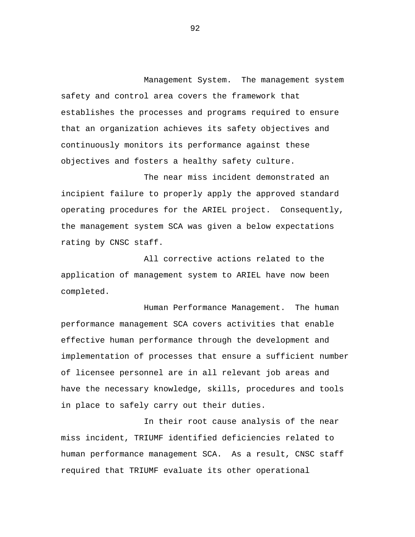Management System. The management system safety and control area covers the framework that establishes the processes and programs required to ensure that an organization achieves its safety objectives and continuously monitors its performance against these objectives and fosters a healthy safety culture.

The near miss incident demonstrated an incipient failure to properly apply the approved standard operating procedures for the ARIEL project. Consequently, the management system SCA was given a below expectations rating by CNSC staff.

All corrective actions related to the application of management system to ARIEL have now been completed.

Human Performance Management. The human performance management SCA covers activities that enable effective human performance through the development and implementation of processes that ensure a sufficient number of licensee personnel are in all relevant job areas and have the necessary knowledge, skills, procedures and tools in place to safely carry out their duties.

In their root cause analysis of the near miss incident, TRIUMF identified deficiencies related to human performance management SCA. As a result, CNSC staff required that TRIUMF evaluate its other operational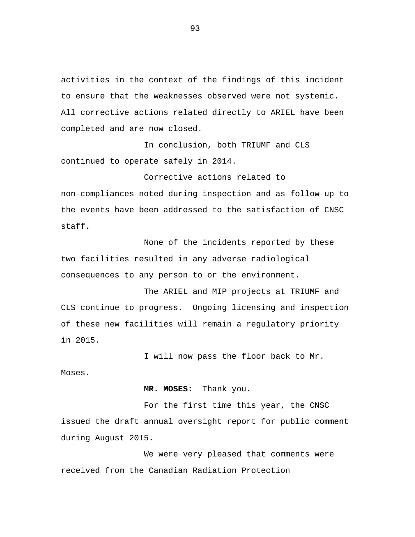activities in the context of the findings of this incident to ensure that the weaknesses observed were not systemic. All corrective actions related directly to ARIEL have been completed and are now closed.

In conclusion, both TRIUMF and CLS continued to operate safely in 2014.

Corrective actions related to non-compliances noted during inspection and as follow-up to the events have been addressed to the satisfaction of CNSC staff.

None of the incidents reported by these two facilities resulted in any adverse radiological consequences to any person to or the environment.

The ARIEL and MIP projects at TRIUMF and CLS continue to progress. Ongoing licensing and inspection of these new facilities will remain a regulatory priority in 2015.

I will now pass the floor back to Mr.

Moses.

**MR. MOSES:** Thank you.

For the first time this year, the CNSC issued the draft annual oversight report for public comment during August 2015.

We were very pleased that comments were received from the Canadian Radiation Protection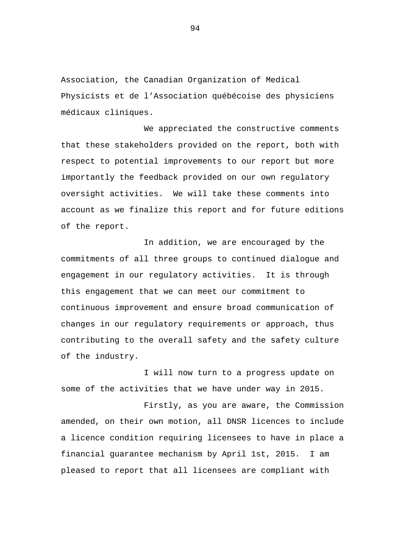Association, the Canadian Organization of Medical Physicists et de l'Association québécoise des physiciens médicaux cliniques.

We appreciated the constructive comments that these stakeholders provided on the report, both with respect to potential improvements to our report but more importantly the feedback provided on our own regulatory oversight activities. We will take these comments into account as we finalize this report and for future editions of the report.

In addition, we are encouraged by the commitments of all three groups to continued dialogue and engagement in our regulatory activities. It is through this engagement that we can meet our commitment to continuous improvement and ensure broad communication of changes in our regulatory requirements or approach, thus contributing to the overall safety and the safety culture of the industry.

I will now turn to a progress update on some of the activities that we have under way in 2015.

Firstly, as you are aware, the Commission amended, on their own motion, all DNSR licences to include a licence condition requiring licensees to have in place a financial guarantee mechanism by April 1st, 2015. I am pleased to report that all licensees are compliant with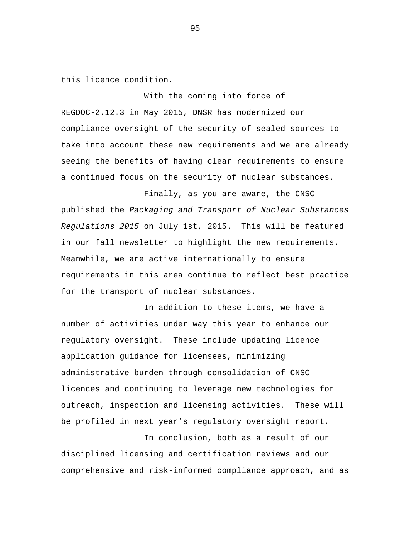this licence condition.

With the coming into force of REGDOC-2.12.3 in May 2015, DNSR has modernized our compliance oversight of the security of sealed sources to take into account these new requirements and we are already seeing the benefits of having clear requirements to ensure a continued focus on the security of nuclear substances.

Finally, as you are aware, the CNSC published the *Packaging and Transport of Nuclear Substances Regulations 2015* on July 1st, 2015. This will be featured in our fall newsletter to highlight the new requirements. Meanwhile, we are active internationally to ensure requirements in this area continue to reflect best practice for the transport of nuclear substances.

In addition to these items, we have a number of activities under way this year to enhance our regulatory oversight. These include updating licence application guidance for licensees, minimizing administrative burden through consolidation of CNSC licences and continuing to leverage new technologies for outreach, inspection and licensing activities. These will be profiled in next year's regulatory oversight report.

In conclusion, both as a result of our disciplined licensing and certification reviews and our comprehensive and risk-informed compliance approach, and as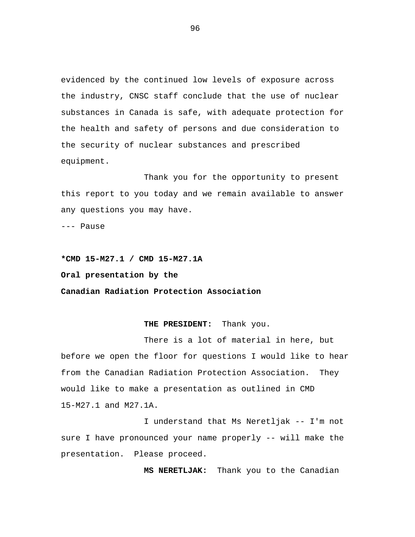evidenced by the continued low levels of exposure across the industry, CNSC staff conclude that the use of nuclear substances in Canada is safe, with adequate protection for the health and safety of persons and due consideration to the security of nuclear substances and prescribed equipment.

Thank you for the opportunity to present this report to you today and we remain available to answer any questions you may have.

--- Pause

**\*CMD 15-M27.1 / CMD 15-M27.1A Oral presentation by the Canadian Radiation Protection Association** 

## **THE PRESIDENT:** Thank you.

There is a lot of material in here, but before we open the floor for questions I would like to hear from the Canadian Radiation Protection Association. They would like to make a presentation as outlined in CMD 15-M27.1 and M27.1A.

I understand that Ms Neretljak -- I'm not sure I have pronounced your name properly -- will make the presentation. Please proceed.

**MS NERETLJAK:** Thank you to the Canadian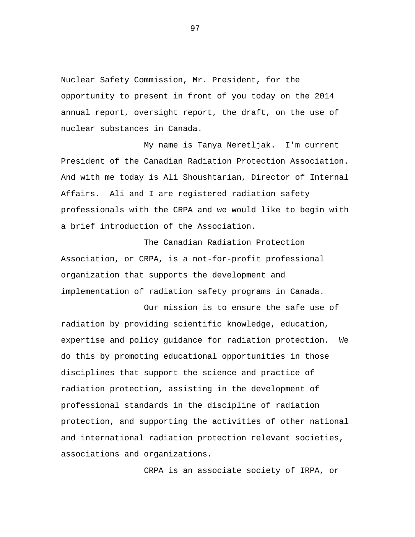Nuclear Safety Commission, Mr. President, for the opportunity to present in front of you today on the 2014 annual report, oversight report, the draft, on the use of nuclear substances in Canada.

My name is Tanya Neretljak. I'm current President of the Canadian Radiation Protection Association. And with me today is Ali Shoushtarian, Director of Internal Affairs. Ali and I are registered radiation safety professionals with the CRPA and we would like to begin with a brief introduction of the Association.

The Canadian Radiation Protection Association, or CRPA, is a not-for-profit professional organization that supports the development and implementation of radiation safety programs in Canada.

Our mission is to ensure the safe use of radiation by providing scientific knowledge, education, expertise and policy guidance for radiation protection. We do this by promoting educational opportunities in those disciplines that support the science and practice of radiation protection, assisting in the development of professional standards in the discipline of radiation protection, and supporting the activities of other national and international radiation protection relevant societies, associations and organizations.

CRPA is an associate society of IRPA, or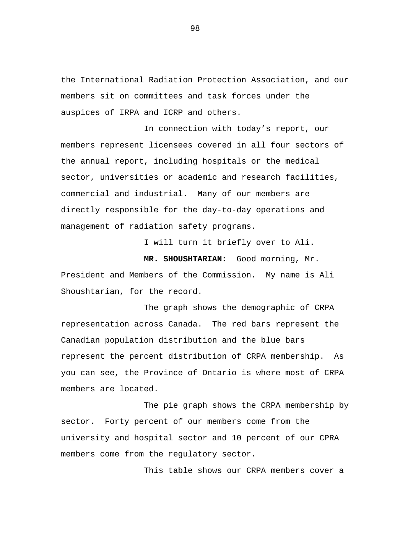the International Radiation Protection Association, and our members sit on committees and task forces under the auspices of IRPA and ICRP and others.

In connection with today's report, our members represent licensees covered in all four sectors of the annual report, including hospitals or the medical sector, universities or academic and research facilities, commercial and industrial. Many of our members are directly responsible for the day-to-day operations and management of radiation safety programs.

I will turn it briefly over to Ali.

**MR. SHOUSHTARIAN:** Good morning, Mr. President and Members of the Commission. My name is Ali Shoushtarian, for the record.

The graph shows the demographic of CRPA representation across Canada. The red bars represent the Canadian population distribution and the blue bars represent the percent distribution of CRPA membership. As you can see, the Province of Ontario is where most of CRPA members are located.

The pie graph shows the CRPA membership by sector. Forty percent of our members come from the university and hospital sector and 10 percent of our CPRA members come from the regulatory sector.

This table shows our CRPA members cover a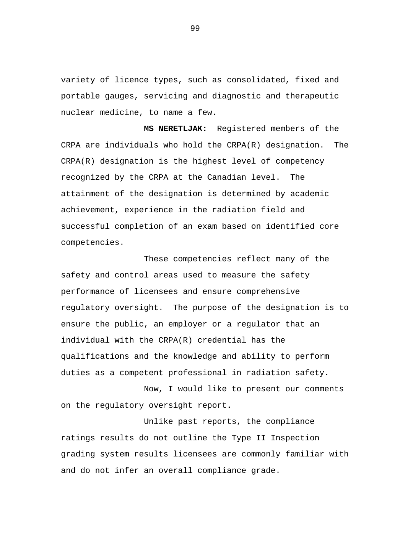variety of licence types, such as consolidated, fixed and portable gauges, servicing and diagnostic and therapeutic nuclear medicine, to name a few.

**MS NERETLJAK:** Registered members of the CRPA are individuals who hold the CRPA(R) designation. The CRPA(R) designation is the highest level of competency recognized by the CRPA at the Canadian level. The attainment of the designation is determined by academic achievement, experience in the radiation field and successful completion of an exam based on identified core competencies.

These competencies reflect many of the safety and control areas used to measure the safety performance of licensees and ensure comprehensive regulatory oversight. The purpose of the designation is to ensure the public, an employer or a regulator that an individual with the CRPA(R) credential has the qualifications and the knowledge and ability to perform duties as a competent professional in radiation safety.

Now, I would like to present our comments on the regulatory oversight report.

Unlike past reports, the compliance ratings results do not outline the Type II Inspection grading system results licensees are commonly familiar with and do not infer an overall compliance grade.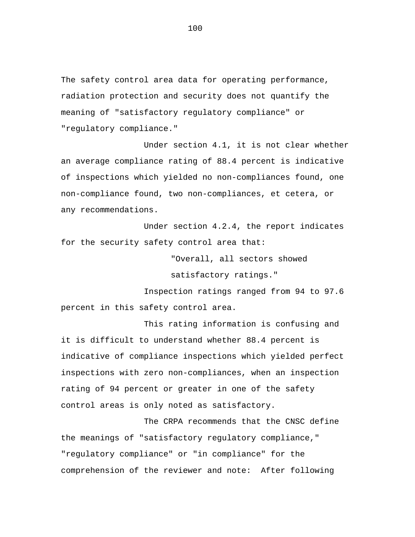The safety control area data for operating performance, radiation protection and security does not quantify the meaning of "satisfactory regulatory compliance" or "regulatory compliance."

Under section 4.1, it is not clear whether an average compliance rating of 88.4 percent is indicative of inspections which yielded no non-compliances found, one non-compliance found, two non-compliances, et cetera, or any recommendations.

Under section 4.2.4, the report indicates for the security safety control area that:

"Overall, all sectors showed

satisfactory ratings."

Inspection ratings ranged from 94 to 97.6 percent in this safety control area.

This rating information is confusing and it is difficult to understand whether 88.4 percent is indicative of compliance inspections which yielded perfect inspections with zero non-compliances, when an inspection rating of 94 percent or greater in one of the safety control areas is only noted as satisfactory.

The CRPA recommends that the CNSC define the meanings of "satisfactory regulatory compliance," "regulatory compliance" or "in compliance" for the comprehension of the reviewer and note: After following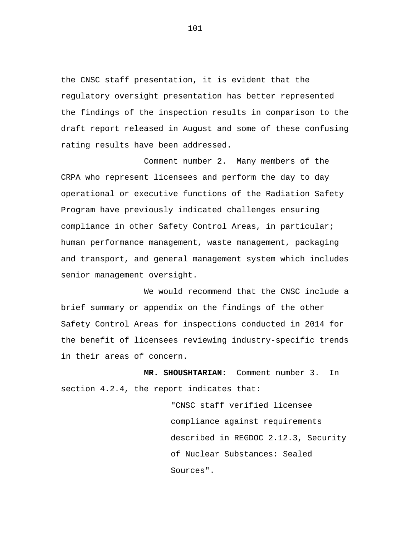the CNSC staff presentation, it is evident that the regulatory oversight presentation has better represented the findings of the inspection results in comparison to the draft report released in August and some of these confusing rating results have been addressed.

Comment number 2. Many members of the CRPA who represent licensees and perform the day to day operational or executive functions of the Radiation Safety Program have previously indicated challenges ensuring compliance in other Safety Control Areas, in particular; human performance management, waste management, packaging and transport, and general management system which includes senior management oversight.

We would recommend that the CNSC include a brief summary or appendix on the findings of the other Safety Control Areas for inspections conducted in 2014 for the benefit of licensees reviewing industry-specific trends in their areas of concern.

**MR. SHOUSHTARIAN:** Comment number 3. In section 4.2.4, the report indicates that:

> "CNSC staff verified licensee compliance against requirements described in REGDOC 2.12.3, Security of Nuclear Substances: Sealed Sources".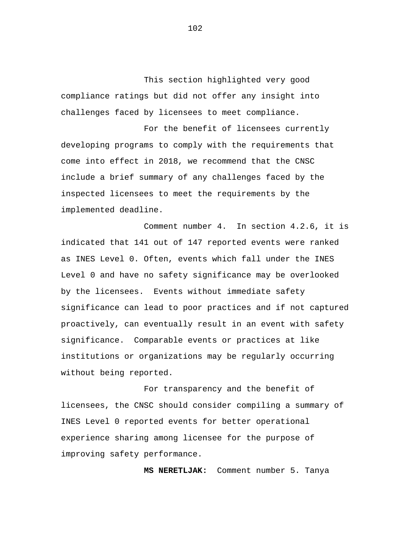This section highlighted very good compliance ratings but did not offer any insight into challenges faced by licensees to meet compliance.

For the benefit of licensees currently developing programs to comply with the requirements that come into effect in 2018, we recommend that the CNSC include a brief summary of any challenges faced by the inspected licensees to meet the requirements by the implemented deadline.

Comment number 4. In section 4.2.6, it is indicated that 141 out of 147 reported events were ranked as INES Level 0. Often, events which fall under the INES Level 0 and have no safety significance may be overlooked by the licensees. Events without immediate safety significance can lead to poor practices and if not captured proactively, can eventually result in an event with safety significance. Comparable events or practices at like institutions or organizations may be regularly occurring without being reported.

For transparency and the benefit of licensees, the CNSC should consider compiling a summary of INES Level 0 reported events for better operational experience sharing among licensee for the purpose of improving safety performance.

**MS NERETLJAK:** Comment number 5. Tanya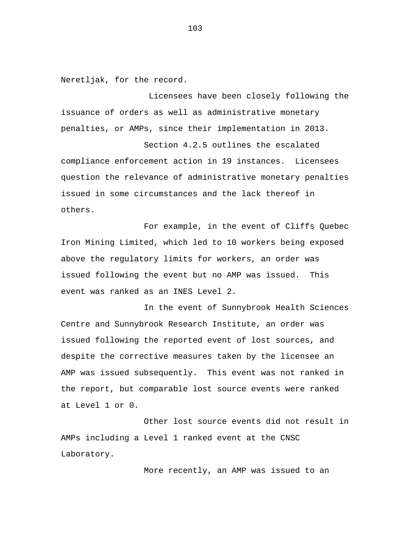Neretljak, for the record.

Licensees have been closely following the issuance of orders as well as administrative monetary penalties, or AMPs, since their implementation in 2013.

Section 4.2.5 outlines the escalated compliance enforcement action in 19 instances. Licensees question the relevance of administrative monetary penalties issued in some circumstances and the lack thereof in others.

For example, in the event of Cliffs Quebec Iron Mining Limited, which led to 10 workers being exposed above the regulatory limits for workers, an order was issued following the event but no AMP was issued. This event was ranked as an INES Level 2.

In the event of Sunnybrook Health Sciences Centre and Sunnybrook Research Institute, an order was issued following the reported event of lost sources, and despite the corrective measures taken by the licensee an AMP was issued subsequently. This event was not ranked in the report, but comparable lost source events were ranked at Level 1 or 0.

Other lost source events did not result in AMPs including a Level 1 ranked event at the CNSC Laboratory.

More recently, an AMP was issued to an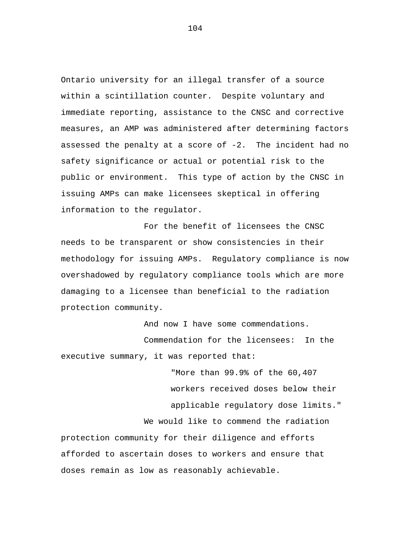Ontario university for an illegal transfer of a source within a scintillation counter. Despite voluntary and immediate reporting, assistance to the CNSC and corrective measures, an AMP was administered after determining factors assessed the penalty at a score of -2. The incident had no safety significance or actual or potential risk to the public or environment. This type of action by the CNSC in issuing AMPs can make licensees skeptical in offering information to the regulator.

For the benefit of licensees the CNSC needs to be transparent or show consistencies in their methodology for issuing AMPs. Regulatory compliance is now overshadowed by regulatory compliance tools which are more damaging to a licensee than beneficial to the radiation protection community.

And now I have some commendations. Commendation for the licensees: In the executive summary, it was reported that:

"More than 99.9% of the 60,407 workers received doses below their applicable regulatory dose limits." We would like to commend the radiation protection community for their diligence and efforts afforded to ascertain doses to workers and ensure that doses remain as low as reasonably achievable.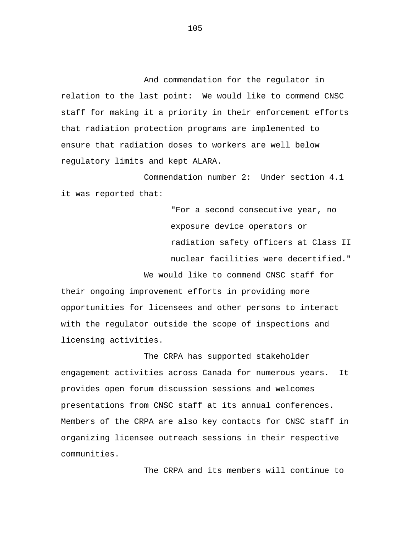And commendation for the regulator in relation to the last point: We would like to commend CNSC staff for making it a priority in their enforcement efforts that radiation protection programs are implemented to ensure that radiation doses to workers are well below regulatory limits and kept ALARA.

Commendation number 2: Under section 4.1 it was reported that:

> "For a second consecutive year, no exposure device operators or radiation safety officers at Class II nuclear facilities were decertified."

We would like to commend CNSC staff for their ongoing improvement efforts in providing more opportunities for licensees and other persons to interact with the regulator outside the scope of inspections and licensing activities.

The CRPA has supported stakeholder engagement activities across Canada for numerous years. It provides open forum discussion sessions and welcomes presentations from CNSC staff at its annual conferences. Members of the CRPA are also key contacts for CNSC staff in organizing licensee outreach sessions in their respective communities.

The CRPA and its members will continue to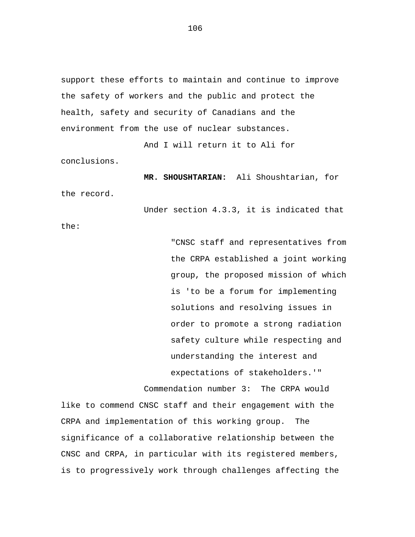support these efforts to maintain and continue to improve the safety of workers and the public and protect the health, safety and security of Canadians and the environment from the use of nuclear substances.

And I will return it to Ali for

conclusions.

**MR. SHOUSHTARIAN:** Ali Shoushtarian, for

the record.

Under section 4.3.3, it is indicated that

the:

"CNSC staff and representatives from the CRPA established a joint working group, the proposed mission of which is 'to be a forum for implementing solutions and resolving issues in order to promote a strong radiation safety culture while respecting and understanding the interest and expectations of stakeholders.'"

Commendation number 3: The CRPA would like to commend CNSC staff and their engagement with the CRPA and implementation of this working group. The significance of a collaborative relationship between the CNSC and CRPA, in particular with its registered members, is to progressively work through challenges affecting the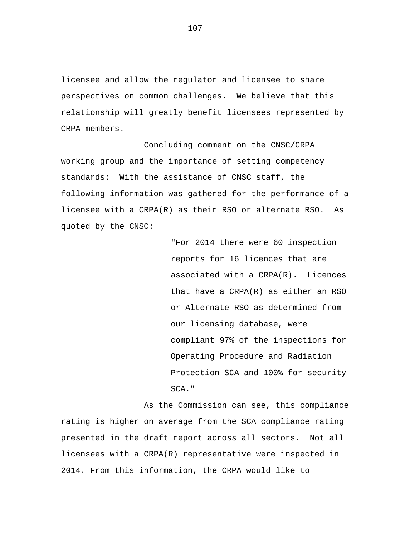licensee and allow the regulator and licensee to share perspectives on common challenges. We believe that this relationship will greatly benefit licensees represented by CRPA members.

Concluding comment on the CNSC/CRPA working group and the importance of setting competency standards: With the assistance of CNSC staff, the following information was gathered for the performance of a licensee with a CRPA(R) as their RSO or alternate RSO. As quoted by the CNSC:

> "For 2014 there were 60 inspection reports for 16 licences that are associated with a CRPA(R). Licences that have a CRPA(R) as either an RSO or Alternate RSO as determined from our licensing database, were compliant 97% of the inspections for Operating Procedure and Radiation Protection SCA and 100% for security SCA."

As the Commission can see, this compliance rating is higher on average from the SCA compliance rating presented in the draft report across all sectors. Not all licensees with a CRPA(R) representative were inspected in 2014. From this information, the CRPA would like to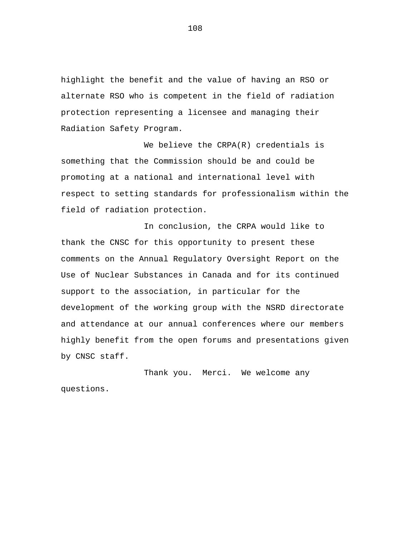highlight the benefit and the value of having an RSO or alternate RSO who is competent in the field of radiation protection representing a licensee and managing their Radiation Safety Program.

We believe the CRPA(R) credentials is something that the Commission should be and could be promoting at a national and international level with respect to setting standards for professionalism within the field of radiation protection.

In conclusion, the CRPA would like to thank the CNSC for this opportunity to present these comments on the Annual Regulatory Oversight Report on the Use of Nuclear Substances in Canada and for its continued support to the association, in particular for the development of the working group with the NSRD directorate and attendance at our annual conferences where our members highly benefit from the open forums and presentations given by CNSC staff.

Thank you. Merci. We welcome any questions.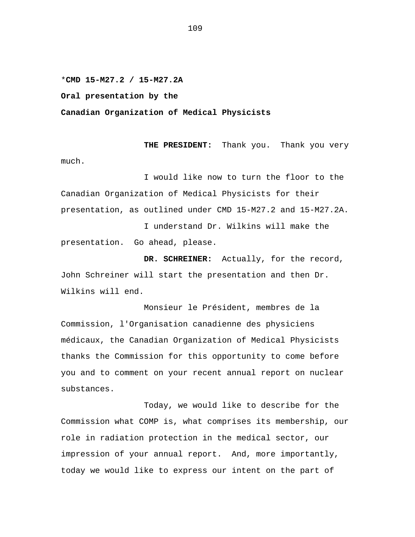\***CMD 15-M27.2 / 15-M27.2A** 

**Oral presentation by the** 

**Canadian Organization of Medical Physicists** 

**THE PRESIDENT:** Thank you. Thank you very much.

I would like now to turn the floor to the Canadian Organization of Medical Physicists for their presentation, as outlined under CMD 15-M27.2 and 15-M27.2A.

I understand Dr. Wilkins will make the presentation. Go ahead, please.

**DR. SCHREINER:** Actually, for the record, John Schreiner will start the presentation and then Dr. Wilkins will end.

Monsieur le Président, membres de la Commission, l'Organisation canadienne des physiciens médicaux, the Canadian Organization of Medical Physicists thanks the Commission for this opportunity to come before you and to comment on your recent annual report on nuclear substances.

Today, we would like to describe for the Commission what COMP is, what comprises its membership, our role in radiation protection in the medical sector, our impression of your annual report. And, more importantly, today we would like to express our intent on the part of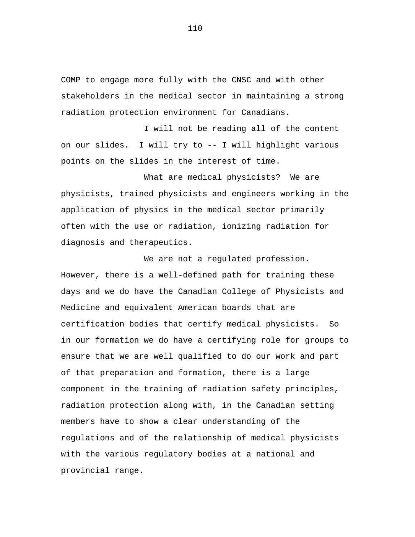COMP to engage more fully with the CNSC and with other stakeholders in the medical sector in maintaining a strong radiation protection environment for Canadians.

I will not be reading all of the content on our slides. I will try to -- I will highlight various points on the slides in the interest of time.

What are medical physicists? We are physicists, trained physicists and engineers working in the application of physics in the medical sector primarily often with the use or radiation, ionizing radiation for diagnosis and therapeutics.

We are not a regulated profession. However, there is a well-defined path for training these days and we do have the Canadian College of Physicists and Medicine and equivalent American boards that are certification bodies that certify medical physicists. So in our formation we do have a certifying role for groups to ensure that we are well qualified to do our work and part of that preparation and formation, there is a large component in the training of radiation safety principles, radiation protection along with, in the Canadian setting members have to show a clear understanding of the regulations and of the relationship of medical physicists with the various regulatory bodies at a national and provincial range.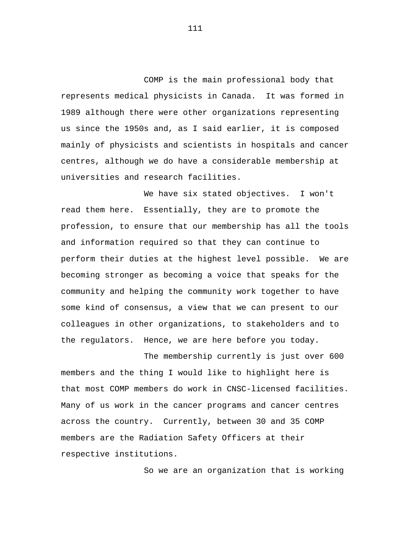COMP is the main professional body that represents medical physicists in Canada. It was formed in 1989 although there were other organizations representing us since the 1950s and, as I said earlier, it is composed mainly of physicists and scientists in hospitals and cancer centres, although we do have a considerable membership at universities and research facilities.

We have six stated objectives. I won't read them here. Essentially, they are to promote the profession, to ensure that our membership has all the tools and information required so that they can continue to perform their duties at the highest level possible. We are becoming stronger as becoming a voice that speaks for the community and helping the community work together to have some kind of consensus, a view that we can present to our colleagues in other organizations, to stakeholders and to the regulators. Hence, we are here before you today.

The membership currently is just over 600 members and the thing I would like to highlight here is that most COMP members do work in CNSC-licensed facilities. Many of us work in the cancer programs and cancer centres across the country. Currently, between 30 and 35 COMP members are the Radiation Safety Officers at their respective institutions.

So we are an organization that is working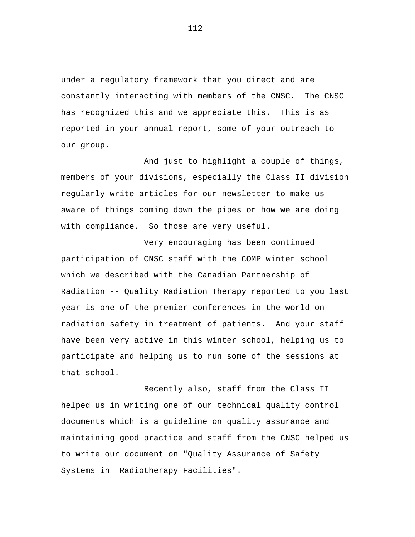under a regulatory framework that you direct and are constantly interacting with members of the CNSC. The CNSC has recognized this and we appreciate this. This is as reported in your annual report, some of your outreach to our group.

And just to highlight a couple of things, members of your divisions, especially the Class II division regularly write articles for our newsletter to make us aware of things coming down the pipes or how we are doing with compliance. So those are very useful.

Very encouraging has been continued participation of CNSC staff with the COMP winter school which we described with the Canadian Partnership of Radiation -- Quality Radiation Therapy reported to you last year is one of the premier conferences in the world on radiation safety in treatment of patients. And your staff have been very active in this winter school, helping us to participate and helping us to run some of the sessions at that school.

Recently also, staff from the Class II helped us in writing one of our technical quality control documents which is a guideline on quality assurance and maintaining good practice and staff from the CNSC helped us to write our document on "Quality Assurance of Safety Systems in Radiotherapy Facilities".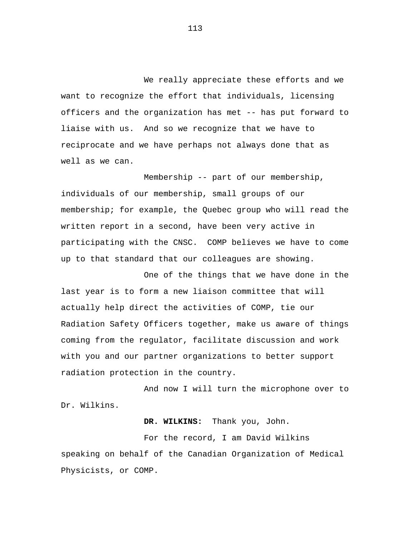We really appreciate these efforts and we want to recognize the effort that individuals, licensing officers and the organization has met -- has put forward to liaise with us. And so we recognize that we have to reciprocate and we have perhaps not always done that as well as we can.

Membership -- part of our membership, individuals of our membership, small groups of our membership; for example, the Quebec group who will read the written report in a second, have been very active in participating with the CNSC. COMP believes we have to come up to that standard that our colleagues are showing.

One of the things that we have done in the last year is to form a new liaison committee that will actually help direct the activities of COMP, tie our Radiation Safety Officers together, make us aware of things coming from the regulator, facilitate discussion and work with you and our partner organizations to better support radiation protection in the country.

And now I will turn the microphone over to Dr. Wilkins.

**DR. WILKINS:** Thank you, John.

For the record, I am David Wilkins speaking on behalf of the Canadian Organization of Medical Physicists, or COMP.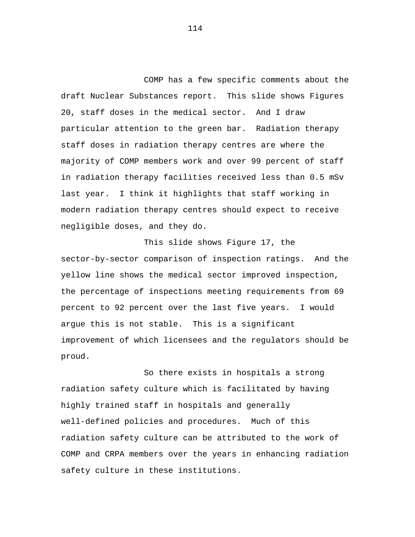COMP has a few specific comments about the draft Nuclear Substances report. This slide shows Figures 20, staff doses in the medical sector. And I draw particular attention to the green bar. Radiation therapy staff doses in radiation therapy centres are where the majority of COMP members work and over 99 percent of staff in radiation therapy facilities received less than 0.5 mSv last year. I think it highlights that staff working in modern radiation therapy centres should expect to receive negligible doses, and they do.

This slide shows Figure 17, the sector-by-sector comparison of inspection ratings. And the yellow line shows the medical sector improved inspection, the percentage of inspections meeting requirements from 69 percent to 92 percent over the last five years. I would argue this is not stable. This is a significant improvement of which licensees and the regulators should be proud.

So there exists in hospitals a strong radiation safety culture which is facilitated by having highly trained staff in hospitals and generally well-defined policies and procedures. Much of this radiation safety culture can be attributed to the work of COMP and CRPA members over the years in enhancing radiation safety culture in these institutions.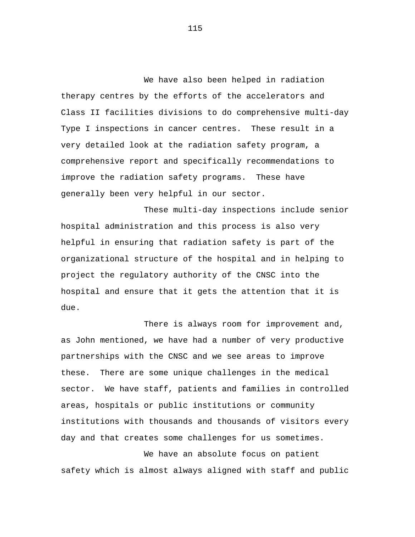We have also been helped in radiation therapy centres by the efforts of the accelerators and Class II facilities divisions to do comprehensive multi-day Type I inspections in cancer centres. These result in a very detailed look at the radiation safety program, a comprehensive report and specifically recommendations to improve the radiation safety programs. These have generally been very helpful in our sector.

These multi-day inspections include senior hospital administration and this process is also very helpful in ensuring that radiation safety is part of the organizational structure of the hospital and in helping to project the regulatory authority of the CNSC into the hospital and ensure that it gets the attention that it is due.

There is always room for improvement and, as John mentioned, we have had a number of very productive partnerships with the CNSC and we see areas to improve these. There are some unique challenges in the medical sector. We have staff, patients and families in controlled areas, hospitals or public institutions or community institutions with thousands and thousands of visitors every day and that creates some challenges for us sometimes.

We have an absolute focus on patient safety which is almost always aligned with staff and public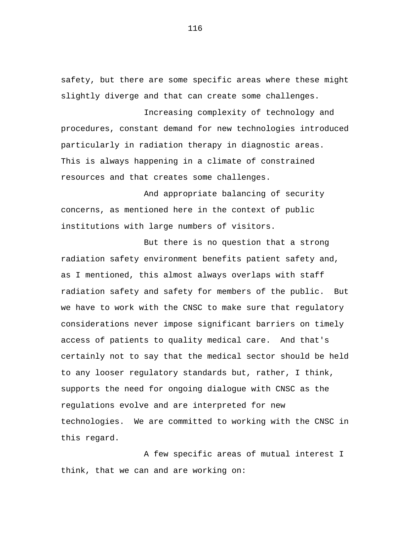safety, but there are some specific areas where these might slightly diverge and that can create some challenges.

Increasing complexity of technology and procedures, constant demand for new technologies introduced particularly in radiation therapy in diagnostic areas. This is always happening in a climate of constrained resources and that creates some challenges.

And appropriate balancing of security concerns, as mentioned here in the context of public institutions with large numbers of visitors.

But there is no question that a strong radiation safety environment benefits patient safety and, as I mentioned, this almost always overlaps with staff radiation safety and safety for members of the public. But we have to work with the CNSC to make sure that regulatory considerations never impose significant barriers on timely access of patients to quality medical care. And that's certainly not to say that the medical sector should be held to any looser regulatory standards but, rather, I think, supports the need for ongoing dialogue with CNSC as the regulations evolve and are interpreted for new technologies. We are committed to working with the CNSC in this regard.

A few specific areas of mutual interest I think, that we can and are working on: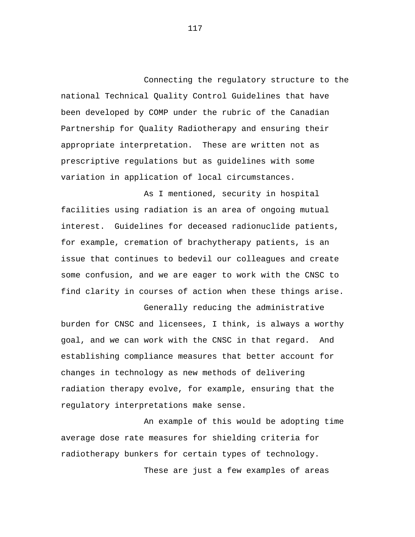Connecting the regulatory structure to the national Technical Quality Control Guidelines that have been developed by COMP under the rubric of the Canadian Partnership for Quality Radiotherapy and ensuring their appropriate interpretation. These are written not as prescriptive regulations but as guidelines with some variation in application of local circumstances.

As I mentioned, security in hospital facilities using radiation is an area of ongoing mutual interest. Guidelines for deceased radionuclide patients, for example, cremation of brachytherapy patients, is an issue that continues to bedevil our colleagues and create some confusion, and we are eager to work with the CNSC to find clarity in courses of action when these things arise.

Generally reducing the administrative burden for CNSC and licensees, I think, is always a worthy goal, and we can work with the CNSC in that regard. And establishing compliance measures that better account for changes in technology as new methods of delivering radiation therapy evolve, for example, ensuring that the regulatory interpretations make sense.

An example of this would be adopting time average dose rate measures for shielding criteria for radiotherapy bunkers for certain types of technology.

These are just a few examples of areas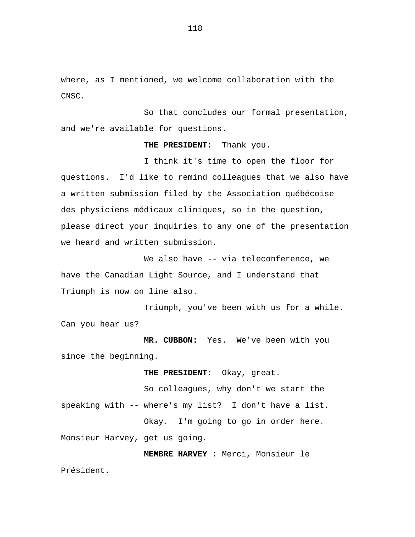where, as I mentioned, we welcome collaboration with the CNSC.

So that concludes our formal presentation, and we're available for questions.

## **THE PRESIDENT:** Thank you.

I think it's time to open the floor for questions. I'd like to remind colleagues that we also have a written submission filed by the Association québécoise des physiciens médicaux cliniques, so in the question, please direct your inquiries to any one of the presentation we heard and written submission.

We also have -- via teleconference, we have the Canadian Light Source, and I understand that Triumph is now on line also.

Triumph, you've been with us for a while. Can you hear us?

**MR. CUBBON:** Yes. We've been with you since the beginning.

**THE PRESIDENT:** Okay, great.

So colleagues, why don't we start the speaking with -- where's my list? I don't have a list. Okay. I'm going to go in order here. Monsieur Harvey, get us going.

**MEMBRE HARVEY :** Merci, Monsieur le

Président.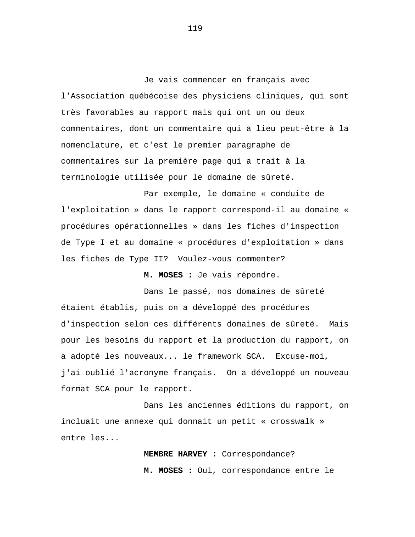Je vais commencer en français avec l'Association québécoise des physiciens cliniques, qui sont très favorables au rapport mais qui ont un ou deux commentaires, dont un commentaire qui a lieu peut-être à la nomenclature, et c'est le premier paragraphe de commentaires sur la première page qui a trait à la terminologie utilisée pour le domaine de sûreté.

Par exemple, le domaine « conduite de l'exploitation » dans le rapport correspond-il au domaine « procédures opérationnelles » dans les fiches d'inspection de Type I et au domaine « procédures d'exploitation » dans les fiches de Type II? Voulez-vous commenter?

**M. MOSES :** Je vais répondre.

Dans le passé, nos domaines de sûreté étaient établis, puis on a développé des procédures d'inspection selon ces différents domaines de sûreté. Mais pour les besoins du rapport et la production du rapport, on a adopté les nouveaux... le framework SCA. Excuse-moi, j'ai oublié l'acronyme français. On a développé un nouveau format SCA pour le rapport.

Dans les anciennes éditions du rapport, on incluait une annexe qui donnait un petit « crosswalk » entre les...

> **MEMBRE HARVEY :** Correspondance? **M. MOSES :** Oui, correspondance entre le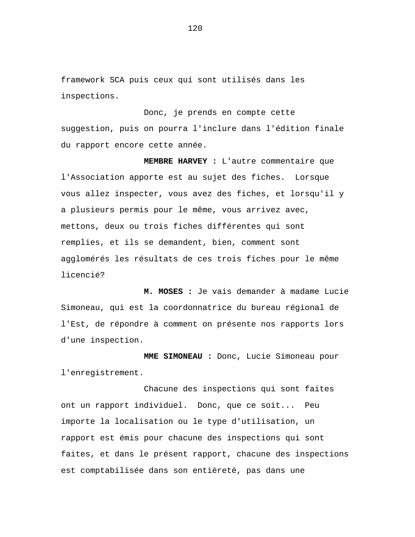framework SCA puis ceux qui sont utilisés dans les inspections.

Donc, je prends en compte cette suggestion, puis on pourra l'inclure dans l'édition finale du rapport encore cette année.

**MEMBRE HARVEY :** L'autre commentaire que l'Association apporte est au sujet des fiches. Lorsque vous allez inspecter, vous avez des fiches, et lorsqu'il y a plusieurs permis pour le même, vous arrivez avec, mettons, deux ou trois fiches différentes qui sont remplies, et ils se demandent, bien, comment sont agglomérés les résultats de ces trois fiches pour le même licencié?

**M. MOSES :** Je vais demander à madame Lucie Simoneau, qui est la coordonnatrice du bureau régional de l'Est, de répondre à comment on présente nos rapports lors d'une inspection.

**MME SIMONEAU :** Donc, Lucie Simoneau pour l'enregistrement.

Chacune des inspections qui sont faites ont un rapport individuel. Donc, que ce soit... Peu importe la localisation ou le type d'utilisation, un rapport est émis pour chacune des inspections qui sont faites, et dans le présent rapport, chacune des inspections est comptabilisée dans son entièreté, pas dans une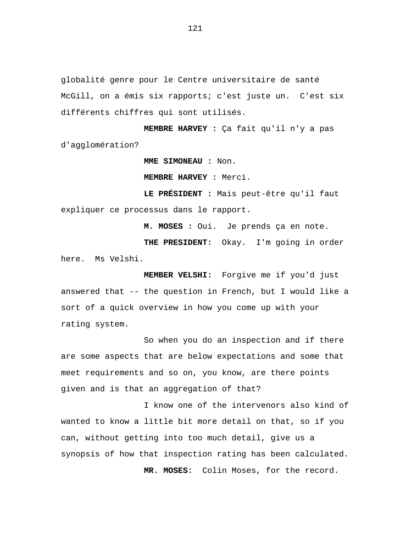globalité genre pour le Centre universitaire de santé McGill, on a émis six rapports; c'est juste un. C'est six différents chiffres qui sont utilisés.

**MEMBRE HARVEY :** Ça fait qu'il n'y a pas d'agglomération?

**MME SIMONEAU :** Non.

**MEMBRE HARVEY :** Merci.

**LE PRÉSIDENT :** Mais peut-être qu'il faut expliquer ce processus dans le rapport.

**M. MOSES :** Oui. Je prends ça en note. **THE PRESIDENT:** Okay. I'm going in order here. Ms Velshi.

**MEMBER VELSHI:** Forgive me if you'd just answered that -- the question in French, but I would like a sort of a quick overview in how you come up with your rating system.

So when you do an inspection and if there are some aspects that are below expectations and some that meet requirements and so on, you know, are there points given and is that an aggregation of that?

I know one of the intervenors also kind of wanted to know a little bit more detail on that, so if you can, without getting into too much detail, give us a synopsis of how that inspection rating has been calculated. **MR. MOSES:** Colin Moses, for the record.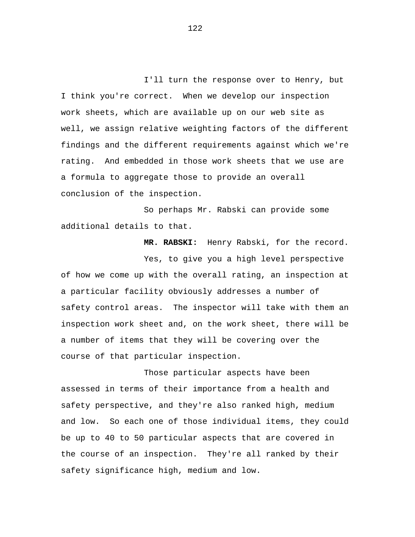I'll turn the response over to Henry, but I think you're correct. When we develop our inspection work sheets, which are available up on our web site as well, we assign relative weighting factors of the different findings and the different requirements against which we're rating. And embedded in those work sheets that we use are a formula to aggregate those to provide an overall conclusion of the inspection.

So perhaps Mr. Rabski can provide some additional details to that.

**MR. RABSKI:** Henry Rabski, for the record. Yes, to give you a high level perspective of how we come up with the overall rating, an inspection at a particular facility obviously addresses a number of safety control areas. The inspector will take with them an inspection work sheet and, on the work sheet, there will be a number of items that they will be covering over the course of that particular inspection.

Those particular aspects have been assessed in terms of their importance from a health and safety perspective, and they're also ranked high, medium and low. So each one of those individual items, they could be up to 40 to 50 particular aspects that are covered in the course of an inspection. They're all ranked by their safety significance high, medium and low.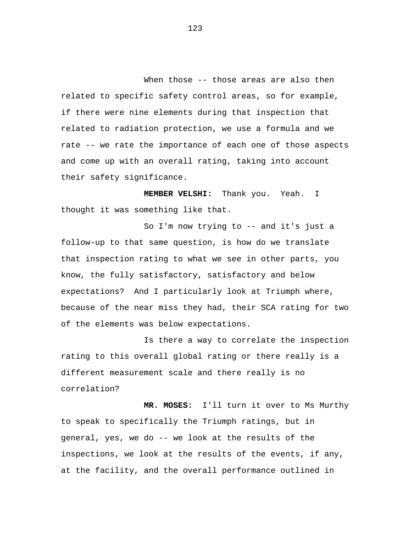When those -- those areas are also then related to specific safety control areas, so for example, if there were nine elements during that inspection that related to radiation protection, we use a formula and we rate -- we rate the importance of each one of those aspects and come up with an overall rating, taking into account their safety significance.

**MEMBER VELSHI:** Thank you. Yeah. I thought it was something like that.

So I'm now trying to -- and it's just a follow-up to that same question, is how do we translate that inspection rating to what we see in other parts, you know, the fully satisfactory, satisfactory and below expectations? And I particularly look at Triumph where, because of the near miss they had, their SCA rating for two of the elements was below expectations.

Is there a way to correlate the inspection rating to this overall global rating or there really is a different measurement scale and there really is no correlation?

**MR. MOSES:** I'll turn it over to Ms Murthy to speak to specifically the Triumph ratings, but in general, yes, we do -- we look at the results of the inspections, we look at the results of the events, if any, at the facility, and the overall performance outlined in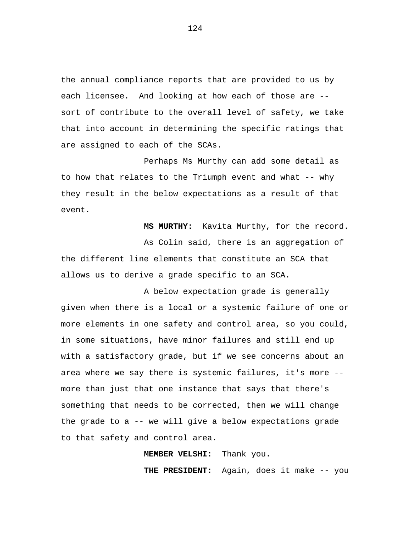the annual compliance reports that are provided to us by each licensee. And looking at how each of those are - sort of contribute to the overall level of safety, we take that into account in determining the specific ratings that are assigned to each of the SCAs.

Perhaps Ms Murthy can add some detail as to how that relates to the Triumph event and what -- why they result in the below expectations as a result of that event.

**MS MURTHY:** Kavita Murthy, for the record. As Colin said, there is an aggregation of the different line elements that constitute an SCA that allows us to derive a grade specific to an SCA.

A below expectation grade is generally given when there is a local or a systemic failure of one or more elements in one safety and control area, so you could, in some situations, have minor failures and still end up with a satisfactory grade, but if we see concerns about an area where we say there is systemic failures, it's more - more than just that one instance that says that there's something that needs to be corrected, then we will change the grade to a -- we will give a below expectations grade to that safety and control area.

**MEMBER VELSHI:** Thank you.

**THE PRESIDENT:** Again, does it make -- you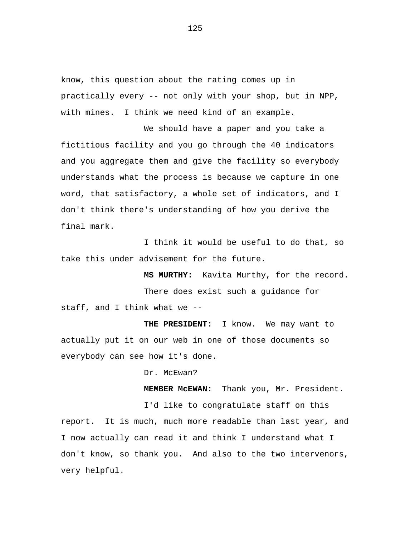know, this question about the rating comes up in practically every -- not only with your shop, but in NPP, with mines. I think we need kind of an example.

We should have a paper and you take a fictitious facility and you go through the 40 indicators and you aggregate them and give the facility so everybody understands what the process is because we capture in one word, that satisfactory, a whole set of indicators, and I don't think there's understanding of how you derive the final mark.

I think it would be useful to do that, so take this under advisement for the future.

**MS MURTHY:** Kavita Murthy, for the record. There does exist such a guidance for staff, and I think what we --

**THE PRESIDENT:** I know. We may want to actually put it on our web in one of those documents so everybody can see how it's done.

Dr. McEwan?

**MEMBER McEWAN:** Thank you, Mr. President.

I'd like to congratulate staff on this report. It is much, much more readable than last year, and I now actually can read it and think I understand what I don't know, so thank you. And also to the two intervenors, very helpful.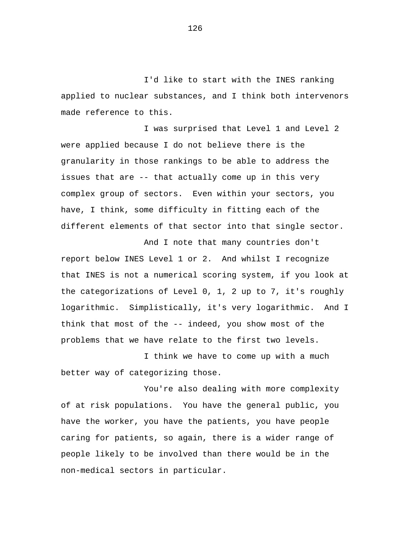I'd like to start with the INES ranking applied to nuclear substances, and I think both intervenors made reference to this.

I was surprised that Level 1 and Level 2 were applied because I do not believe there is the granularity in those rankings to be able to address the issues that are -- that actually come up in this very complex group of sectors. Even within your sectors, you have, I think, some difficulty in fitting each of the different elements of that sector into that single sector.

And I note that many countries don't report below INES Level 1 or 2. And whilst I recognize that INES is not a numerical scoring system, if you look at the categorizations of Level 0, 1, 2 up to 7, it's roughly logarithmic. Simplistically, it's very logarithmic. And I think that most of the -- indeed, you show most of the problems that we have relate to the first two levels.

I think we have to come up with a much better way of categorizing those.

You're also dealing with more complexity of at risk populations. You have the general public, you have the worker, you have the patients, you have people caring for patients, so again, there is a wider range of people likely to be involved than there would be in the non-medical sectors in particular.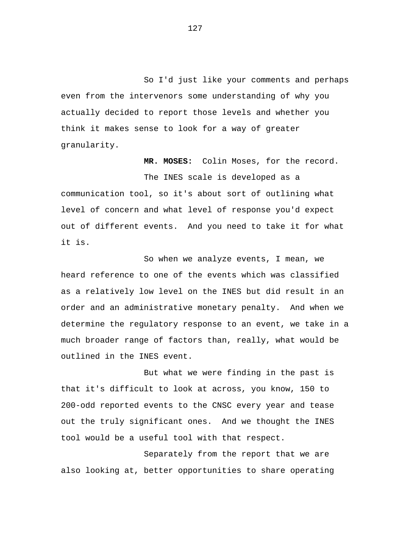So I'd just like your comments and perhaps even from the intervenors some understanding of why you actually decided to report those levels and whether you think it makes sense to look for a way of greater granularity.

**MR. MOSES:** Colin Moses, for the record. The INES scale is developed as a communication tool, so it's about sort of outlining what level of concern and what level of response you'd expect out of different events. And you need to take it for what it is.

So when we analyze events, I mean, we heard reference to one of the events which was classified as a relatively low level on the INES but did result in an order and an administrative monetary penalty. And when we determine the regulatory response to an event, we take in a much broader range of factors than, really, what would be outlined in the INES event.

But what we were finding in the past is that it's difficult to look at across, you know, 150 to 200-odd reported events to the CNSC every year and tease out the truly significant ones. And we thought the INES tool would be a useful tool with that respect.

Separately from the report that we are also looking at, better opportunities to share operating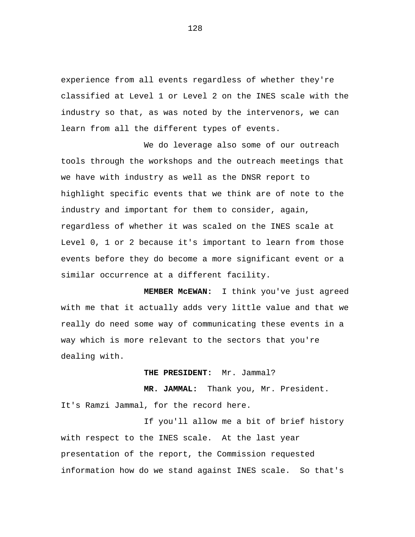experience from all events regardless of whether they're classified at Level 1 or Level 2 on the INES scale with the industry so that, as was noted by the intervenors, we can learn from all the different types of events.

We do leverage also some of our outreach tools through the workshops and the outreach meetings that we have with industry as well as the DNSR report to highlight specific events that we think are of note to the industry and important for them to consider, again, regardless of whether it was scaled on the INES scale at Level 0, 1 or 2 because it's important to learn from those events before they do become a more significant event or a similar occurrence at a different facility.

**MEMBER McEWAN:** I think you've just agreed with me that it actually adds very little value and that we really do need some way of communicating these events in a way which is more relevant to the sectors that you're dealing with.

**THE PRESIDENT:** Mr. Jammal?

**MR. JAMMAL:** Thank you, Mr. President. It's Ramzi Jammal, for the record here.

If you'll allow me a bit of brief history with respect to the INES scale. At the last year presentation of the report, the Commission requested information how do we stand against INES scale. So that's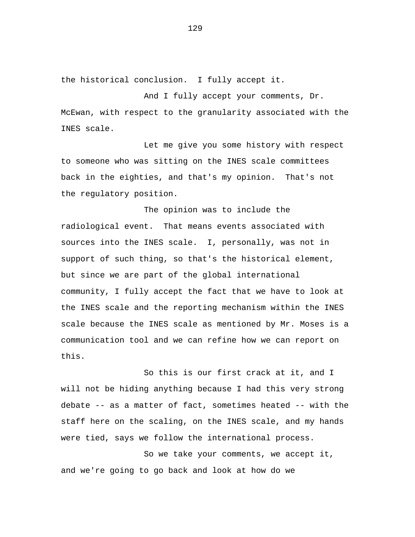the historical conclusion. I fully accept it.

And I fully accept your comments, Dr. McEwan, with respect to the granularity associated with the INES scale.

Let me give you some history with respect to someone who was sitting on the INES scale committees back in the eighties, and that's my opinion. That's not the regulatory position.

The opinion was to include the radiological event. That means events associated with sources into the INES scale. I, personally, was not in support of such thing, so that's the historical element, but since we are part of the global international community, I fully accept the fact that we have to look at the INES scale and the reporting mechanism within the INES scale because the INES scale as mentioned by Mr. Moses is a communication tool and we can refine how we can report on this.

So this is our first crack at it, and I will not be hiding anything because I had this very strong debate -- as a matter of fact, sometimes heated -- with the staff here on the scaling, on the INES scale, and my hands were tied, says we follow the international process.

So we take your comments, we accept it, and we're going to go back and look at how do we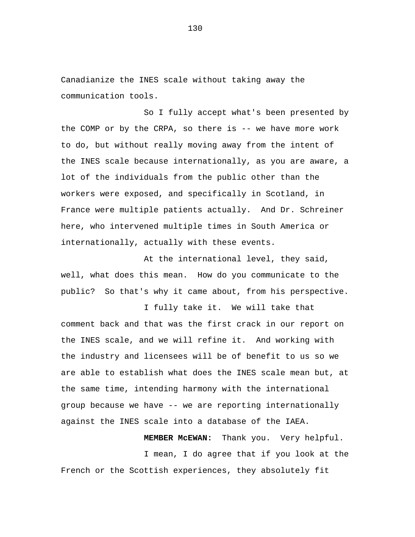Canadianize the INES scale without taking away the communication tools.

So I fully accept what's been presented by the COMP or by the CRPA, so there is -- we have more work to do, but without really moving away from the intent of the INES scale because internationally, as you are aware, a lot of the individuals from the public other than the workers were exposed, and specifically in Scotland, in France were multiple patients actually. And Dr. Schreiner here, who intervened multiple times in South America or internationally, actually with these events.

At the international level, they said, well, what does this mean. How do you communicate to the public? So that's why it came about, from his perspective.

I fully take it. We will take that comment back and that was the first crack in our report on the INES scale, and we will refine it. And working with the industry and licensees will be of benefit to us so we are able to establish what does the INES scale mean but, at the same time, intending harmony with the international group because we have -- we are reporting internationally against the INES scale into a database of the IAEA.

**MEMBER McEWAN:** Thank you. Very helpful. I mean, I do agree that if you look at the French or the Scottish experiences, they absolutely fit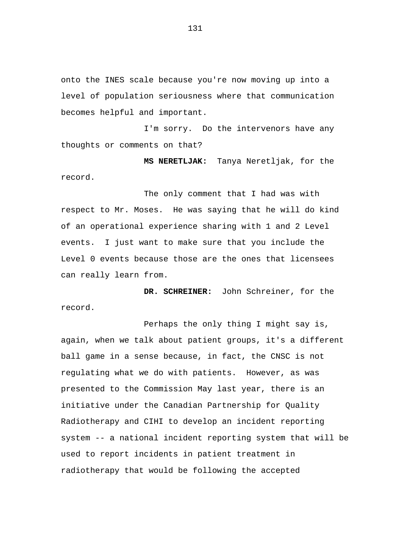onto the INES scale because you're now moving up into a level of population seriousness where that communication becomes helpful and important.

I'm sorry. Do the intervenors have any thoughts or comments on that?

**MS NERETLJAK:** Tanya Neretljak, for the record.

The only comment that I had was with respect to Mr. Moses. He was saying that he will do kind of an operational experience sharing with 1 and 2 Level events. I just want to make sure that you include the Level 0 events because those are the ones that licensees can really learn from.

**DR. SCHREINER:** John Schreiner, for the record.

Perhaps the only thing I might say is, again, when we talk about patient groups, it's a different ball game in a sense because, in fact, the CNSC is not regulating what we do with patients. However, as was presented to the Commission May last year, there is an initiative under the Canadian Partnership for Quality Radiotherapy and CIHI to develop an incident reporting system -- a national incident reporting system that will be used to report incidents in patient treatment in radiotherapy that would be following the accepted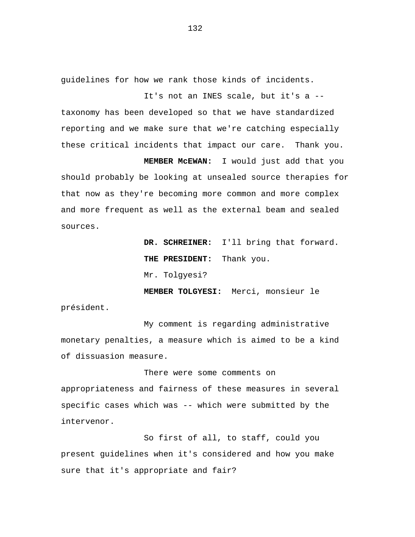guidelines for how we rank those kinds of incidents.

It's not an INES scale, but it's a - taxonomy has been developed so that we have standardized reporting and we make sure that we're catching especially these critical incidents that impact our care. Thank you.

**MEMBER McEWAN:** I would just add that you should probably be looking at unsealed source therapies for that now as they're becoming more common and more complex and more frequent as well as the external beam and sealed sources.

> **DR. SCHREINER:** I'll bring that forward. **THE PRESIDENT:** Thank you. Mr. Tolgyesi?

**MEMBER TOLGYESI:** Merci, monsieur le président.

My comment is regarding administrative monetary penalties, a measure which is aimed to be a kind of dissuasion measure.

There were some comments on appropriateness and fairness of these measures in several specific cases which was -- which were submitted by the intervenor.

So first of all, to staff, could you present guidelines when it's considered and how you make sure that it's appropriate and fair?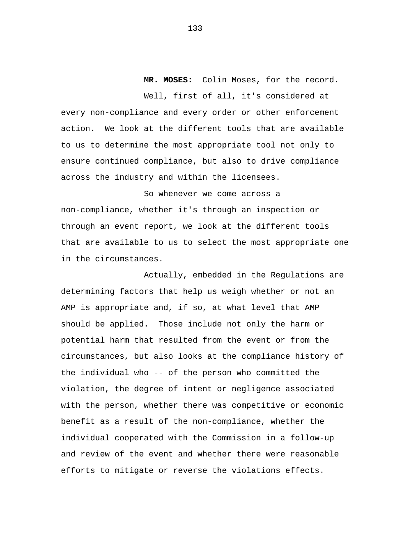**MR. MOSES:** Colin Moses, for the record.

Well, first of all, it's considered at every non-compliance and every order or other enforcement action. We look at the different tools that are available to us to determine the most appropriate tool not only to ensure continued compliance, but also to drive compliance across the industry and within the licensees.

So whenever we come across a non-compliance, whether it's through an inspection or through an event report, we look at the different tools that are available to us to select the most appropriate one in the circumstances.

Actually, embedded in the Regulations are determining factors that help us weigh whether or not an AMP is appropriate and, if so, at what level that AMP should be applied. Those include not only the harm or potential harm that resulted from the event or from the circumstances, but also looks at the compliance history of the individual who -- of the person who committed the violation, the degree of intent or negligence associated with the person, whether there was competitive or economic benefit as a result of the non-compliance, whether the individual cooperated with the Commission in a follow-up and review of the event and whether there were reasonable efforts to mitigate or reverse the violations effects.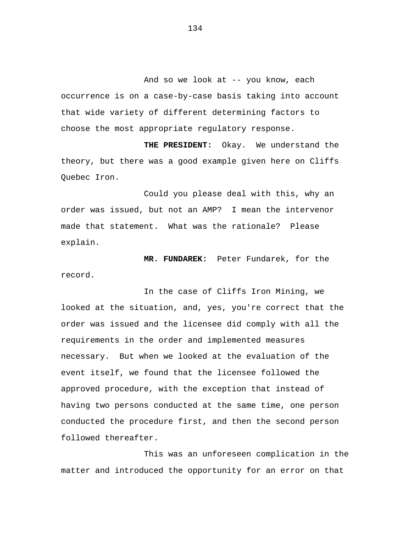And so we look at -- you know, each occurrence is on a case-by-case basis taking into account that wide variety of different determining factors to choose the most appropriate regulatory response.

**THE PRESIDENT:** Okay. We understand the theory, but there was a good example given here on Cliffs Quebec Iron.

Could you please deal with this, why an order was issued, but not an AMP? I mean the intervenor made that statement. What was the rationale? Please explain.

**MR. FUNDAREK:** Peter Fundarek, for the record.

In the case of Cliffs Iron Mining, we looked at the situation, and, yes, you're correct that the order was issued and the licensee did comply with all the requirements in the order and implemented measures necessary. But when we looked at the evaluation of the event itself, we found that the licensee followed the approved procedure, with the exception that instead of having two persons conducted at the same time, one person conducted the procedure first, and then the second person followed thereafter.

This was an unforeseen complication in the matter and introduced the opportunity for an error on that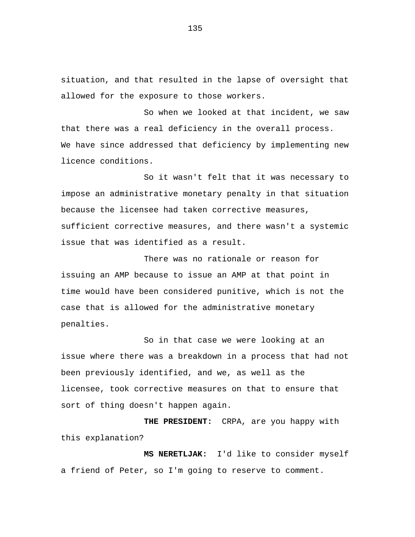situation, and that resulted in the lapse of oversight that allowed for the exposure to those workers.

So when we looked at that incident, we saw that there was a real deficiency in the overall process. We have since addressed that deficiency by implementing new licence conditions.

So it wasn't felt that it was necessary to impose an administrative monetary penalty in that situation because the licensee had taken corrective measures, sufficient corrective measures, and there wasn't a systemic issue that was identified as a result.

There was no rationale or reason for issuing an AMP because to issue an AMP at that point in time would have been considered punitive, which is not the case that is allowed for the administrative monetary penalties.

So in that case we were looking at an issue where there was a breakdown in a process that had not been previously identified, and we, as well as the licensee, took corrective measures on that to ensure that sort of thing doesn't happen again.

**THE PRESIDENT:** CRPA, are you happy with this explanation?

**MS NERETLJAK:** I'd like to consider myself a friend of Peter, so I'm going to reserve to comment.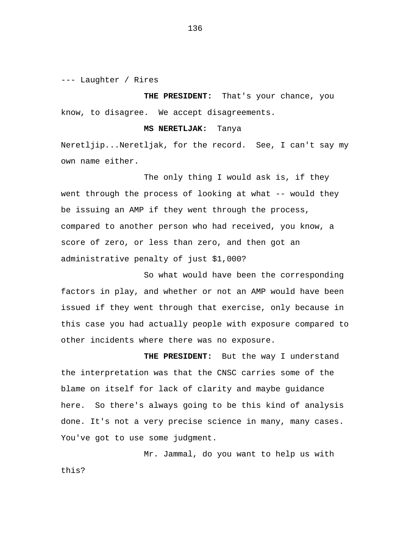--- Laughter / Rires

**THE PRESIDENT:** That's your chance, you know, to disagree. We accept disagreements.

## **MS NERETLJAK:** Tanya

Neretljip...Neretljak, for the record. See, I can't say my own name either.

The only thing I would ask is, if they went through the process of looking at what -- would they be issuing an AMP if they went through the process, compared to another person who had received, you know, a score of zero, or less than zero, and then got an administrative penalty of just \$1,000?

So what would have been the corresponding factors in play, and whether or not an AMP would have been issued if they went through that exercise, only because in this case you had actually people with exposure compared to other incidents where there was no exposure.

**THE PRESIDENT:** But the way I understand the interpretation was that the CNSC carries some of the blame on itself for lack of clarity and maybe guidance here. So there's always going to be this kind of analysis done. It's not a very precise science in many, many cases. You've got to use some judgment.

Mr. Jammal, do you want to help us with this?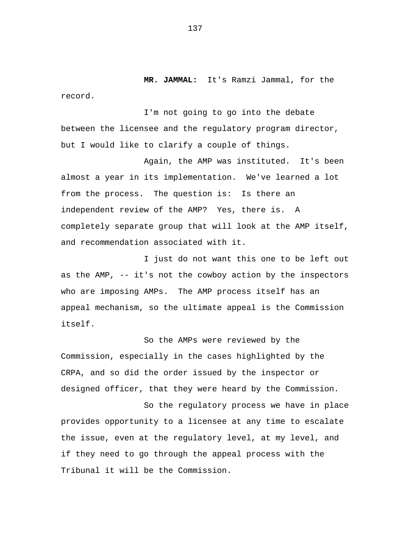**MR. JAMMAL:** It's Ramzi Jammal, for the record.

I'm not going to go into the debate between the licensee and the regulatory program director, but I would like to clarify a couple of things.

Again, the AMP was instituted. It's been almost a year in its implementation. We've learned a lot from the process. The question is: Is there an independent review of the AMP? Yes, there is. A completely separate group that will look at the AMP itself, and recommendation associated with it.

I just do not want this one to be left out as the AMP, -- it's not the cowboy action by the inspectors who are imposing AMPs. The AMP process itself has an appeal mechanism, so the ultimate appeal is the Commission itself.

So the AMPs were reviewed by the Commission, especially in the cases highlighted by the CRPA, and so did the order issued by the inspector or designed officer, that they were heard by the Commission.

So the regulatory process we have in place provides opportunity to a licensee at any time to escalate the issue, even at the regulatory level, at my level, and if they need to go through the appeal process with the Tribunal it will be the Commission.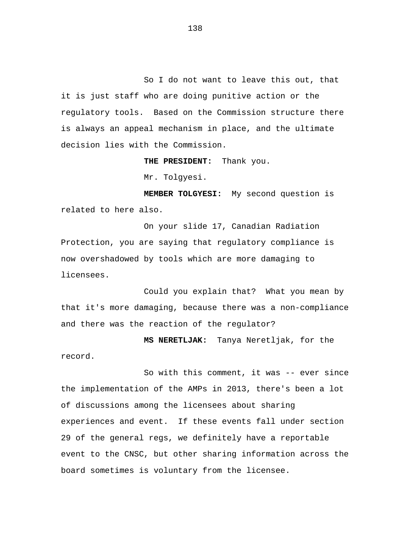So I do not want to leave this out, that it is just staff who are doing punitive action or the regulatory tools. Based on the Commission structure there is always an appeal mechanism in place, and the ultimate decision lies with the Commission.

**THE PRESIDENT:** Thank you.

Mr. Tolgyesi.

**MEMBER TOLGYESI:** My second question is related to here also.

On your slide 17, Canadian Radiation Protection, you are saying that regulatory compliance is now overshadowed by tools which are more damaging to licensees.

Could you explain that? What you mean by that it's more damaging, because there was a non-compliance and there was the reaction of the regulator?

**MS NERETLJAK:** Tanya Neretljak, for the record.

So with this comment, it was -- ever since the implementation of the AMPs in 2013, there's been a lot of discussions among the licensees about sharing experiences and event. If these events fall under section 29 of the general regs, we definitely have a reportable event to the CNSC, but other sharing information across the board sometimes is voluntary from the licensee.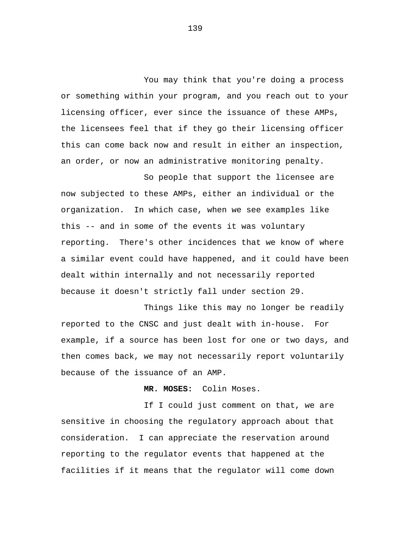You may think that you're doing a process or something within your program, and you reach out to your licensing officer, ever since the issuance of these AMPs, the licensees feel that if they go their licensing officer this can come back now and result in either an inspection, an order, or now an administrative monitoring penalty.

So people that support the licensee are now subjected to these AMPs, either an individual or the organization. In which case, when we see examples like this -- and in some of the events it was voluntary reporting. There's other incidences that we know of where a similar event could have happened, and it could have been dealt within internally and not necessarily reported because it doesn't strictly fall under section 29.

Things like this may no longer be readily reported to the CNSC and just dealt with in-house. For example, if a source has been lost for one or two days, and then comes back, we may not necessarily report voluntarily because of the issuance of an AMP.

## **MR. MOSES:** Colin Moses.

If I could just comment on that, we are sensitive in choosing the regulatory approach about that consideration. I can appreciate the reservation around reporting to the regulator events that happened at the facilities if it means that the regulator will come down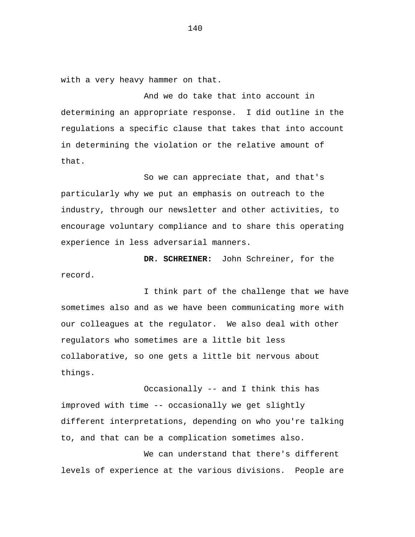with a very heavy hammer on that.

And we do take that into account in determining an appropriate response. I did outline in the regulations a specific clause that takes that into account in determining the violation or the relative amount of that.

So we can appreciate that, and that's particularly why we put an emphasis on outreach to the industry, through our newsletter and other activities, to encourage voluntary compliance and to share this operating experience in less adversarial manners.

**DR. SCHREINER:** John Schreiner, for the record.

I think part of the challenge that we have sometimes also and as we have been communicating more with our colleagues at the regulator. We also deal with other regulators who sometimes are a little bit less collaborative, so one gets a little bit nervous about things.

Occasionally -- and I think this has improved with time -- occasionally we get slightly different interpretations, depending on who you're talking to, and that can be a complication sometimes also.

We can understand that there's different levels of experience at the various divisions. People are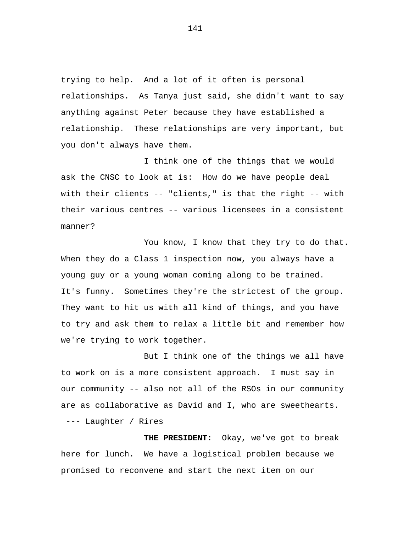trying to help. And a lot of it often is personal relationships. As Tanya just said, she didn't want to say anything against Peter because they have established a relationship. These relationships are very important, but you don't always have them.

I think one of the things that we would ask the CNSC to look at is: How do we have people deal with their clients -- "clients," is that the right -- with their various centres -- various licensees in a consistent manner?

You know, I know that they try to do that. When they do a Class 1 inspection now, you always have a young guy or a young woman coming along to be trained. It's funny. Sometimes they're the strictest of the group. They want to hit us with all kind of things, and you have to try and ask them to relax a little bit and remember how we're trying to work together.

But I think one of the things we all have to work on is a more consistent approach. I must say in our community -- also not all of the RSOs in our community are as collaborative as David and I, who are sweethearts. --- Laughter / Rires

**THE PRESIDENT:** Okay, we've got to break here for lunch. We have a logistical problem because we promised to reconvene and start the next item on our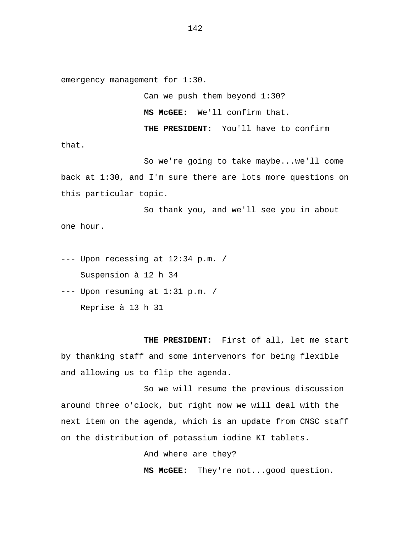emergency management for 1:30.

Can we push them beyond 1:30? **MS McGEE:** We'll confirm that. **THE PRESIDENT:** You'll have to confirm

that.

So we're going to take maybe...we'll come back at 1:30, and I'm sure there are lots more questions on this particular topic.

So thank you, and we'll see you in about one hour.

--- Upon recessing at 12:34 p.m. / Suspension à 12 h 34

--- Upon resuming at 1:31 p.m. / Reprise à 13 h 31

**THE PRESIDENT:** First of all, let me start by thanking staff and some intervenors for being flexible and allowing us to flip the agenda.

So we will resume the previous discussion around three o'clock, but right now we will deal with the next item on the agenda, which is an update from CNSC staff on the distribution of potassium iodine KI tablets.

And where are they?

**MS McGEE:** They're not...good question.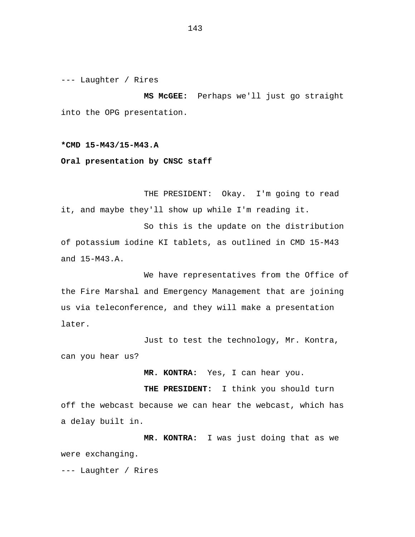--- Laughter / Rires

**MS McGEE:** Perhaps we'll just go straight into the OPG presentation.

# **\*CMD 15-M43/15-M43.A**

#### **Oral presentation by CNSC staff**

THE PRESIDENT: Okay. I'm going to read it, and maybe they'll show up while I'm reading it.

So this is the update on the distribution of potassium iodine KI tablets, as outlined in CMD 15-M43 and 15-M43.A.

We have representatives from the Office of the Fire Marshal and Emergency Management that are joining us via teleconference, and they will make a presentation later.

Just to test the technology, Mr. Kontra, can you hear us?

**MR. KONTRA:** Yes, I can hear you.

**THE PRESIDENT:** I think you should turn off the webcast because we can hear the webcast, which has a delay built in.

**MR. KONTRA:** I was just doing that as we were exchanging.

--- Laughter / Rires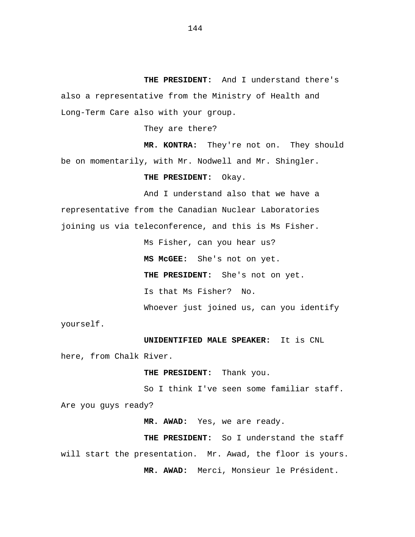**THE PRESIDENT:** And I understand there's also a representative from the Ministry of Health and Long-Term Care also with your group.

They are there?

**MR. KONTRA:** They're not on. They should be on momentarily, with Mr. Nodwell and Mr. Shingler.

**THE PRESIDENT:** Okay.

And I understand also that we have a representative from the Canadian Nuclear Laboratories joining us via teleconference, and this is Ms Fisher.

> Ms Fisher, can you hear us? **MS McGEE:** She's not on yet. **THE PRESIDENT:** She's not on yet. Is that Ms Fisher? No. Whoever just joined us, can you identify

yourself.

**UNIDENTIFIED MALE SPEAKER:** It is CNL

here, from Chalk River.

**THE PRESIDENT:** Thank you.

So I think I've seen some familiar staff. Are you guys ready?

**MR. AWAD:** Yes, we are ready.

**THE PRESIDENT:** So I understand the staff will start the presentation. Mr. Awad, the floor is yours. **MR. AWAD:** Merci, Monsieur le Président.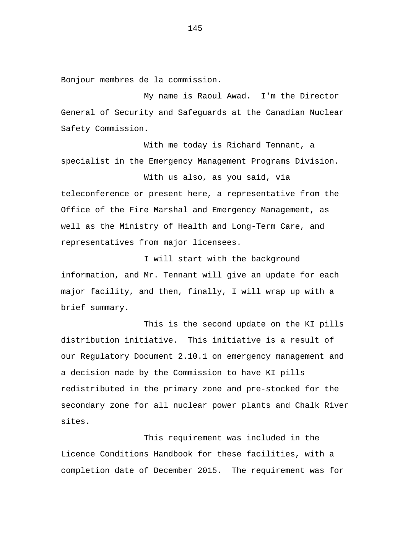Bonjour membres de la commission.

My name is Raoul Awad. I'm the Director General of Security and Safeguards at the Canadian Nuclear Safety Commission.

With me today is Richard Tennant, a specialist in the Emergency Management Programs Division.

With us also, as you said, via teleconference or present here, a representative from the Office of the Fire Marshal and Emergency Management, as well as the Ministry of Health and Long-Term Care, and representatives from major licensees.

I will start with the background information, and Mr. Tennant will give an update for each major facility, and then, finally, I will wrap up with a brief summary.

This is the second update on the KI pills distribution initiative. This initiative is a result of our Regulatory Document 2.10.1 on emergency management and a decision made by the Commission to have KI pills redistributed in the primary zone and pre-stocked for the secondary zone for all nuclear power plants and Chalk River sites.

This requirement was included in the Licence Conditions Handbook for these facilities, with a completion date of December 2015. The requirement was for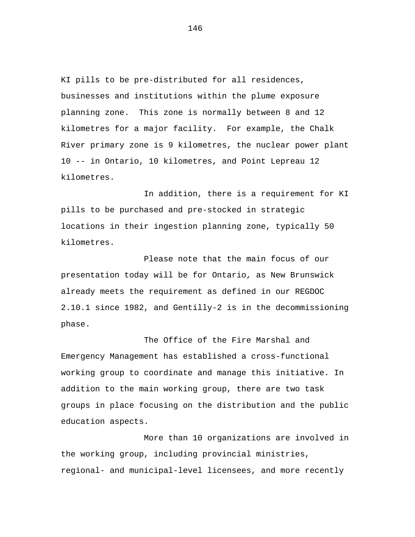KI pills to be pre-distributed for all residences, businesses and institutions within the plume exposure planning zone. This zone is normally between 8 and 12 kilometres for a major facility. For example, the Chalk River primary zone is 9 kilometres, the nuclear power plant 10 -- in Ontario, 10 kilometres, and Point Lepreau 12 kilometres.

In addition, there is a requirement for KI pills to be purchased and pre-stocked in strategic locations in their ingestion planning zone, typically 50 kilometres.

Please note that the main focus of our presentation today will be for Ontario, as New Brunswick already meets the requirement as defined in our REGDOC 2.10.1 since 1982, and Gentilly-2 is in the decommissioning phase.

The Office of the Fire Marshal and Emergency Management has established a cross-functional working group to coordinate and manage this initiative. In addition to the main working group, there are two task groups in place focusing on the distribution and the public education aspects.

More than 10 organizations are involved in the working group, including provincial ministries, regional- and municipal-level licensees, and more recently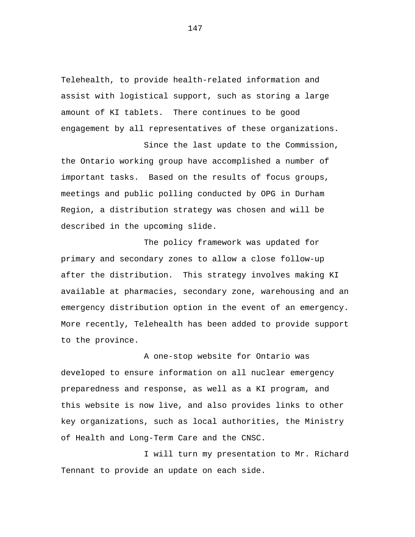Telehealth, to provide health-related information and assist with logistical support, such as storing a large amount of KI tablets. There continues to be good engagement by all representatives of these organizations.

Since the last update to the Commission,

the Ontario working group have accomplished a number of important tasks. Based on the results of focus groups, meetings and public polling conducted by OPG in Durham Region, a distribution strategy was chosen and will be described in the upcoming slide.

The policy framework was updated for primary and secondary zones to allow a close follow-up after the distribution. This strategy involves making KI available at pharmacies, secondary zone, warehousing and an emergency distribution option in the event of an emergency. More recently, Telehealth has been added to provide support to the province.

A one-stop website for Ontario was developed to ensure information on all nuclear emergency preparedness and response, as well as a KI program, and this website is now live, and also provides links to other key organizations, such as local authorities, the Ministry of Health and Long-Term Care and the CNSC.

I will turn my presentation to Mr. Richard Tennant to provide an update on each side.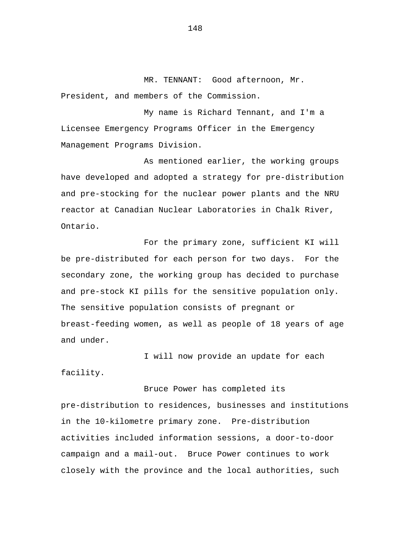MR. TENNANT: Good afternoon, Mr. President, and members of the Commission.

My name is Richard Tennant, and I'm a Licensee Emergency Programs Officer in the Emergency Management Programs Division.

As mentioned earlier, the working groups have developed and adopted a strategy for pre-distribution and pre-stocking for the nuclear power plants and the NRU reactor at Canadian Nuclear Laboratories in Chalk River, Ontario.

For the primary zone, sufficient KI will be pre-distributed for each person for two days. For the secondary zone, the working group has decided to purchase and pre-stock KI pills for the sensitive population only. The sensitive population consists of pregnant or breast-feeding women, as well as people of 18 years of age and under.

I will now provide an update for each facility.

Bruce Power has completed its

pre-distribution to residences, businesses and institutions in the 10-kilometre primary zone. Pre-distribution activities included information sessions, a door-to-door campaign and a mail-out. Bruce Power continues to work closely with the province and the local authorities, such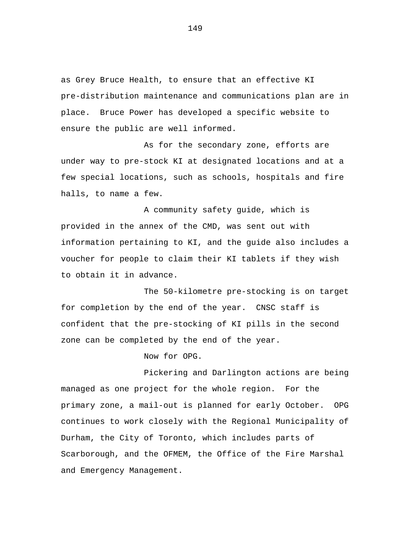as Grey Bruce Health, to ensure that an effective KI pre-distribution maintenance and communications plan are in place. Bruce Power has developed a specific website to ensure the public are well informed.

As for the secondary zone, efforts are under way to pre-stock KI at designated locations and at a few special locations, such as schools, hospitals and fire halls, to name a few.

A community safety guide, which is provided in the annex of the CMD, was sent out with information pertaining to KI, and the guide also includes a voucher for people to claim their KI tablets if they wish to obtain it in advance.

The 50-kilometre pre-stocking is on target for completion by the end of the year. CNSC staff is confident that the pre-stocking of KI pills in the second zone can be completed by the end of the year.

Now for OPG.

Pickering and Darlington actions are being managed as one project for the whole region. For the primary zone, a mail-out is planned for early October. OPG continues to work closely with the Regional Municipality of Durham, the City of Toronto, which includes parts of Scarborough, and the OFMEM, the Office of the Fire Marshal and Emergency Management.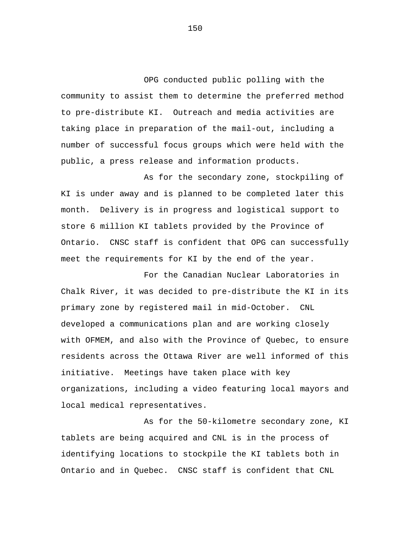OPG conducted public polling with the community to assist them to determine the preferred method to pre-distribute KI. Outreach and media activities are taking place in preparation of the mail-out, including a number of successful focus groups which were held with the public, a press release and information products.

As for the secondary zone, stockpiling of KI is under away and is planned to be completed later this month. Delivery is in progress and logistical support to store 6 million KI tablets provided by the Province of Ontario. CNSC staff is confident that OPG can successfully meet the requirements for KI by the end of the year.

For the Canadian Nuclear Laboratories in Chalk River, it was decided to pre-distribute the KI in its primary zone by registered mail in mid-October. CNL developed a communications plan and are working closely with OFMEM, and also with the Province of Quebec, to ensure residents across the Ottawa River are well informed of this initiative. Meetings have taken place with key organizations, including a video featuring local mayors and local medical representatives.

As for the 50-kilometre secondary zone, KI tablets are being acquired and CNL is in the process of identifying locations to stockpile the KI tablets both in Ontario and in Quebec. CNSC staff is confident that CNL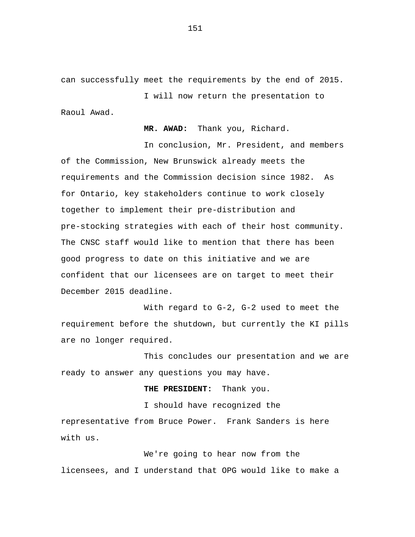can successfully meet the requirements by the end of 2015.

I will now return the presentation to Raoul Awad.

**MR. AWAD:** Thank you, Richard.

In conclusion, Mr. President, and members of the Commission, New Brunswick already meets the requirements and the Commission decision since 1982. As for Ontario, key stakeholders continue to work closely together to implement their pre-distribution and pre-stocking strategies with each of their host community. The CNSC staff would like to mention that there has been good progress to date on this initiative and we are confident that our licensees are on target to meet their December 2015 deadline.

With regard to G-2, G-2 used to meet the requirement before the shutdown, but currently the KI pills are no longer required.

This concludes our presentation and we are ready to answer any questions you may have.

**THE PRESIDENT:** Thank you.

I should have recognized the representative from Bruce Power. Frank Sanders is here with us.

We're going to hear now from the licensees, and I understand that OPG would like to make a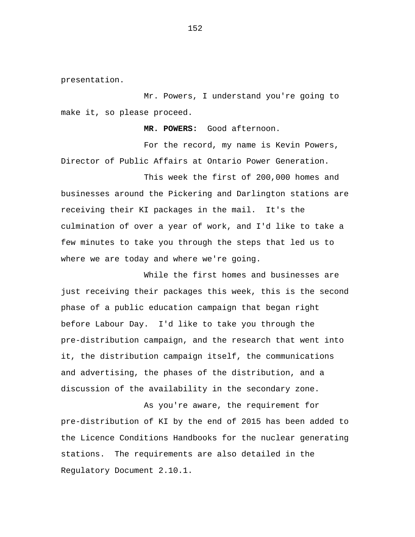presentation.

Mr. Powers, I understand you're going to make it, so please proceed.

**MR. POWERS:** Good afternoon.

For the record, my name is Kevin Powers, Director of Public Affairs at Ontario Power Generation.

This week the first of 200,000 homes and businesses around the Pickering and Darlington stations are receiving their KI packages in the mail. It's the culmination of over a year of work, and I'd like to take a few minutes to take you through the steps that led us to where we are today and where we're going.

While the first homes and businesses are just receiving their packages this week, this is the second phase of a public education campaign that began right before Labour Day. I'd like to take you through the pre-distribution campaign, and the research that went into it, the distribution campaign itself, the communications and advertising, the phases of the distribution, and a discussion of the availability in the secondary zone.

As you're aware, the requirement for pre-distribution of KI by the end of 2015 has been added to the Licence Conditions Handbooks for the nuclear generating stations. The requirements are also detailed in the Regulatory Document 2.10.1.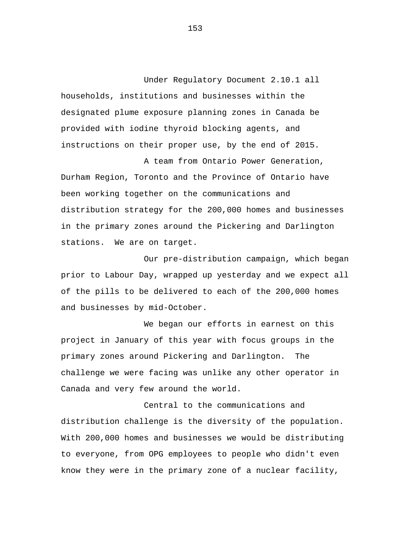Under Regulatory Document 2.10.1 all households, institutions and businesses within the designated plume exposure planning zones in Canada be provided with iodine thyroid blocking agents, and instructions on their proper use, by the end of 2015.

A team from Ontario Power Generation, Durham Region, Toronto and the Province of Ontario have been working together on the communications and distribution strategy for the 200,000 homes and businesses in the primary zones around the Pickering and Darlington stations. We are on target.

Our pre-distribution campaign, which began prior to Labour Day, wrapped up yesterday and we expect all of the pills to be delivered to each of the 200,000 homes and businesses by mid-October.

We began our efforts in earnest on this project in January of this year with focus groups in the primary zones around Pickering and Darlington. The challenge we were facing was unlike any other operator in Canada and very few around the world.

Central to the communications and distribution challenge is the diversity of the population. With 200,000 homes and businesses we would be distributing to everyone, from OPG employees to people who didn't even know they were in the primary zone of a nuclear facility,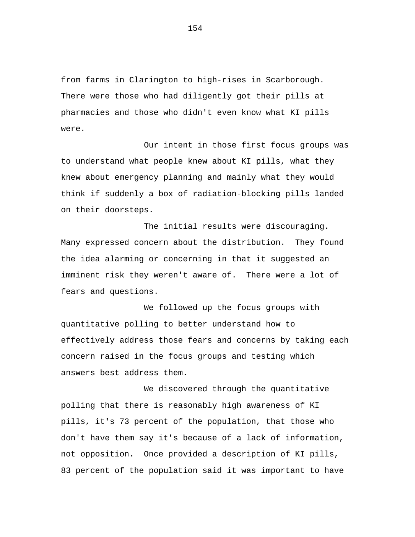from farms in Clarington to high-rises in Scarborough. There were those who had diligently got their pills at pharmacies and those who didn't even know what KI pills were.

Our intent in those first focus groups was to understand what people knew about KI pills, what they knew about emergency planning and mainly what they would think if suddenly a box of radiation-blocking pills landed on their doorsteps.

The initial results were discouraging. Many expressed concern about the distribution. They found the idea alarming or concerning in that it suggested an imminent risk they weren't aware of. There were a lot of fears and questions.

We followed up the focus groups with quantitative polling to better understand how to effectively address those fears and concerns by taking each concern raised in the focus groups and testing which answers best address them.

We discovered through the quantitative polling that there is reasonably high awareness of KI pills, it's 73 percent of the population, that those who don't have them say it's because of a lack of information, not opposition. Once provided a description of KI pills, 83 percent of the population said it was important to have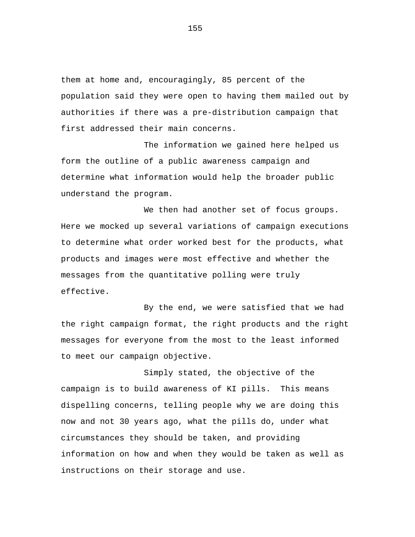them at home and, encouragingly, 85 percent of the population said they were open to having them mailed out by authorities if there was a pre-distribution campaign that first addressed their main concerns.

The information we gained here helped us form the outline of a public awareness campaign and determine what information would help the broader public understand the program.

We then had another set of focus groups. Here we mocked up several variations of campaign executions to determine what order worked best for the products, what products and images were most effective and whether the messages from the quantitative polling were truly effective.

By the end, we were satisfied that we had the right campaign format, the right products and the right messages for everyone from the most to the least informed to meet our campaign objective.

Simply stated, the objective of the campaign is to build awareness of KI pills. This means dispelling concerns, telling people why we are doing this now and not 30 years ago, what the pills do, under what circumstances they should be taken, and providing information on how and when they would be taken as well as instructions on their storage and use.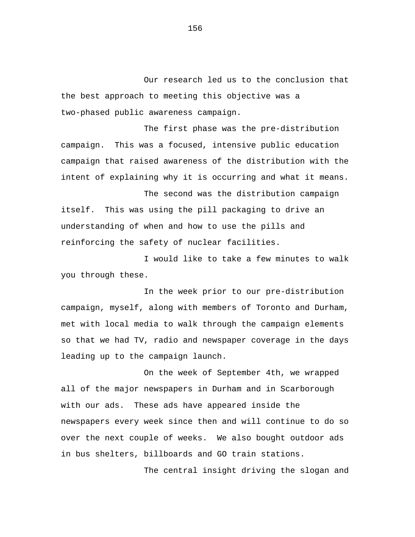Our research led us to the conclusion that the best approach to meeting this objective was a two-phased public awareness campaign.

The first phase was the pre-distribution campaign. This was a focused, intensive public education campaign that raised awareness of the distribution with the intent of explaining why it is occurring and what it means.

The second was the distribution campaign itself. This was using the pill packaging to drive an understanding of when and how to use the pills and reinforcing the safety of nuclear facilities.

I would like to take a few minutes to walk you through these.

In the week prior to our pre-distribution campaign, myself, along with members of Toronto and Durham, met with local media to walk through the campaign elements so that we had TV, radio and newspaper coverage in the days leading up to the campaign launch.

On the week of September 4th, we wrapped all of the major newspapers in Durham and in Scarborough with our ads. These ads have appeared inside the newspapers every week since then and will continue to do so over the next couple of weeks. We also bought outdoor ads in bus shelters, billboards and GO train stations.

The central insight driving the slogan and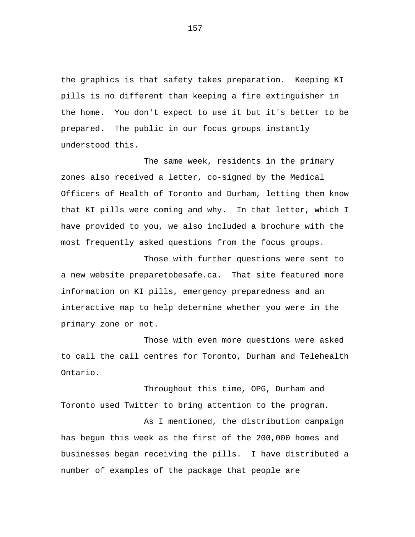the graphics is that safety takes preparation. Keeping KI pills is no different than keeping a fire extinguisher in the home. You don't expect to use it but it's better to be prepared. The public in our focus groups instantly understood this.

The same week, residents in the primary zones also received a letter, co-signed by the Medical Officers of Health of Toronto and Durham, letting them know that KI pills were coming and why. In that letter, which I have provided to you, we also included a brochure with the most frequently asked questions from the focus groups.

Those with further questions were sent to a new website preparetobesafe.ca. That site featured more information on KI pills, emergency preparedness and an interactive map to help determine whether you were in the primary zone or not.

Those with even more questions were asked to call the call centres for Toronto, Durham and Telehealth Ontario.

Throughout this time, OPG, Durham and Toronto used Twitter to bring attention to the program.

As I mentioned, the distribution campaign has begun this week as the first of the 200,000 homes and businesses began receiving the pills. I have distributed a number of examples of the package that people are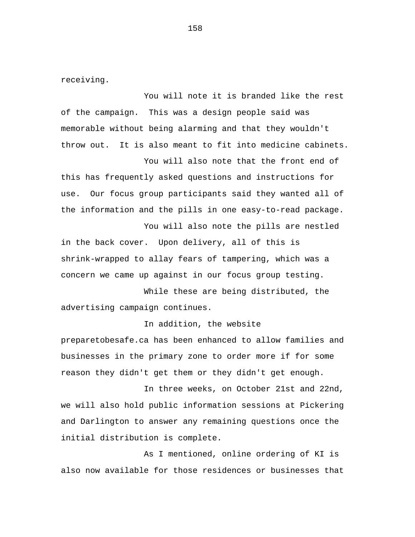receiving.

You will note it is branded like the rest of the campaign. This was a design people said was memorable without being alarming and that they wouldn't throw out. It is also meant to fit into medicine cabinets.

You will also note that the front end of this has frequently asked questions and instructions for use. Our focus group participants said they wanted all of the information and the pills in one easy-to-read package.

You will also note the pills are nestled

in the back cover. Upon delivery, all of this is shrink-wrapped to allay fears of tampering, which was a concern we came up against in our focus group testing.

While these are being distributed, the advertising campaign continues.

## In addition, the website

preparetobesafe.ca has been enhanced to allow families and businesses in the primary zone to order more if for some reason they didn't get them or they didn't get enough.

In three weeks, on October 21st and 22nd, we will also hold public information sessions at Pickering and Darlington to answer any remaining questions once the initial distribution is complete.

As I mentioned, online ordering of KI is also now available for those residences or businesses that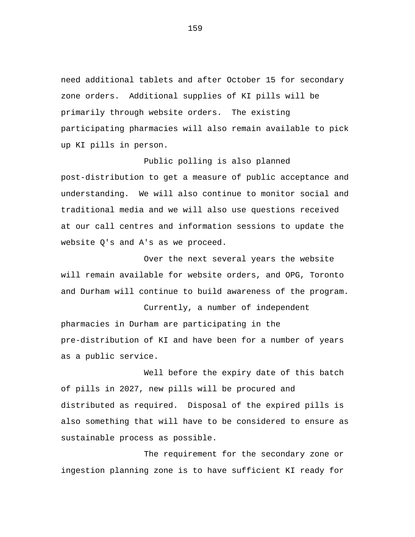need additional tablets and after October 15 for secondary zone orders. Additional supplies of KI pills will be primarily through website orders. The existing participating pharmacies will also remain available to pick up KI pills in person.

## Public polling is also planned

post-distribution to get a measure of public acceptance and understanding. We will also continue to monitor social and traditional media and we will also use questions received at our call centres and information sessions to update the website Q's and A's as we proceed.

Over the next several years the website will remain available for website orders, and OPG, Toronto and Durham will continue to build awareness of the program.

Currently, a number of independent pharmacies in Durham are participating in the pre-distribution of KI and have been for a number of years as a public service.

Well before the expiry date of this batch of pills in 2027, new pills will be procured and distributed as required. Disposal of the expired pills is also something that will have to be considered to ensure as sustainable process as possible.

The requirement for the secondary zone or ingestion planning zone is to have sufficient KI ready for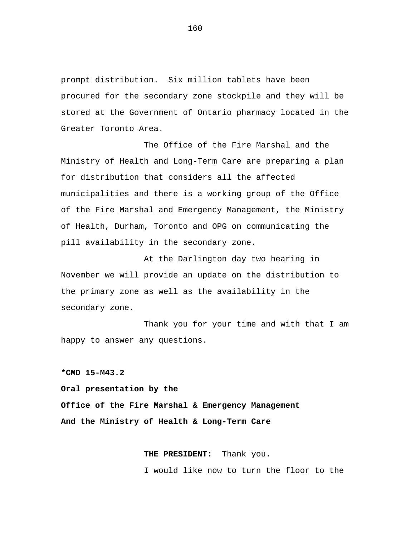prompt distribution. Six million tablets have been procured for the secondary zone stockpile and they will be stored at the Government of Ontario pharmacy located in the Greater Toronto Area.

The Office of the Fire Marshal and the Ministry of Health and Long-Term Care are preparing a plan for distribution that considers all the affected municipalities and there is a working group of the Office of the Fire Marshal and Emergency Management, the Ministry of Health, Durham, Toronto and OPG on communicating the pill availability in the secondary zone.

At the Darlington day two hearing in November we will provide an update on the distribution to the primary zone as well as the availability in the secondary zone.

Thank you for your time and with that I am happy to answer any questions.

**\*CMD 15-M43.2** 

**Oral presentation by the Office of the Fire Marshal & Emergency Management And the Ministry of Health & Long-Term Care** 

> **THE PRESIDENT:** Thank you. I would like now to turn the floor to the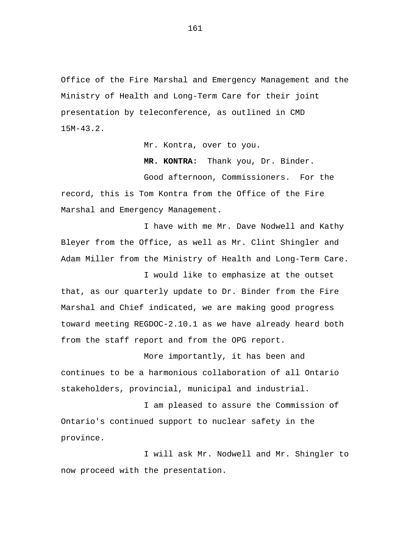Office of the Fire Marshal and Emergency Management and the Ministry of Health and Long-Term Care for their joint presentation by teleconference, as outlined in CMD 15M-43.2.

Mr. Kontra, over to you.

**MR. KONTRA:** Thank you, Dr. Binder.

Good afternoon, Commissioners. For the record, this is Tom Kontra from the Office of the Fire Marshal and Emergency Management.

I have with me Mr. Dave Nodwell and Kathy Bleyer from the Office, as well as Mr. Clint Shingler and Adam Miller from the Ministry of Health and Long-Term Care.

I would like to emphasize at the outset that, as our quarterly update to Dr. Binder from the Fire Marshal and Chief indicated, we are making good progress toward meeting REGDOC-2.10.1 as we have already heard both from the staff report and from the OPG report.

More importantly, it has been and continues to be a harmonious collaboration of all Ontario stakeholders, provincial, municipal and industrial.

I am pleased to assure the Commission of Ontario's continued support to nuclear safety in the province.

I will ask Mr. Nodwell and Mr. Shingler to now proceed with the presentation.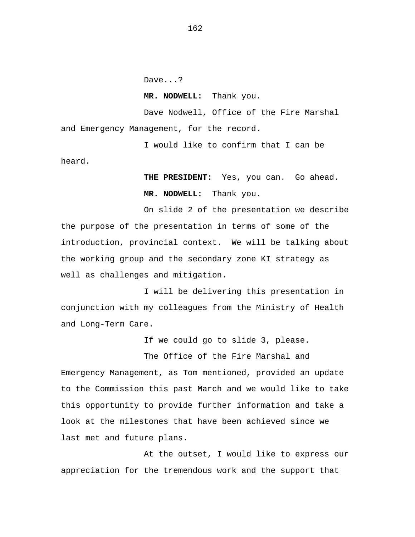Dave...?

heard.

**MR. NODWELL:** Thank you.

Dave Nodwell, Office of the Fire Marshal and Emergency Management, for the record.

I would like to confirm that I can be

**THE PRESIDENT:** Yes, you can. Go ahead. **MR. NODWELL:** Thank you.

On slide 2 of the presentation we describe the purpose of the presentation in terms of some of the introduction, provincial context. We will be talking about the working group and the secondary zone KI strategy as well as challenges and mitigation.

I will be delivering this presentation in conjunction with my colleagues from the Ministry of Health and Long-Term Care.

If we could go to slide 3, please.

The Office of the Fire Marshal and Emergency Management, as Tom mentioned, provided an update to the Commission this past March and we would like to take this opportunity to provide further information and take a look at the milestones that have been achieved since we last met and future plans.

At the outset, I would like to express our appreciation for the tremendous work and the support that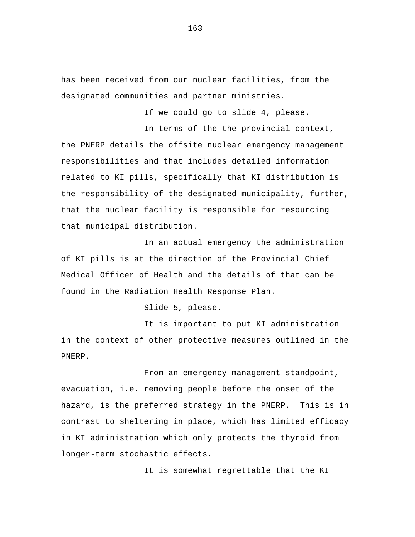has been received from our nuclear facilities, from the designated communities and partner ministries.

If we could go to slide 4, please.

In terms of the the provincial context, the PNERP details the offsite nuclear emergency management responsibilities and that includes detailed information related to KI pills, specifically that KI distribution is the responsibility of the designated municipality, further, that the nuclear facility is responsible for resourcing that municipal distribution.

In an actual emergency the administration of KI pills is at the direction of the Provincial Chief Medical Officer of Health and the details of that can be found in the Radiation Health Response Plan.

Slide 5, please.

It is important to put KI administration in the context of other protective measures outlined in the PNERP.

From an emergency management standpoint, evacuation, i.e. removing people before the onset of the hazard, is the preferred strategy in the PNERP. This is in contrast to sheltering in place, which has limited efficacy in KI administration which only protects the thyroid from longer-term stochastic effects.

It is somewhat regrettable that the KI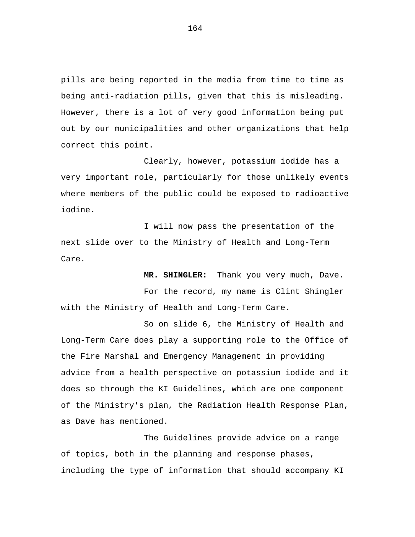pills are being reported in the media from time to time as being anti-radiation pills, given that this is misleading. However, there is a lot of very good information being put out by our municipalities and other organizations that help correct this point.

Clearly, however, potassium iodide has a very important role, particularly for those unlikely events where members of the public could be exposed to radioactive iodine.

I will now pass the presentation of the next slide over to the Ministry of Health and Long-Term Care.

**MR. SHINGLER:** Thank you very much, Dave. For the record, my name is Clint Shingler with the Ministry of Health and Long-Term Care.

So on slide 6, the Ministry of Health and Long-Term Care does play a supporting role to the Office of the Fire Marshal and Emergency Management in providing advice from a health perspective on potassium iodide and it does so through the KI Guidelines, which are one component of the Ministry's plan, the Radiation Health Response Plan, as Dave has mentioned.

The Guidelines provide advice on a range of topics, both in the planning and response phases, including the type of information that should accompany KI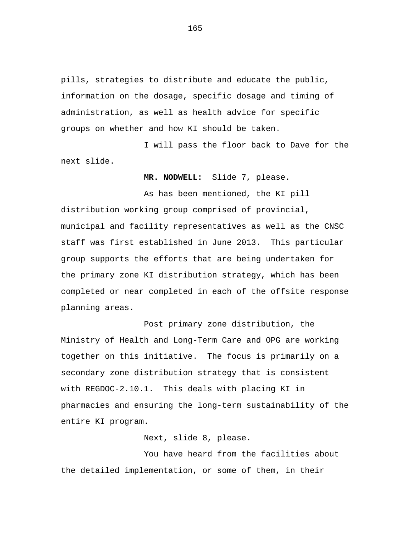pills, strategies to distribute and educate the public, information on the dosage, specific dosage and timing of administration, as well as health advice for specific groups on whether and how KI should be taken.

I will pass the floor back to Dave for the next slide.

**MR. NODWELL:** Slide 7, please.

As has been mentioned, the KI pill distribution working group comprised of provincial, municipal and facility representatives as well as the CNSC staff was first established in June 2013. This particular group supports the efforts that are being undertaken for the primary zone KI distribution strategy, which has been completed or near completed in each of the offsite response planning areas.

Post primary zone distribution, the Ministry of Health and Long-Term Care and OPG are working together on this initiative. The focus is primarily on a secondary zone distribution strategy that is consistent with REGDOC-2.10.1. This deals with placing KI in pharmacies and ensuring the long-term sustainability of the entire KI program.

Next, slide 8, please.

You have heard from the facilities about the detailed implementation, or some of them, in their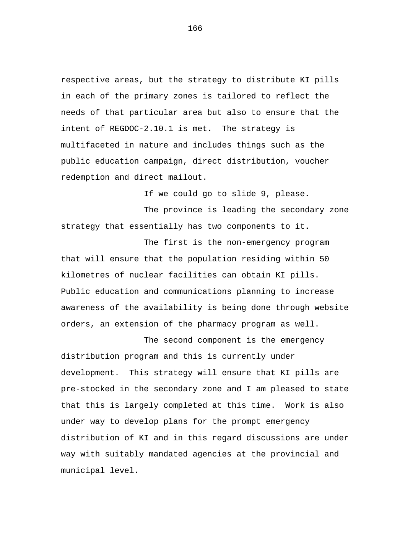respective areas, but the strategy to distribute KI pills in each of the primary zones is tailored to reflect the needs of that particular area but also to ensure that the intent of REGDOC-2.10.1 is met. The strategy is multifaceted in nature and includes things such as the public education campaign, direct distribution, voucher redemption and direct mailout.

If we could go to slide 9, please.

The province is leading the secondary zone strategy that essentially has two components to it.

The first is the non-emergency program that will ensure that the population residing within 50 kilometres of nuclear facilities can obtain KI pills. Public education and communications planning to increase awareness of the availability is being done through website orders, an extension of the pharmacy program as well.

The second component is the emergency distribution program and this is currently under development. This strategy will ensure that KI pills are pre-stocked in the secondary zone and I am pleased to state that this is largely completed at this time. Work is also under way to develop plans for the prompt emergency distribution of KI and in this regard discussions are under way with suitably mandated agencies at the provincial and municipal level.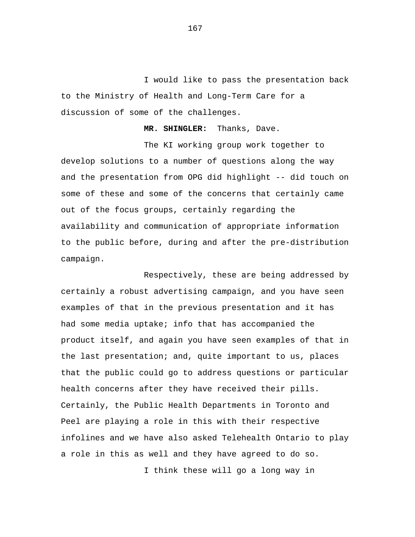I would like to pass the presentation back to the Ministry of Health and Long-Term Care for a discussion of some of the challenges.

**MR. SHINGLER:** Thanks, Dave.

The KI working group work together to develop solutions to a number of questions along the way and the presentation from OPG did highlight -- did touch on some of these and some of the concerns that certainly came out of the focus groups, certainly regarding the availability and communication of appropriate information to the public before, during and after the pre-distribution campaign.

Respectively, these are being addressed by certainly a robust advertising campaign, and you have seen examples of that in the previous presentation and it has had some media uptake; info that has accompanied the product itself, and again you have seen examples of that in the last presentation; and, quite important to us, places that the public could go to address questions or particular health concerns after they have received their pills. Certainly, the Public Health Departments in Toronto and Peel are playing a role in this with their respective infolines and we have also asked Telehealth Ontario to play a role in this as well and they have agreed to do so.

I think these will go a long way in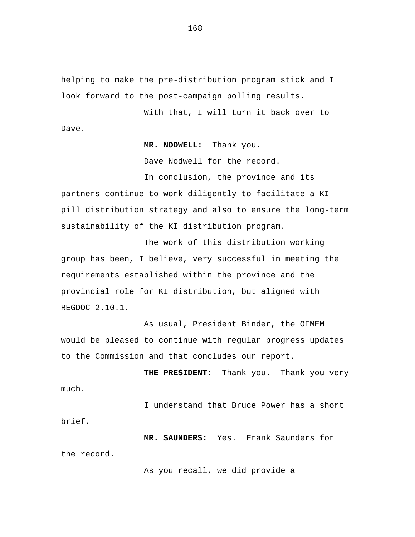helping to make the pre-distribution program stick and I look forward to the post-campaign polling results.

With that, I will turn it back over to Dave.

**MR. NODWELL:** Thank you.

Dave Nodwell for the record.

In conclusion, the province and its partners continue to work diligently to facilitate a KI pill distribution strategy and also to ensure the long-term sustainability of the KI distribution program.

The work of this distribution working group has been, I believe, very successful in meeting the requirements established within the province and the provincial role for KI distribution, but aligned with REGDOC-2.10.1.

As usual, President Binder, the OFMEM would be pleased to continue with regular progress updates to the Commission and that concludes our report.

**THE PRESIDENT:** Thank you. Thank you very much.

I understand that Bruce Power has a short brief.

**MR. SAUNDERS:** Yes. Frank Saunders for the record.

As you recall, we did provide a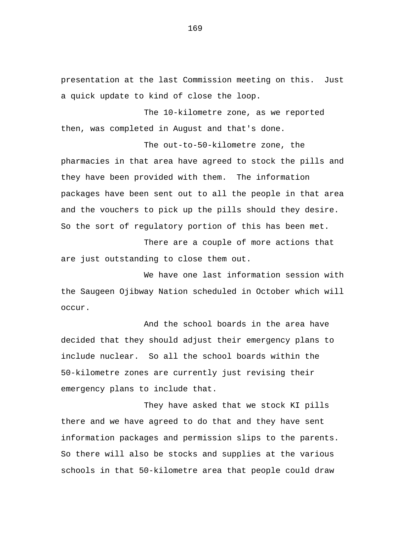presentation at the last Commission meeting on this. Just a quick update to kind of close the loop.

The 10-kilometre zone, as we reported then, was completed in August and that's done.

The out-to-50-kilometre zone, the pharmacies in that area have agreed to stock the pills and they have been provided with them. The information packages have been sent out to all the people in that area and the vouchers to pick up the pills should they desire. So the sort of regulatory portion of this has been met.

There are a couple of more actions that are just outstanding to close them out.

We have one last information session with the Saugeen Ojibway Nation scheduled in October which will occur.

And the school boards in the area have decided that they should adjust their emergency plans to include nuclear. So all the school boards within the 50-kilometre zones are currently just revising their emergency plans to include that.

They have asked that we stock KI pills there and we have agreed to do that and they have sent information packages and permission slips to the parents. So there will also be stocks and supplies at the various schools in that 50-kilometre area that people could draw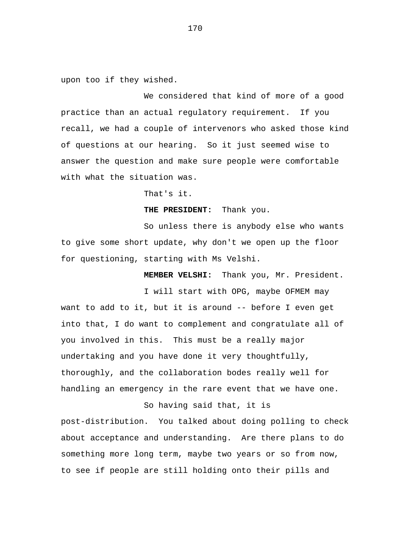upon too if they wished.

We considered that kind of more of a good practice than an actual regulatory requirement. If you recall, we had a couple of intervenors who asked those kind of questions at our hearing. So it just seemed wise to answer the question and make sure people were comfortable with what the situation was.

That's it.

**THE PRESIDENT:** Thank you.

So unless there is anybody else who wants to give some short update, why don't we open up the floor for questioning, starting with Ms Velshi.

 **MEMBER VELSHI:** Thank you, Mr. President.

I will start with OPG, maybe OFMEM may want to add to it, but it is around -- before I even get into that, I do want to complement and congratulate all of you involved in this. This must be a really major undertaking and you have done it very thoughtfully, thoroughly, and the collaboration bodes really well for handling an emergency in the rare event that we have one.

### So having said that, it is

post-distribution. You talked about doing polling to check about acceptance and understanding. Are there plans to do something more long term, maybe two years or so from now, to see if people are still holding onto their pills and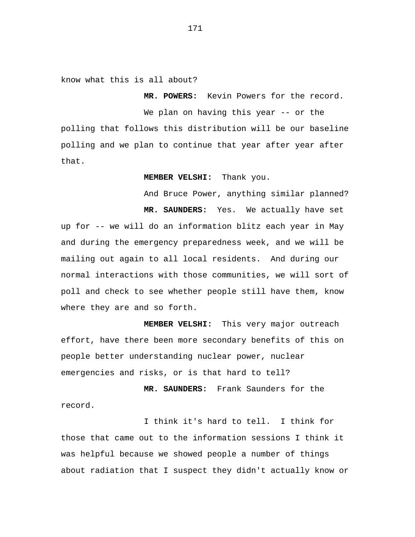know what this is all about?

We plan on having this year -- or the polling that follows this distribution will be our baseline polling and we plan to continue that year after year after that.

 **MR. POWERS:** Kevin Powers for the record.

 **MEMBER VELSHI:** Thank you.

And Bruce Power, anything similar planned?  **MR. SAUNDERS:** Yes. We actually have set up for -- we will do an information blitz each year in May and during the emergency preparedness week, and we will be mailing out again to all local residents. And during our normal interactions with those communities, we will sort of poll and check to see whether people still have them, know where they are and so forth.

 **MEMBER VELSHI:** This very major outreach effort, have there been more secondary benefits of this on people better understanding nuclear power, nuclear emergencies and risks, or is that hard to tell?

 **MR. SAUNDERS:** Frank Saunders for the record.

I think it's hard to tell. I think for those that came out to the information sessions I think it was helpful because we showed people a number of things about radiation that I suspect they didn't actually know or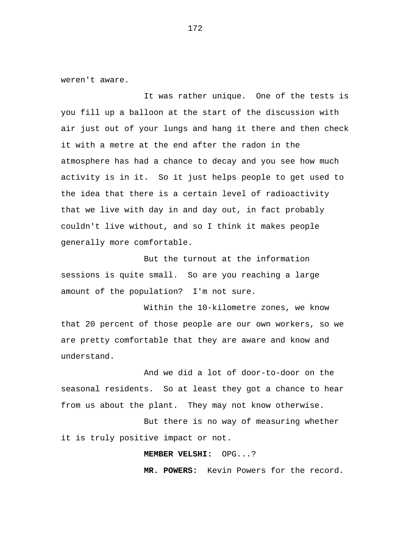weren't aware.

It was rather unique. One of the tests is you fill up a balloon at the start of the discussion with air just out of your lungs and hang it there and then check it with a metre at the end after the radon in the atmosphere has had a chance to decay and you see how much activity is in it. So it just helps people to get used to the idea that there is a certain level of radioactivity that we live with day in and day out, in fact probably couldn't live without, and so I think it makes people generally more comfortable.

But the turnout at the information sessions is quite small. So are you reaching a large amount of the population? I'm not sure.

Within the 10-kilometre zones, we know that 20 percent of those people are our own workers, so we are pretty comfortable that they are aware and know and understand.

And we did a lot of door-to-door on the seasonal residents. So at least they got a chance to hear from us about the plant. They may not know otherwise.

But there is no way of measuring whether it is truly positive impact or not.

 **MEMBER VELSHI:** OPG...?

 **MR. POWERS:** Kevin Powers for the record.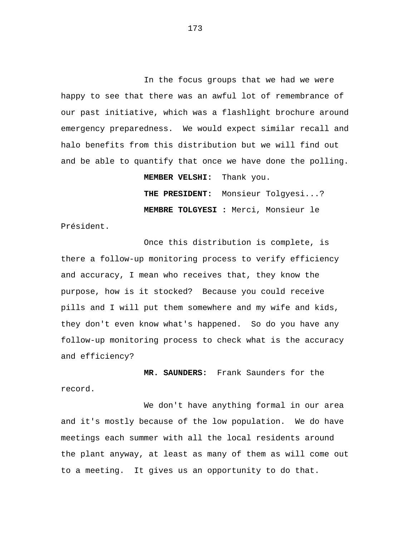In the focus groups that we had we were happy to see that there was an awful lot of remembrance of our past initiative, which was a flashlight brochure around emergency preparedness. We would expect similar recall and halo benefits from this distribution but we will find out and be able to quantify that once we have done the polling.

 **MEMBER VELSHI:** Thank you.

 **THE PRESIDENT:** Monsieur Tolgyesi...? **MEMBRE TOLGYESI :** Merci, Monsieur le

Président.

Once this distribution is complete, is there a follow-up monitoring process to verify efficiency and accuracy, I mean who receives that, they know the purpose, how is it stocked? Because you could receive pills and I will put them somewhere and my wife and kids, they don't even know what's happened. So do you have any follow-up monitoring process to check what is the accuracy and efficiency?

 **MR. SAUNDERS:** Frank Saunders for the record.

We don't have anything formal in our area and it's mostly because of the low population. We do have meetings each summer with all the local residents around the plant anyway, at least as many of them as will come out to a meeting. It gives us an opportunity to do that.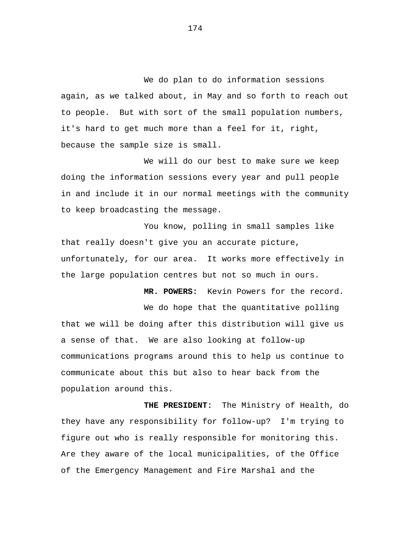We do plan to do information sessions again, as we talked about, in May and so forth to reach out to people. But with sort of the small population numbers, it's hard to get much more than a feel for it, right, because the sample size is small.

We will do our best to make sure we keep doing the information sessions every year and pull people in and include it in our normal meetings with the community to keep broadcasting the message.

You know, polling in small samples like that really doesn't give you an accurate picture, unfortunately, for our area. It works more effectively in the large population centres but not so much in ours.

 **MR. POWERS:** Kevin Powers for the record.

We do hope that the quantitative polling that we will be doing after this distribution will give us a sense of that. We are also looking at follow-up communications programs around this to help us continue to communicate about this but also to hear back from the population around this.

 **THE PRESIDENT:** The Ministry of Health, do they have any responsibility for follow-up? I'm trying to figure out who is really responsible for monitoring this. Are they aware of the local municipalities, of the Office of the Emergency Management and Fire Marshal and the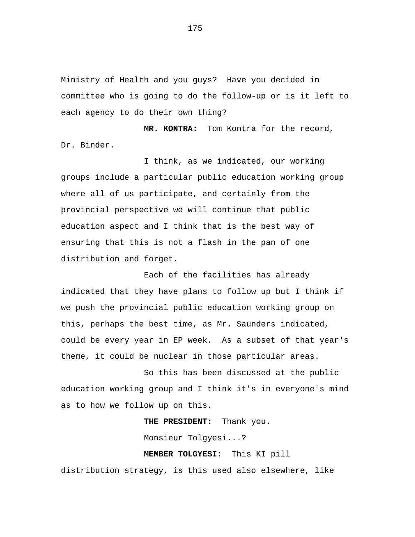Ministry of Health and you guys? Have you decided in committee who is going to do the follow-up or is it left to each agency to do their own thing?

 **MR. KONTRA:** Tom Kontra for the record, Dr. Binder.

I think, as we indicated, our working groups include a particular public education working group where all of us participate, and certainly from the provincial perspective we will continue that public education aspect and I think that is the best way of ensuring that this is not a flash in the pan of one distribution and forget.

Each of the facilities has already indicated that they have plans to follow up but I think if we push the provincial public education working group on this, perhaps the best time, as Mr. Saunders indicated, could be every year in EP week. As a subset of that year's theme, it could be nuclear in those particular areas.

So this has been discussed at the public education working group and I think it's in everyone's mind as to how we follow up on this.

> **THE PRESIDENT:** Thank you. Monsieur Tolgyesi...?  **MEMBER TOLGYESI:** This KI pill

distribution strategy, is this used also elsewhere, like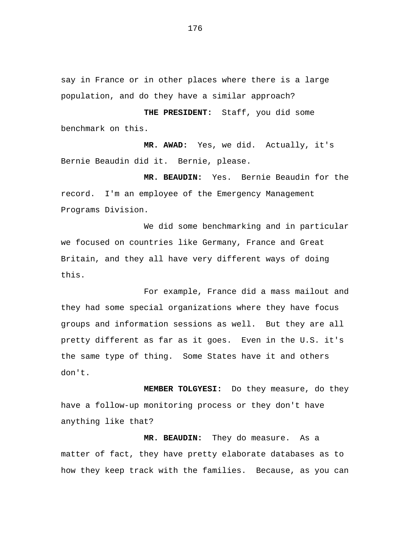say in France or in other places where there is a large population, and do they have a similar approach?

 **THE PRESIDENT:** Staff, you did some benchmark on this.

 **MR. AWAD:** Yes, we did. Actually, it's Bernie Beaudin did it. Bernie, please.

 **MR. BEAUDIN:** Yes. Bernie Beaudin for the record. I'm an employee of the Emergency Management Programs Division.

We did some benchmarking and in particular we focused on countries like Germany, France and Great Britain, and they all have very different ways of doing this.

For example, France did a mass mailout and they had some special organizations where they have focus groups and information sessions as well. But they are all pretty different as far as it goes. Even in the U.S. it's the same type of thing. Some States have it and others don't.

 **MEMBER TOLGYESI:** Do they measure, do they have a follow-up monitoring process or they don't have anything like that?

 **MR. BEAUDIN:** They do measure. As a matter of fact, they have pretty elaborate databases as to how they keep track with the families. Because, as you can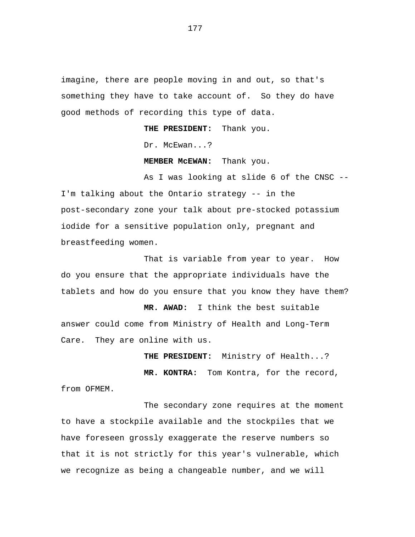imagine, there are people moving in and out, so that's something they have to take account of. So they do have good methods of recording this type of data.

 **THE PRESIDENT:** Thank you.

Dr. McEwan...?

 **MEMBER McEWAN:** Thank you.

As I was looking at slide 6 of the CNSC -- I'm talking about the Ontario strategy -- in the post-secondary zone your talk about pre-stocked potassium iodide for a sensitive population only, pregnant and breastfeeding women.

That is variable from year to year. How do you ensure that the appropriate individuals have the tablets and how do you ensure that you know they have them?

 **MR. AWAD:** I think the best suitable answer could come from Ministry of Health and Long-Term Care. They are online with us.

 **THE PRESIDENT:** Ministry of Health...?

 **MR. KONTRA:** Tom Kontra, for the record, from OFMEM.

The secondary zone requires at the moment to have a stockpile available and the stockpiles that we have foreseen grossly exaggerate the reserve numbers so that it is not strictly for this year's vulnerable, which we recognize as being a changeable number, and we will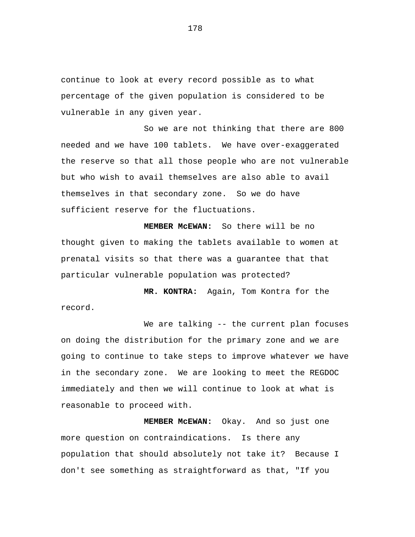continue to look at every record possible as to what percentage of the given population is considered to be vulnerable in any given year.

So we are not thinking that there are 800 needed and we have 100 tablets. We have over-exaggerated the reserve so that all those people who are not vulnerable but who wish to avail themselves are also able to avail themselves in that secondary zone. So we do have sufficient reserve for the fluctuations.

 **MEMBER McEWAN:** So there will be no thought given to making the tablets available to women at prenatal visits so that there was a guarantee that that particular vulnerable population was protected?

 **MR. KONTRA:** Again, Tom Kontra for the record.

We are talking -- the current plan focuses on doing the distribution for the primary zone and we are going to continue to take steps to improve whatever we have in the secondary zone. We are looking to meet the REGDOC immediately and then we will continue to look at what is reasonable to proceed with.

 **MEMBER McEWAN:** Okay. And so just one more question on contraindications. Is there any population that should absolutely not take it? Because I don't see something as straightforward as that, "If you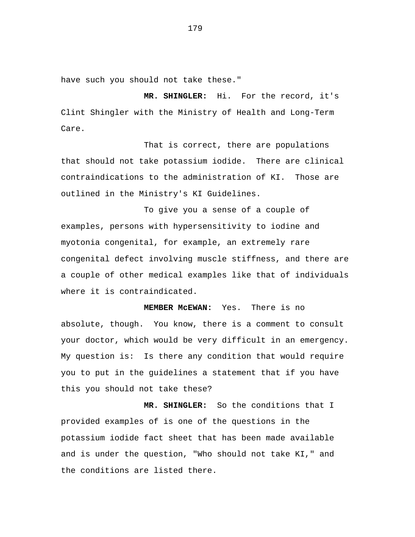have such you should not take these."

 **MR. SHINGLER:** Hi. For the record, it's Clint Shingler with the Ministry of Health and Long-Term Care.

That is correct, there are populations that should not take potassium iodide. There are clinical contraindications to the administration of KI. Those are outlined in the Ministry's KI Guidelines.

To give you a sense of a couple of examples, persons with hypersensitivity to iodine and myotonia congenital, for example, an extremely rare congenital defect involving muscle stiffness, and there are a couple of other medical examples like that of individuals where it is contraindicated.

 **MEMBER McEWAN:** Yes. There is no absolute, though. You know, there is a comment to consult your doctor, which would be very difficult in an emergency. My question is: Is there any condition that would require you to put in the guidelines a statement that if you have this you should not take these?

 **MR. SHINGLER:** So the conditions that I provided examples of is one of the questions in the potassium iodide fact sheet that has been made available and is under the question, "Who should not take KI," and the conditions are listed there.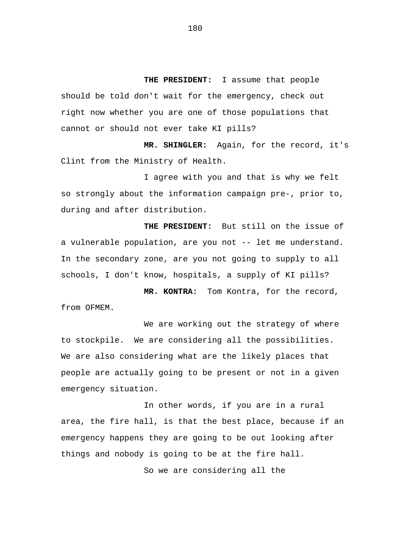**THE PRESIDENT:** I assume that people should be told don't wait for the emergency, check out right now whether you are one of those populations that cannot or should not ever take KI pills?

 **MR. SHINGLER:** Again, for the record, it's Clint from the Ministry of Health.

I agree with you and that is why we felt so strongly about the information campaign pre-, prior to, during and after distribution.

**THE PRESIDENT:** But still on the issue of a vulnerable population, are you not -- let me understand. In the secondary zone, are you not going to supply to all schools, I don't know, hospitals, a supply of KI pills?

 **MR. KONTRA:** Tom Kontra, for the record, from OFMEM.

We are working out the strategy of where to stockpile. We are considering all the possibilities. We are also considering what are the likely places that people are actually going to be present or not in a given emergency situation.

In other words, if you are in a rural area, the fire hall, is that the best place, because if an emergency happens they are going to be out looking after things and nobody is going to be at the fire hall.

So we are considering all the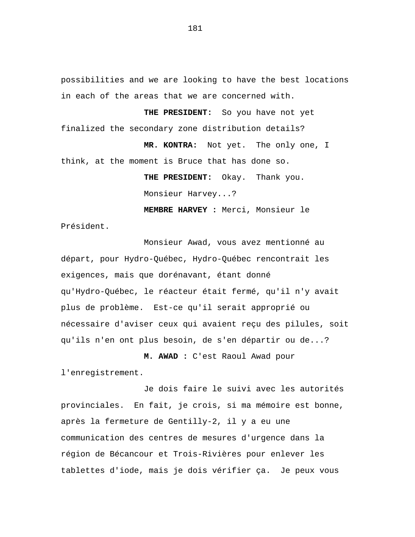possibilities and we are looking to have the best locations in each of the areas that we are concerned with.

 **THE PRESIDENT:** So you have not yet finalized the secondary zone distribution details?

 **MR. KONTRA:** Not yet. The only one, I think, at the moment is Bruce that has done so.

> **THE PRESIDENT:** Okay. Thank you. Monsieur Harvey...?

**MEMBRE HARVEY :** Merci, Monsieur le Président.

Monsieur Awad, vous avez mentionné au départ, pour Hydro-Québec, Hydro-Québec rencontrait les exigences, mais que dorénavant, étant donné qu'Hydro-Québec, le réacteur était fermé, qu'il n'y avait plus de problème. Est-ce qu'il serait approprié ou nécessaire d'aviser ceux qui avaient reçu des pilules, soit qu'ils n'en ont plus besoin, de s'en départir ou de...?

## **M. AWAD :** C'est Raoul Awad pour

l'enregistrement.

Je dois faire le suivi avec les autorités provinciales. En fait, je crois, si ma mémoire est bonne, après la fermeture de Gentilly-2, il y a eu une communication des centres de mesures d'urgence dans la région de Bécancour et Trois-Rivières pour enlever les tablettes d'iode, mais je dois vérifier ça. Je peux vous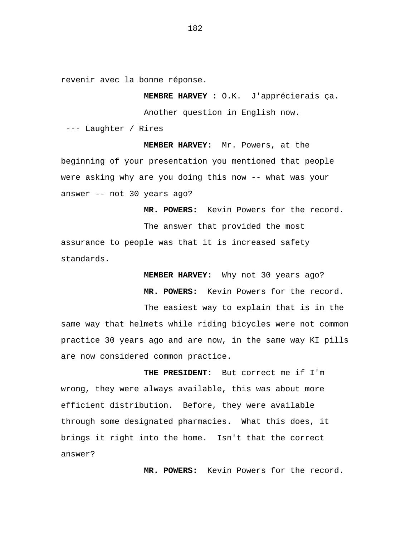revenir avec la bonne réponse.

**MEMBRE HARVEY :** O.K. J'apprécierais ça.

Another question in English now.

--- Laughter / Rires

**MEMBER HARVEY:** Mr. Powers, at the beginning of your presentation you mentioned that people were asking why are you doing this now -- what was your answer -- not 30 years ago?

 **MR. POWERS:** Kevin Powers for the record. The answer that provided the most assurance to people was that it is increased safety standards.

> **MEMBER HARVEY:** Why not 30 years ago?  **MR. POWERS:** Kevin Powers for the record.

The easiest way to explain that is in the same way that helmets while riding bicycles were not common practice 30 years ago and are now, in the same way KI pills are now considered common practice.

 **THE PRESIDENT:** But correct me if I'm wrong, they were always available, this was about more efficient distribution. Before, they were available through some designated pharmacies. What this does, it brings it right into the home. Isn't that the correct answer?

 **MR. POWERS:** Kevin Powers for the record.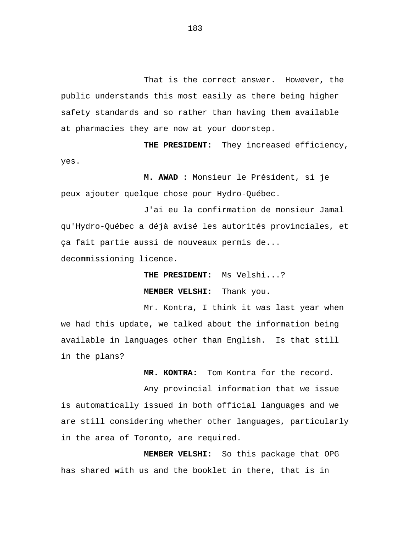That is the correct answer. However, the public understands this most easily as there being higher safety standards and so rather than having them available at pharmacies they are now at your doorstep.

**THE PRESIDENT:** They increased efficiency, yes.

**M. AWAD :** Monsieur le Président, si je peux ajouter quelque chose pour Hydro-Québec.

J'ai eu la confirmation de monsieur Jamal qu'Hydro-Québec a déjà avisé les autorités provinciales, et ça fait partie aussi de nouveaux permis de... decommissioning licence.

 **THE PRESIDENT:** Ms Velshi...?

 **MEMBER VELSHI:** Thank you.

Mr. Kontra, I think it was last year when we had this update, we talked about the information being available in languages other than English. Is that still in the plans?

 **MR. KONTRA:** Tom Kontra for the record.

Any provincial information that we issue is automatically issued in both official languages and we are still considering whether other languages, particularly in the area of Toronto, are required.

 **MEMBER VELSHI:** So this package that OPG has shared with us and the booklet in there, that is in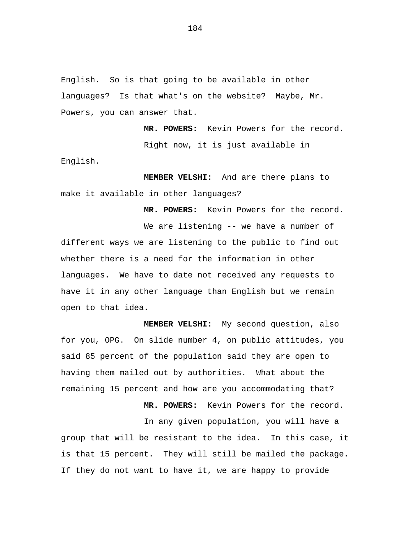English. So is that going to be available in other languages? Is that what's on the website? Maybe, Mr. Powers, you can answer that.

 **MR. POWERS:** Kevin Powers for the record. Right now, it is just available in English.

 **MEMBER VELSHI:** And are there plans to make it available in other languages?

 **MR. POWERS:** Kevin Powers for the record.

We are listening -- we have a number of different ways we are listening to the public to find out whether there is a need for the information in other languages. We have to date not received any requests to have it in any other language than English but we remain open to that idea.

 **MEMBER VELSHI:** My second question, also for you, OPG. On slide number 4, on public attitudes, you said 85 percent of the population said they are open to having them mailed out by authorities. What about the remaining 15 percent and how are you accommodating that?

 **MR. POWERS:** Kevin Powers for the record.

In any given population, you will have a group that will be resistant to the idea. In this case, it is that 15 percent. They will still be mailed the package. If they do not want to have it, we are happy to provide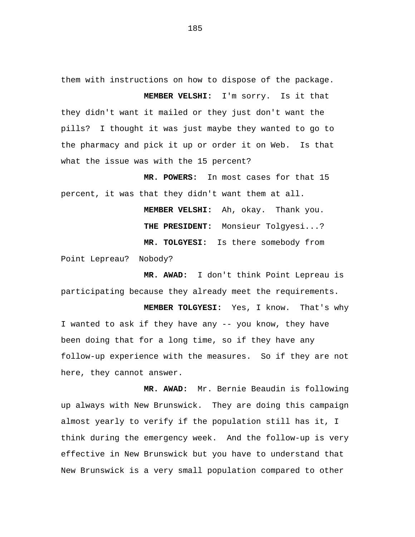them with instructions on how to dispose of the package.

 **MEMBER VELSHI:** I'm sorry. Is it that they didn't want it mailed or they just don't want the pills? I thought it was just maybe they wanted to go to the pharmacy and pick it up or order it on Web. Is that what the issue was with the 15 percent?

 **MR. POWERS:** In most cases for that 15 percent, it was that they didn't want them at all.

> **MEMBER VELSHI:** Ah, okay. Thank you.  **THE PRESIDENT:** Monsieur Tolgyesi...? **MR. TOLGYESI:** Is there somebody from

Point Lepreau? Nobody?

 **MR. AWAD:** I don't think Point Lepreau is participating because they already meet the requirements.

 **MEMBER TOLGYESI:** Yes, I know. That's why I wanted to ask if they have any -- you know, they have been doing that for a long time, so if they have any follow-up experience with the measures. So if they are not here, they cannot answer.

 **MR. AWAD:** Mr. Bernie Beaudin is following up always with New Brunswick. They are doing this campaign almost yearly to verify if the population still has it, I think during the emergency week. And the follow-up is very effective in New Brunswick but you have to understand that New Brunswick is a very small population compared to other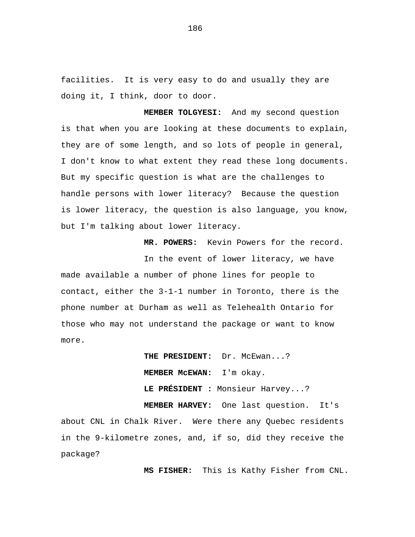facilities. It is very easy to do and usually they are doing it, I think, door to door.

 **MEMBER TOLGYESI:** And my second question is that when you are looking at these documents to explain, they are of some length, and so lots of people in general, I don't know to what extent they read these long documents. But my specific question is what are the challenges to handle persons with lower literacy? Because the question is lower literacy, the question is also language, you know, but I'm talking about lower literacy.

 **MR. POWERS:** Kevin Powers for the record.

In the event of lower literacy, we have made available a number of phone lines for people to contact, either the 3-1-1 number in Toronto, there is the phone number at Durham as well as Telehealth Ontario for those who may not understand the package or want to know more.

> **THE PRESIDENT:** Dr. McEwan...? **MEMBER McEWAN:** I'm okay. **LE PRÉSIDENT :** Monsieur Harvey...?

 **MEMBER HARVEY:** One last question. It's about CNL in Chalk River. Were there any Quebec residents in the 9-kilometre zones, and, if so, did they receive the package?

 **MS FISHER:** This is Kathy Fisher from CNL.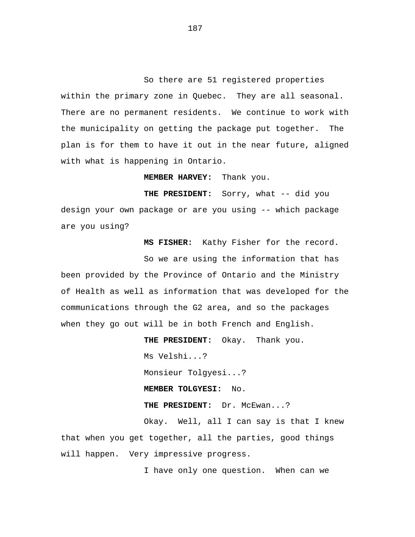So there are 51 registered properties within the primary zone in Quebec. They are all seasonal. There are no permanent residents. We continue to work with the municipality on getting the package put together. The plan is for them to have it out in the near future, aligned with what is happening in Ontario.

 **MEMBER HARVEY:** Thank you.

**THE PRESIDENT:** Sorry, what -- did you design your own package or are you using -- which package are you using?

 **MS FISHER:** Kathy Fisher for the record.

So we are using the information that has been provided by the Province of Ontario and the Ministry of Health as well as information that was developed for the communications through the G2 area, and so the packages when they go out will be in both French and English.

 **THE PRESIDENT:** Okay. Thank you. Ms Velshi...? Monsieur Tolgyesi...? **MEMBER TOLGYESI:** No. **THE PRESIDENT:** Dr. McEwan...? Okay. Well, all I can say is that I knew that when you get together, all the parties, good things will happen. Very impressive progress.

I have only one question. When can we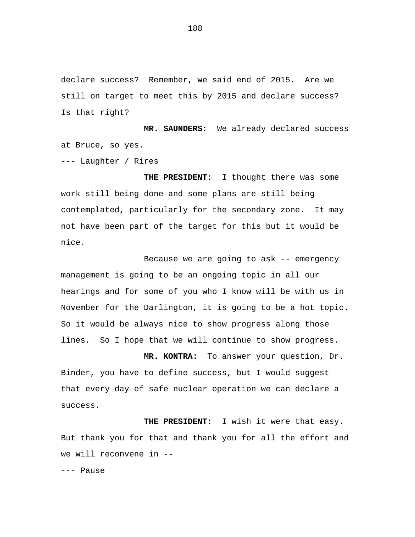declare success? Remember, we said end of 2015. Are we still on target to meet this by 2015 and declare success? Is that right?

 **MR. SAUNDERS:** We already declared success at Bruce, so yes.

--- Laughter / Rires

 **THE PRESIDENT:** I thought there was some work still being done and some plans are still being contemplated, particularly for the secondary zone. It may not have been part of the target for this but it would be nice.

Because we are going to ask -- emergency management is going to be an ongoing topic in all our hearings and for some of you who I know will be with us in November for the Darlington, it is going to be a hot topic. So it would be always nice to show progress along those lines. So I hope that we will continue to show progress.

 **MR. KONTRA:** To answer your question, Dr. Binder, you have to define success, but I would suggest that every day of safe nuclear operation we can declare a success.

 **THE PRESIDENT:** I wish it were that easy. But thank you for that and thank you for all the effort and we will reconvene in --

--- Pause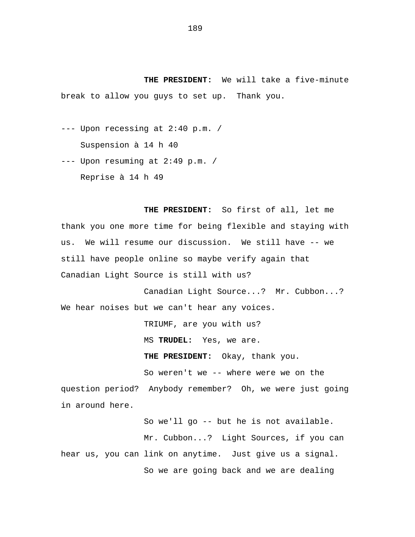**THE PRESIDENT:** We will take a five-minute break to allow you guys to set up. Thank you.

--- Upon recessing at 2:40 p.m. /

Suspension à 14 h 40

--- Upon resuming at 2:49 p.m. / Reprise à 14 h 49

 **THE PRESIDENT:** So first of all, let me thank you one more time for being flexible and staying with us. We will resume our discussion. We still have -- we still have people online so maybe verify again that Canadian Light Source is still with us?

Canadian Light Source...? Mr. Cubbon...? We hear noises but we can't hear any voices.

TRIUMF, are you with us?

MS **TRUDEL:** Yes, we are.

**THE PRESIDENT:** Okay, thank you.

So weren't we -- where were we on the question period? Anybody remember? Oh, we were just going in around here.

So we'll go -- but he is not available. Mr. Cubbon...? Light Sources, if you can hear us, you can link on anytime. Just give us a signal. So we are going back and we are dealing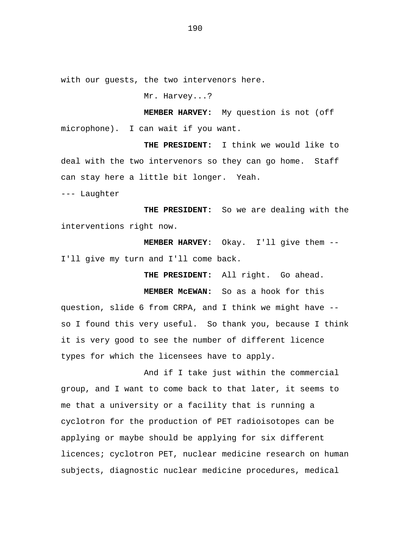with our guests, the two intervenors here.

Mr. Harvey...?

**MEMBER HARVEY:** My question is not (off microphone). I can wait if you want.

**THE PRESIDENT:** I think we would like to deal with the two intervenors so they can go home. Staff can stay here a little bit longer. Yeah.

--- Laughter

**THE PRESIDENT:** So we are dealing with the interventions right now.

**MEMBER HARVEY**: Okay. I'll give them -- I'll give my turn and I'll come back.

**THE PRESIDENT:** All right. Go ahead.

**MEMBER McEWAN:** So as a hook for this question, slide 6 from CRPA, and I think we might have - so I found this very useful. So thank you, because I think it is very good to see the number of different licence types for which the licensees have to apply.

And if I take just within the commercial group, and I want to come back to that later, it seems to me that a university or a facility that is running a cyclotron for the production of PET radioisotopes can be applying or maybe should be applying for six different licences; cyclotron PET, nuclear medicine research on human subjects, diagnostic nuclear medicine procedures, medical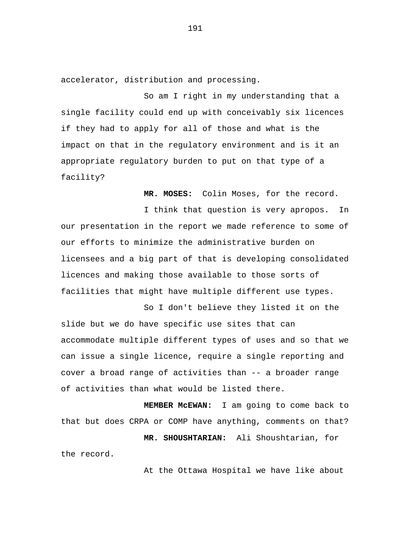accelerator, distribution and processing.

So am I right in my understanding that a single facility could end up with conceivably six licences if they had to apply for all of those and what is the impact on that in the regulatory environment and is it an appropriate regulatory burden to put on that type of a facility?

**MR. MOSES:** Colin Moses, for the record.

I think that question is very apropos. In our presentation in the report we made reference to some of our efforts to minimize the administrative burden on licensees and a big part of that is developing consolidated licences and making those available to those sorts of facilities that might have multiple different use types.

So I don't believe they listed it on the slide but we do have specific use sites that can accommodate multiple different types of uses and so that we can issue a single licence, require a single reporting and cover a broad range of activities than -- a broader range of activities than what would be listed there.

**MEMBER McEWAN:** I am going to come back to that but does CRPA or COMP have anything, comments on that? **MR. SHOUSHTARIAN:** Ali Shoushtarian, for the record.

At the Ottawa Hospital we have like about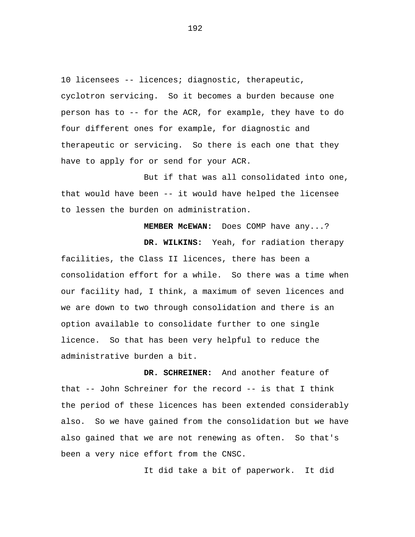10 licensees -- licences; diagnostic, therapeutic, cyclotron servicing. So it becomes a burden because one person has to -- for the ACR, for example, they have to do four different ones for example, for diagnostic and therapeutic or servicing. So there is each one that they have to apply for or send for your ACR.

But if that was all consolidated into one, that would have been -- it would have helped the licensee to lessen the burden on administration.

**MEMBER McEWAN:** Does COMP have any...? **DR. WILKINS:** Yeah, for radiation therapy facilities, the Class II licences, there has been a consolidation effort for a while. So there was a time when our facility had, I think, a maximum of seven licences and we are down to two through consolidation and there is an option available to consolidate further to one single licence. So that has been very helpful to reduce the administrative burden a bit.

**DR. SCHREINER:** And another feature of that -- John Schreiner for the record -- is that I think the period of these licences has been extended considerably also. So we have gained from the consolidation but we have also gained that we are not renewing as often. So that's been a very nice effort from the CNSC.

It did take a bit of paperwork. It did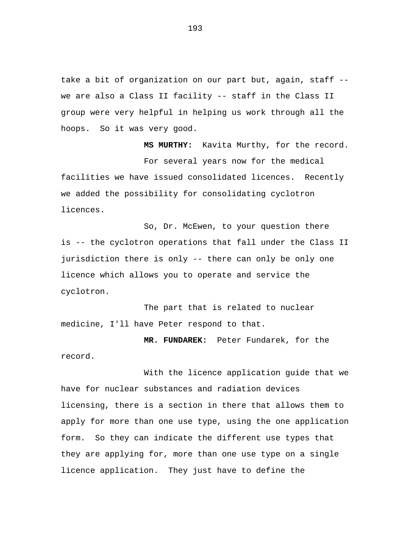take a bit of organization on our part but, again, staff - we are also a Class II facility -- staff in the Class II group were very helpful in helping us work through all the hoops. So it was very good.

**MS MURTHY:** Kavita Murthy, for the record. For several years now for the medical facilities we have issued consolidated licences. Recently we added the possibility for consolidating cyclotron licences.

So, Dr. McEwen, to your question there is -- the cyclotron operations that fall under the Class II jurisdiction there is only -- there can only be only one licence which allows you to operate and service the cyclotron.

The part that is related to nuclear medicine, I'll have Peter respond to that.

**MR. FUNDAREK:** Peter Fundarek, for the record.

With the licence application guide that we have for nuclear substances and radiation devices licensing, there is a section in there that allows them to apply for more than one use type, using the one application form. So they can indicate the different use types that they are applying for, more than one use type on a single licence application. They just have to define the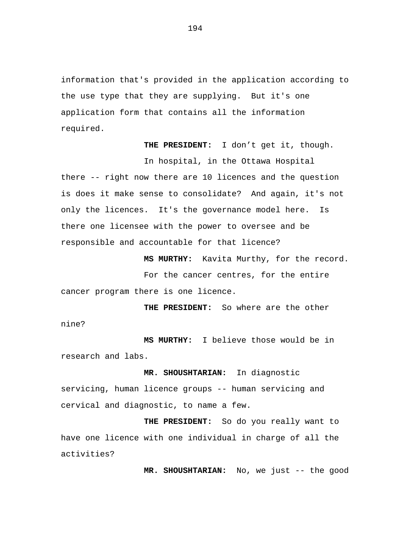information that's provided in the application according to the use type that they are supplying. But it's one application form that contains all the information required.

**THE PRESIDENT:** I don't get it, though.

In hospital, in the Ottawa Hospital there -- right now there are 10 licences and the question is does it make sense to consolidate? And again, it's not only the licences. It's the governance model here. Is there one licensee with the power to oversee and be responsible and accountable for that licence?

**MS MURTHY:** Kavita Murthy, for the record.

For the cancer centres, for the entire cancer program there is one licence.

**THE PRESIDENT:** So where are the other nine?

**MS MURTHY:** I believe those would be in research and labs.

**MR. SHOUSHTARIAN:** In diagnostic servicing, human licence groups -- human servicing and cervical and diagnostic, to name a few.

**THE PRESIDENT:** So do you really want to have one licence with one individual in charge of all the activities?

**MR. SHOUSHTARIAN:** No, we just -- the good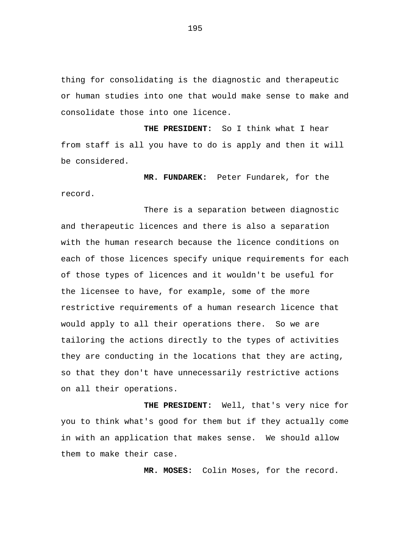thing for consolidating is the diagnostic and therapeutic or human studies into one that would make sense to make and consolidate those into one licence.

**THE PRESIDENT:** So I think what I hear from staff is all you have to do is apply and then it will be considered.

**MR. FUNDAREK:** Peter Fundarek, for the record.

There is a separation between diagnostic and therapeutic licences and there is also a separation with the human research because the licence conditions on each of those licences specify unique requirements for each of those types of licences and it wouldn't be useful for the licensee to have, for example, some of the more restrictive requirements of a human research licence that would apply to all their operations there. So we are tailoring the actions directly to the types of activities they are conducting in the locations that they are acting, so that they don't have unnecessarily restrictive actions on all their operations.

**THE PRESIDENT:** Well, that's very nice for you to think what's good for them but if they actually come in with an application that makes sense. We should allow them to make their case.

**MR. MOSES:** Colin Moses, for the record.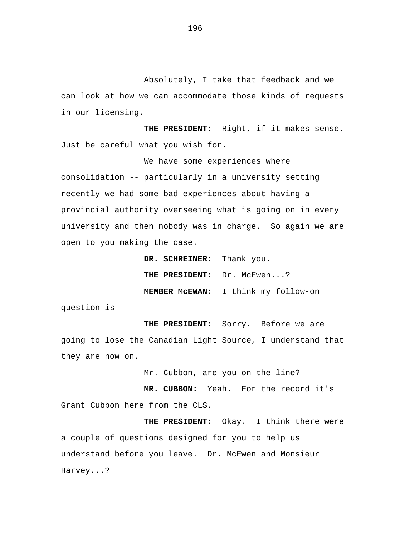Absolutely, I take that feedback and we can look at how we can accommodate those kinds of requests in our licensing.

**THE PRESIDENT:** Right, if it makes sense. Just be careful what you wish for.

We have some experiences where consolidation -- particularly in a university setting recently we had some bad experiences about having a provincial authority overseeing what is going on in every university and then nobody was in charge. So again we are open to you making the case.

**DR. SCHREINER:** Thank you.

THE PRESIDENT: Dr. McEwen...?

**MEMBER McEWAN:** I think my follow-on

question is --

**THE PRESIDENT:** Sorry. Before we are going to lose the Canadian Light Source, I understand that they are now on.

Mr. Cubbon, are you on the line?

**MR. CUBBON:** Yeah. For the record it's Grant Cubbon here from the CLS.

**THE PRESIDENT:** Okay. I think there were a couple of questions designed for you to help us understand before you leave. Dr. McEwen and Monsieur Harvey...?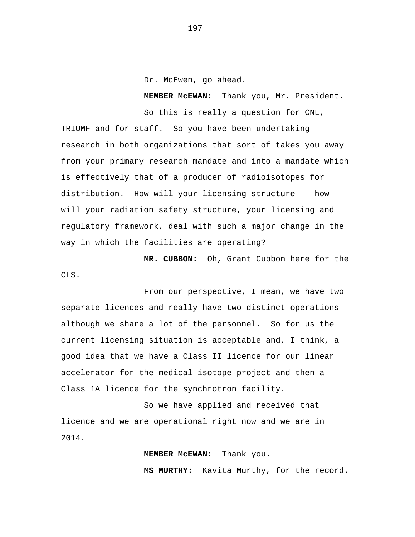Dr. McEwen, go ahead.

**MEMBER McEWAN:** Thank you, Mr. President.

So this is really a question for CNL, TRIUMF and for staff. So you have been undertaking research in both organizations that sort of takes you away from your primary research mandate and into a mandate which is effectively that of a producer of radioisotopes for distribution. How will your licensing structure -- how will your radiation safety structure, your licensing and regulatory framework, deal with such a major change in the way in which the facilities are operating?

**MR. CUBBON:** Oh, Grant Cubbon here for the CLS.

From our perspective, I mean, we have two separate licences and really have two distinct operations although we share a lot of the personnel. So for us the current licensing situation is acceptable and, I think, a good idea that we have a Class II licence for our linear accelerator for the medical isotope project and then a Class 1A licence for the synchrotron facility.

So we have applied and received that licence and we are operational right now and we are in 2014.

**MEMBER McEWAN:** Thank you.

**MS MURTHY:** Kavita Murthy, for the record.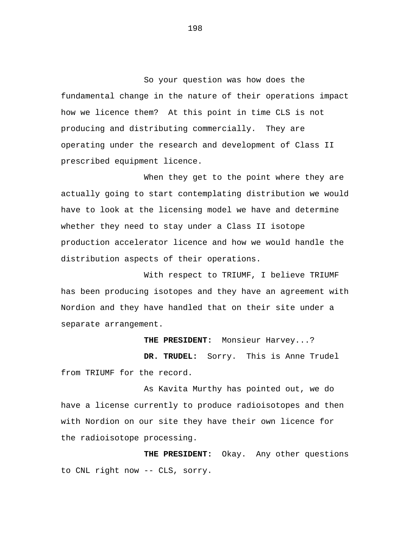So your question was how does the fundamental change in the nature of their operations impact how we licence them? At this point in time CLS is not producing and distributing commercially. They are operating under the research and development of Class II prescribed equipment licence.

When they get to the point where they are actually going to start contemplating distribution we would have to look at the licensing model we have and determine whether they need to stay under a Class II isotope production accelerator licence and how we would handle the distribution aspects of their operations.

With respect to TRIUMF, I believe TRIUMF has been producing isotopes and they have an agreement with Nordion and they have handled that on their site under a separate arrangement.

**THE PRESIDENT:** Monsieur Harvey...?

**DR. TRUDEL:** Sorry. This is Anne Trudel from TRIUMF for the record.

As Kavita Murthy has pointed out, we do have a license currently to produce radioisotopes and then with Nordion on our site they have their own licence for the radioisotope processing.

**THE PRESIDENT:** Okay. Any other questions to CNL right now -- CLS, sorry.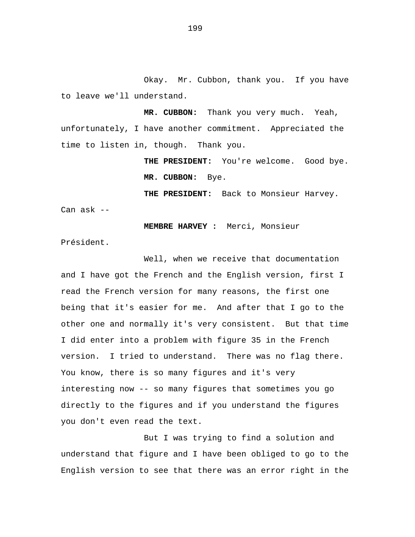Okay. Mr. Cubbon, thank you. If you have to leave we'll understand.

**MR. CUBBON:** Thank you very much. Yeah, unfortunately, I have another commitment. Appreciated the time to listen in, though. Thank you.

> **THE PRESIDENT:** You're welcome. Good bye. **MR. CUBBON:** Bye.

**THE PRESIDENT:** Back to Monsieur Harvey.

Can ask --

**MEMBRE HARVEY :** Merci, Monsieur

Président.

Well, when we receive that documentation and I have got the French and the English version, first I read the French version for many reasons, the first one being that it's easier for me. And after that I go to the other one and normally it's very consistent. But that time I did enter into a problem with figure 35 in the French version. I tried to understand. There was no flag there. You know, there is so many figures and it's very interesting now -- so many figures that sometimes you go directly to the figures and if you understand the figures you don't even read the text.

But I was trying to find a solution and understand that figure and I have been obliged to go to the English version to see that there was an error right in the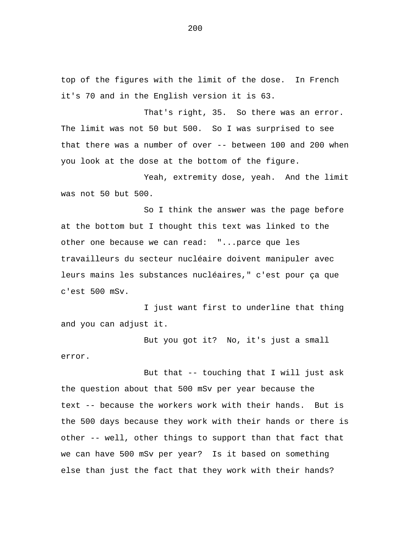top of the figures with the limit of the dose. In French it's 70 and in the English version it is 63.

That's right, 35. So there was an error. The limit was not 50 but 500. So I was surprised to see that there was a number of over -- between 100 and 200 when you look at the dose at the bottom of the figure.

Yeah, extremity dose, yeah. And the limit was not 50 but 500.

So I think the answer was the page before at the bottom but I thought this text was linked to the other one because we can read: "...parce que les travailleurs du secteur nucléaire doivent manipuler avec leurs mains les substances nucléaires," c'est pour ça que c'est 500 mSv.

I just want first to underline that thing and you can adjust it.

But you got it? No, it's just a small error.

But that -- touching that I will just ask the question about that 500 mSv per year because the text -- because the workers work with their hands. But is the 500 days because they work with their hands or there is other -- well, other things to support than that fact that we can have 500 mSv per year? Is it based on something else than just the fact that they work with their hands?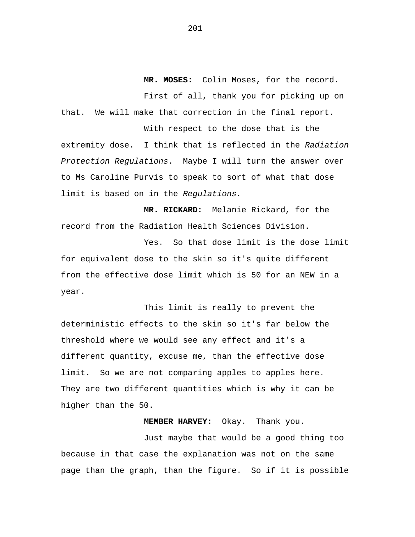**MR. MOSES:** Colin Moses, for the record.

First of all, thank you for picking up on that. We will make that correction in the final report.

With respect to the dose that is the extremity dose. I think that is reflected in the *Radiation Protection Regulations*. Maybe I will turn the answer over to Ms Caroline Purvis to speak to sort of what that dose limit is based on in the *Regulations.* 

**MR. RICKARD:** Melanie Rickard, for the record from the Radiation Health Sciences Division.

Yes. So that dose limit is the dose limit for equivalent dose to the skin so it's quite different from the effective dose limit which is 50 for an NEW in a year.

This limit is really to prevent the deterministic effects to the skin so it's far below the threshold where we would see any effect and it's a different quantity, excuse me, than the effective dose limit. So we are not comparing apples to apples here. They are two different quantities which is why it can be higher than the 50.

**MEMBER HARVEY:** Okay. Thank you.

Just maybe that would be a good thing too because in that case the explanation was not on the same page than the graph, than the figure. So if it is possible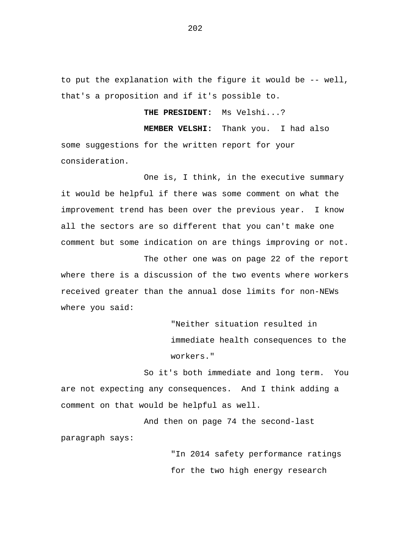to put the explanation with the figure it would be -- well, that's a proposition and if it's possible to.

**THE PRESIDENT:** Ms Velshi...?

**MEMBER VELSHI:** Thank you. I had also some suggestions for the written report for your consideration.

One is, I think, in the executive summary it would be helpful if there was some comment on what the improvement trend has been over the previous year. I know all the sectors are so different that you can't make one comment but some indication on are things improving or not.

The other one was on page 22 of the report where there is a discussion of the two events where workers received greater than the annual dose limits for non-NEWs where you said:

> "Neither situation resulted in immediate health consequences to the workers."

So it's both immediate and long term. You are not expecting any consequences. And I think adding a comment on that would be helpful as well.

And then on page 74 the second-last paragraph says:

> "In 2014 safety performance ratings for the two high energy research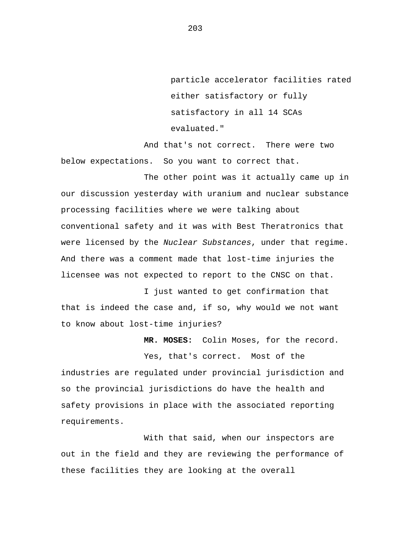particle accelerator facilities rated either satisfactory or fully satisfactory in all 14 SCAs evaluated."

And that's not correct. There were two below expectations. So you want to correct that.

The other point was it actually came up in our discussion yesterday with uranium and nuclear substance processing facilities where we were talking about conventional safety and it was with Best Theratronics that were licensed by the *Nuclear Substances*, under that regime. And there was a comment made that lost-time injuries the licensee was not expected to report to the CNSC on that.

I just wanted to get confirmation that that is indeed the case and, if so, why would we not want to know about lost-time injuries?

**MR. MOSES:** Colin Moses, for the record.

Yes, that's correct. Most of the industries are regulated under provincial jurisdiction and so the provincial jurisdictions do have the health and safety provisions in place with the associated reporting requirements.

With that said, when our inspectors are out in the field and they are reviewing the performance of these facilities they are looking at the overall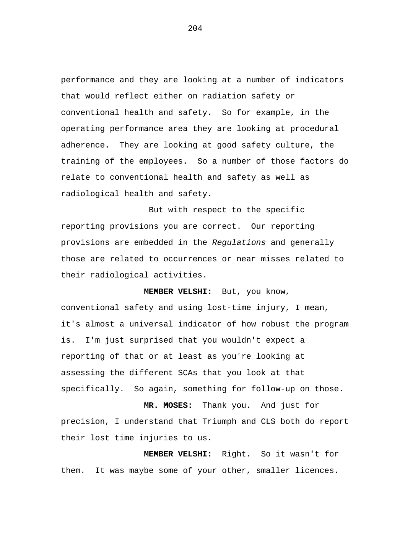performance and they are looking at a number of indicators that would reflect either on radiation safety or conventional health and safety. So for example, in the operating performance area they are looking at procedural adherence. They are looking at good safety culture, the training of the employees. So a number of those factors do relate to conventional health and safety as well as radiological health and safety.

But with respect to the specific reporting provisions you are correct. Our reporting provisions are embedded in the *Regulations* and generally those are related to occurrences or near misses related to their radiological activities.

**MEMBER VELSHI:** But, you know,

conventional safety and using lost-time injury, I mean, it's almost a universal indicator of how robust the program is. I'm just surprised that you wouldn't expect a reporting of that or at least as you're looking at assessing the different SCAs that you look at that specifically. So again, something for follow-up on those.

**MR. MOSES:** Thank you. And just for precision, I understand that Triumph and CLS both do report their lost time injuries to us.

**MEMBER VELSHI:** Right. So it wasn't for them. It was maybe some of your other, smaller licences.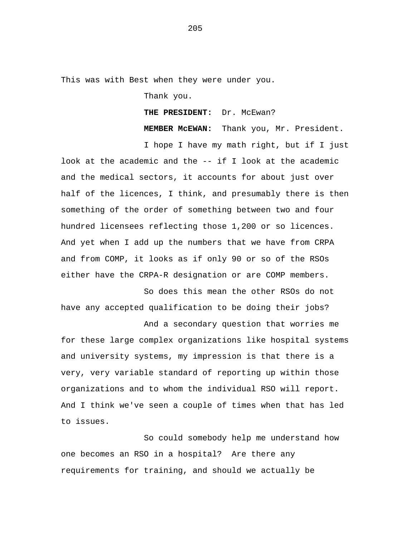This was with Best when they were under you.

Thank you.

**THE PRESIDENT:** Dr. McEwan?

**MEMBER McEWAN:** Thank you, Mr. President.

And a secondary question that worries me

I hope I have my math right, but if I just look at the academic and the -- if I look at the academic and the medical sectors, it accounts for about just over half of the licences, I think, and presumably there is then something of the order of something between two and four hundred licensees reflecting those 1,200 or so licences. And yet when I add up the numbers that we have from CRPA and from COMP, it looks as if only 90 or so of the RSOs either have the CRPA-R designation or are COMP members.

So does this mean the other RSOs do not have any accepted qualification to be doing their jobs?

for these large complex organizations like hospital systems and university systems, my impression is that there is a very, very variable standard of reporting up within those organizations and to whom the individual RSO will report. And I think we've seen a couple of times when that has led to issues.

So could somebody help me understand how one becomes an RSO in a hospital? Are there any requirements for training, and should we actually be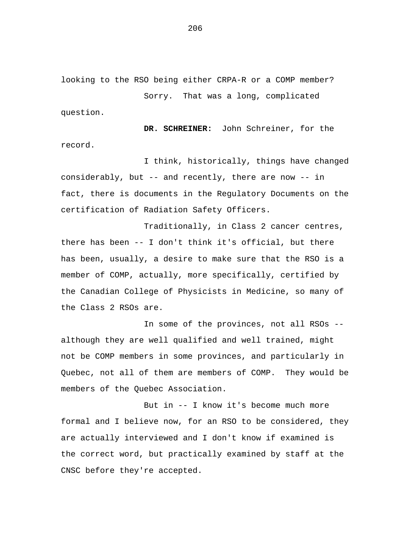looking to the RSO being either CRPA-R or a COMP member?

Sorry. That was a long, complicated question.

**DR. SCHREINER:** John Schreiner, for the record.

I think, historically, things have changed considerably, but -- and recently, there are now -- in fact, there is documents in the Regulatory Documents on the certification of Radiation Safety Officers.

Traditionally, in Class 2 cancer centres, there has been -- I don't think it's official, but there has been, usually, a desire to make sure that the RSO is a member of COMP, actually, more specifically, certified by the Canadian College of Physicists in Medicine, so many of the Class 2 RSOs are.

In some of the provinces, not all RSOs - although they are well qualified and well trained, might not be COMP members in some provinces, and particularly in Quebec, not all of them are members of COMP. They would be members of the Quebec Association.

But in -- I know it's become much more formal and I believe now, for an RSO to be considered, they are actually interviewed and I don't know if examined is the correct word, but practically examined by staff at the CNSC before they're accepted.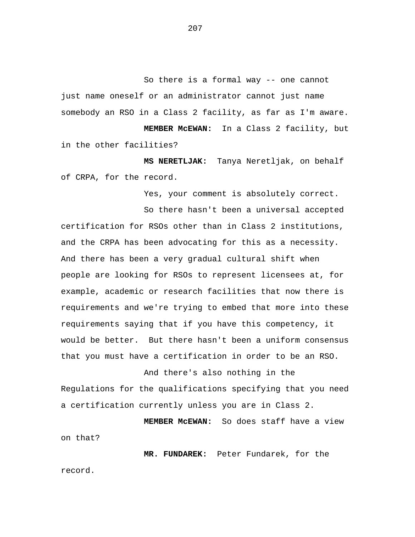So there is a formal way -- one cannot just name oneself or an administrator cannot just name somebody an RSO in a Class 2 facility, as far as I'm aware.

**MEMBER McEWAN:** In a Class 2 facility, but in the other facilities?

**MS NERETLJAK:** Tanya Neretljak, on behalf of CRPA, for the record.

Yes, your comment is absolutely correct.

So there hasn't been a universal accepted certification for RSOs other than in Class 2 institutions, and the CRPA has been advocating for this as a necessity. And there has been a very gradual cultural shift when people are looking for RSOs to represent licensees at, for example, academic or research facilities that now there is requirements and we're trying to embed that more into these requirements saying that if you have this competency, it would be better. But there hasn't been a uniform consensus that you must have a certification in order to be an RSO.

And there's also nothing in the Regulations for the qualifications specifying that you need a certification currently unless you are in Class 2.

**MEMBER McEWAN:** So does staff have a view on that?

**MR. FUNDAREK:** Peter Fundarek, for the record.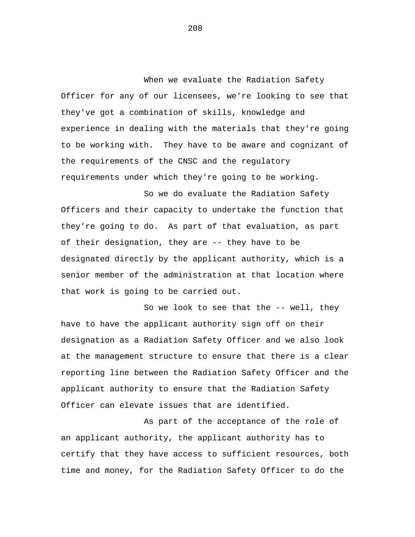When we evaluate the Radiation Safety Officer for any of our licensees, we're looking to see that they've got a combination of skills, knowledge and experience in dealing with the materials that they're going to be working with. They have to be aware and cognizant of the requirements of the CNSC and the regulatory requirements under which they're going to be working.

So we do evaluate the Radiation Safety Officers and their capacity to undertake the function that they're going to do. As part of that evaluation, as part of their designation, they are -- they have to be designated directly by the applicant authority, which is a senior member of the administration at that location where that work is going to be carried out.

So we look to see that the -- well, they have to have the applicant authority sign off on their designation as a Radiation Safety Officer and we also look at the management structure to ensure that there is a clear reporting line between the Radiation Safety Officer and the applicant authority to ensure that the Radiation Safety Officer can elevate issues that are identified.

As part of the acceptance of the role of an applicant authority, the applicant authority has to certify that they have access to sufficient resources, both time and money, for the Radiation Safety Officer to do the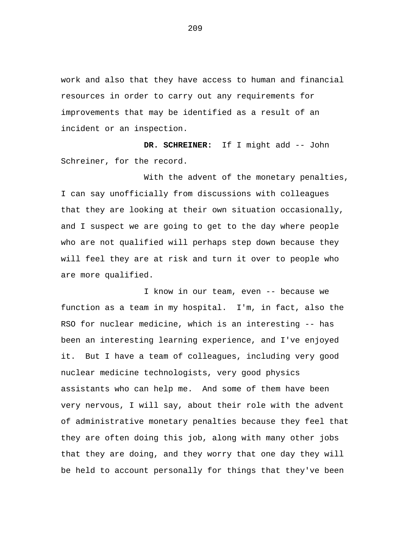work and also that they have access to human and financial resources in order to carry out any requirements for improvements that may be identified as a result of an incident or an inspection.

**DR. SCHREINER:** If I might add -- John Schreiner, for the record.

With the advent of the monetary penalties, I can say unofficially from discussions with colleagues that they are looking at their own situation occasionally, and I suspect we are going to get to the day where people who are not qualified will perhaps step down because they will feel they are at risk and turn it over to people who are more qualified.

I know in our team, even -- because we function as a team in my hospital. I'm, in fact, also the RSO for nuclear medicine, which is an interesting -- has been an interesting learning experience, and I've enjoyed it. But I have a team of colleagues, including very good nuclear medicine technologists, very good physics assistants who can help me. And some of them have been very nervous, I will say, about their role with the advent of administrative monetary penalties because they feel that they are often doing this job, along with many other jobs that they are doing, and they worry that one day they will be held to account personally for things that they've been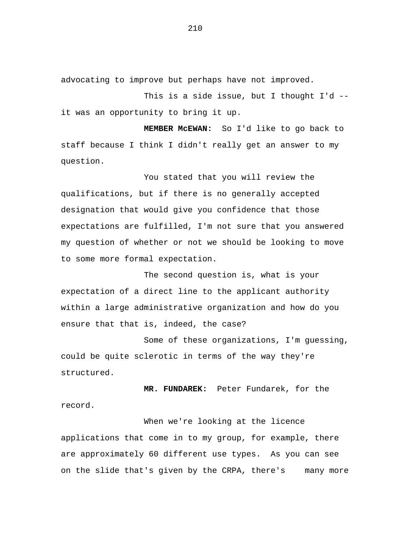advocating to improve but perhaps have not improved.

This is a side issue, but I thought I'd - it was an opportunity to bring it up.

**MEMBER McEWAN:** So I'd like to go back to staff because I think I didn't really get an answer to my question.

You stated that you will review the qualifications, but if there is no generally accepted designation that would give you confidence that those expectations are fulfilled, I'm not sure that you answered my question of whether or not we should be looking to move to some more formal expectation.

The second question is, what is your expectation of a direct line to the applicant authority within a large administrative organization and how do you ensure that that is, indeed, the case?

Some of these organizations, I'm guessing, could be quite sclerotic in terms of the way they're structured.

**MR. FUNDAREK:** Peter Fundarek, for the record.

When we're looking at the licence applications that come in to my group, for example, there are approximately 60 different use types. As you can see on the slide that's given by the CRPA, there's many more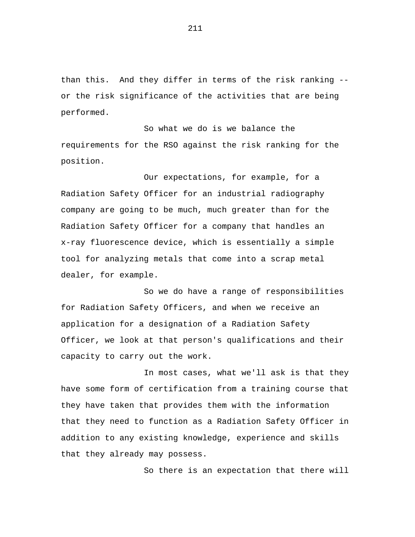than this. And they differ in terms of the risk ranking - or the risk significance of the activities that are being performed.

So what we do is we balance the requirements for the RSO against the risk ranking for the position.

Our expectations, for example, for a Radiation Safety Officer for an industrial radiography company are going to be much, much greater than for the Radiation Safety Officer for a company that handles an x-ray fluorescence device, which is essentially a simple tool for analyzing metals that come into a scrap metal dealer, for example.

So we do have a range of responsibilities for Radiation Safety Officers, and when we receive an application for a designation of a Radiation Safety Officer, we look at that person's qualifications and their capacity to carry out the work.

In most cases, what we'll ask is that they have some form of certification from a training course that they have taken that provides them with the information that they need to function as a Radiation Safety Officer in addition to any existing knowledge, experience and skills that they already may possess.

So there is an expectation that there will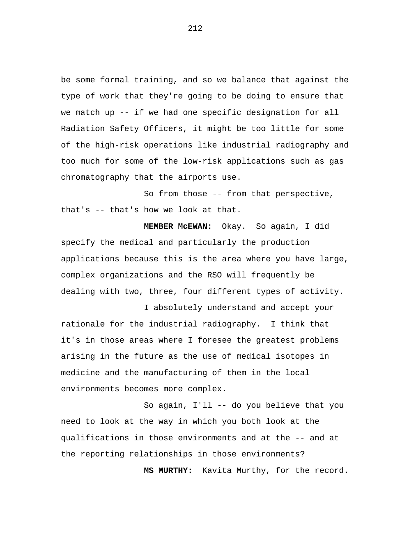be some formal training, and so we balance that against the type of work that they're going to be doing to ensure that we match up -- if we had one specific designation for all Radiation Safety Officers, it might be too little for some of the high-risk operations like industrial radiography and too much for some of the low-risk applications such as gas chromatography that the airports use.

So from those -- from that perspective, that's -- that's how we look at that.

**MEMBER McEWAN:** Okay. So again, I did specify the medical and particularly the production applications because this is the area where you have large, complex organizations and the RSO will frequently be dealing with two, three, four different types of activity.

I absolutely understand and accept your rationale for the industrial radiography. I think that it's in those areas where I foresee the greatest problems arising in the future as the use of medical isotopes in medicine and the manufacturing of them in the local environments becomes more complex.

So again, I'll -- do you believe that you need to look at the way in which you both look at the qualifications in those environments and at the -- and at the reporting relationships in those environments?

**MS MURTHY:** Kavita Murthy, for the record.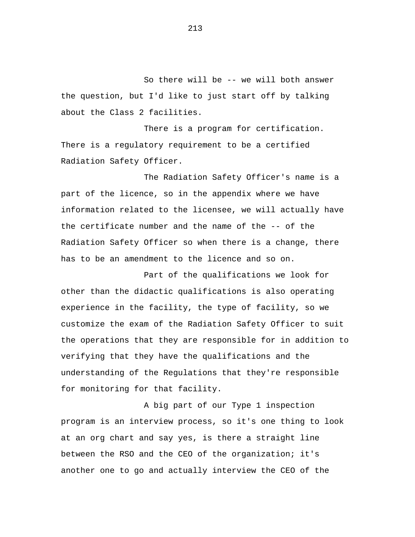So there will be -- we will both answer the question, but I'd like to just start off by talking about the Class 2 facilities.

There is a program for certification. There is a regulatory requirement to be a certified Radiation Safety Officer.

The Radiation Safety Officer's name is a part of the licence, so in the appendix where we have information related to the licensee, we will actually have the certificate number and the name of the -- of the Radiation Safety Officer so when there is a change, there has to be an amendment to the licence and so on.

Part of the qualifications we look for other than the didactic qualifications is also operating experience in the facility, the type of facility, so we customize the exam of the Radiation Safety Officer to suit the operations that they are responsible for in addition to verifying that they have the qualifications and the understanding of the Regulations that they're responsible for monitoring for that facility.

A big part of our Type 1 inspection program is an interview process, so it's one thing to look at an org chart and say yes, is there a straight line between the RSO and the CEO of the organization; it's another one to go and actually interview the CEO of the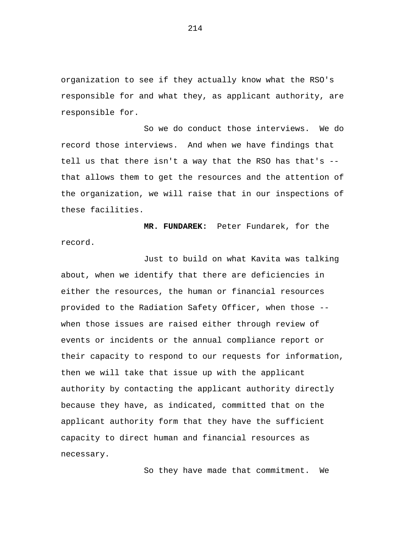organization to see if they actually know what the RSO's responsible for and what they, as applicant authority, are responsible for.

So we do conduct those interviews. We do record those interviews. And when we have findings that tell us that there isn't a way that the RSO has that's - that allows them to get the resources and the attention of the organization, we will raise that in our inspections of these facilities.

**MR. FUNDAREK:** Peter Fundarek, for the record.

Just to build on what Kavita was talking about, when we identify that there are deficiencies in either the resources, the human or financial resources provided to the Radiation Safety Officer, when those - when those issues are raised either through review of events or incidents or the annual compliance report or their capacity to respond to our requests for information, then we will take that issue up with the applicant authority by contacting the applicant authority directly because they have, as indicated, committed that on the applicant authority form that they have the sufficient capacity to direct human and financial resources as necessary.

So they have made that commitment. We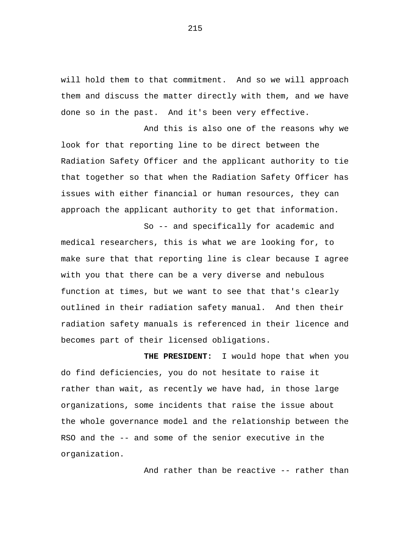will hold them to that commitment. And so we will approach them and discuss the matter directly with them, and we have done so in the past. And it's been very effective.

And this is also one of the reasons why we look for that reporting line to be direct between the Radiation Safety Officer and the applicant authority to tie that together so that when the Radiation Safety Officer has issues with either financial or human resources, they can approach the applicant authority to get that information.

So -- and specifically for academic and medical researchers, this is what we are looking for, to make sure that that reporting line is clear because I agree with you that there can be a very diverse and nebulous function at times, but we want to see that that's clearly outlined in their radiation safety manual. And then their radiation safety manuals is referenced in their licence and becomes part of their licensed obligations.

**THE PRESIDENT:** I would hope that when you do find deficiencies, you do not hesitate to raise it rather than wait, as recently we have had, in those large organizations, some incidents that raise the issue about the whole governance model and the relationship between the RSO and the -- and some of the senior executive in the organization.

And rather than be reactive -- rather than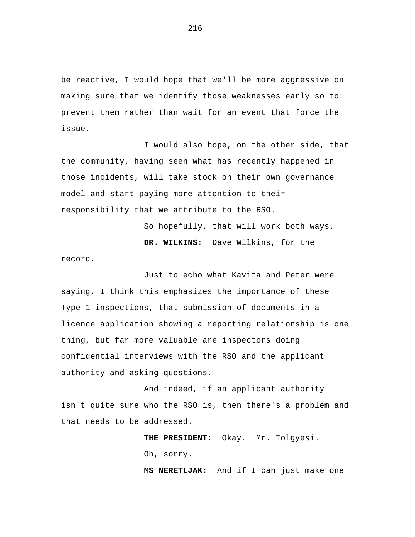be reactive, I would hope that we'll be more aggressive on making sure that we identify those weaknesses early so to prevent them rather than wait for an event that force the issue.

I would also hope, on the other side, that the community, having seen what has recently happened in those incidents, will take stock on their own governance model and start paying more attention to their responsibility that we attribute to the RSO.

So hopefully, that will work both ways.

**DR. WILKINS:** Dave Wilkins, for the record.

Just to echo what Kavita and Peter were saying, I think this emphasizes the importance of these Type 1 inspections, that submission of documents in a licence application showing a reporting relationship is one thing, but far more valuable are inspectors doing confidential interviews with the RSO and the applicant authority and asking questions.

And indeed, if an applicant authority isn't quite sure who the RSO is, then there's a problem and that needs to be addressed.

> **THE PRESIDENT:** Okay. Mr. Tolgyesi. Oh, sorry.

**MS NERETLJAK:** And if I can just make one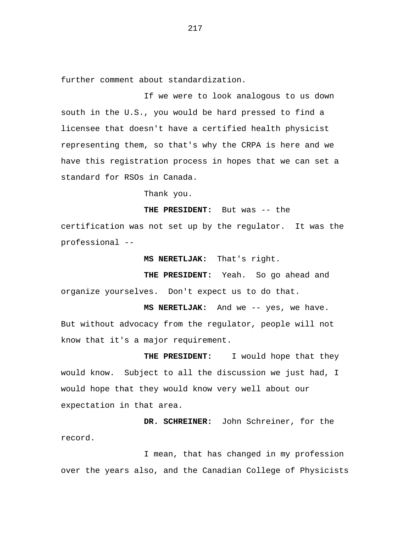further comment about standardization.

If we were to look analogous to us down south in the U.S., you would be hard pressed to find a licensee that doesn't have a certified health physicist representing them, so that's why the CRPA is here and we have this registration process in hopes that we can set a standard for RSOs in Canada.

Thank you.

**THE PRESIDENT:** But was -- the

certification was not set up by the regulator. It was the professional --

**MS NERETLJAK:** That's right.

**THE PRESIDENT:** Yeah. So go ahead and organize yourselves. Don't expect us to do that.

**MS NERETLJAK:** And we -- yes, we have. But without advocacy from the regulator, people will not know that it's a major requirement.

 **THE PRESIDENT:** I would hope that they would know. Subject to all the discussion we just had, I would hope that they would know very well about our expectation in that area.

**DR. SCHREINER:** John Schreiner, for the record.

I mean, that has changed in my profession over the years also, and the Canadian College of Physicists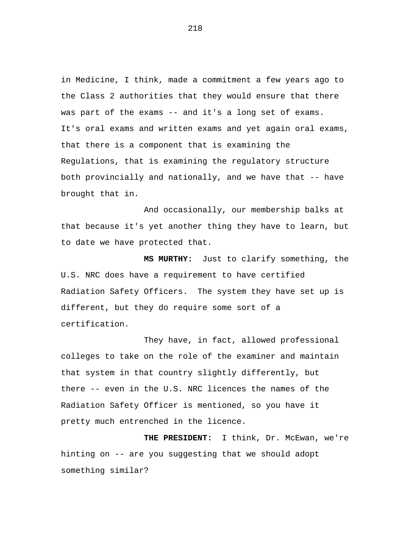in Medicine, I think, made a commitment a few years ago to the Class 2 authorities that they would ensure that there was part of the exams -- and it's a long set of exams. It's oral exams and written exams and yet again oral exams, that there is a component that is examining the Regulations, that is examining the regulatory structure both provincially and nationally, and we have that -- have brought that in.

And occasionally, our membership balks at that because it's yet another thing they have to learn, but to date we have protected that.

**MS MURTHY:** Just to clarify something, the U.S. NRC does have a requirement to have certified Radiation Safety Officers. The system they have set up is different, but they do require some sort of a certification.

They have, in fact, allowed professional colleges to take on the role of the examiner and maintain that system in that country slightly differently, but there -- even in the U.S. NRC licences the names of the Radiation Safety Officer is mentioned, so you have it pretty much entrenched in the licence.

**THE PRESIDENT:** I think, Dr. McEwan, we're hinting on -- are you suggesting that we should adopt something similar?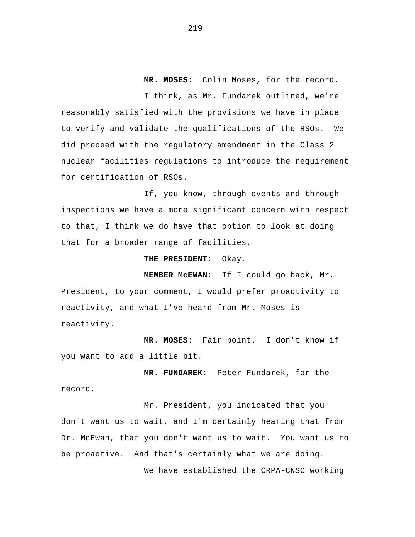**MR. MOSES:** Colin Moses, for the record.

I think, as Mr. Fundarek outlined, we're reasonably satisfied with the provisions we have in place to verify and validate the qualifications of the RSOs. We did proceed with the regulatory amendment in the Class 2 nuclear facilities regulations to introduce the requirement for certification of RSOs.

If, you know, through events and through inspections we have a more significant concern with respect to that, I think we do have that option to look at doing that for a broader range of facilities.

**THE PRESIDENT:** Okay.

**MEMBER McEWAN:** If I could go back, Mr. President, to your comment, I would prefer proactivity to reactivity, and what I've heard from Mr. Moses is reactivity.

**MR. MOSES:** Fair point. I don't know if you want to add a little bit.

**MR. FUNDAREK:** Peter Fundarek, for the record.

Mr. President, you indicated that you don't want us to wait, and I'm certainly hearing that from Dr. McEwan, that you don't want us to wait. You want us to be proactive. And that's certainly what we are doing.

We have established the CRPA-CNSC working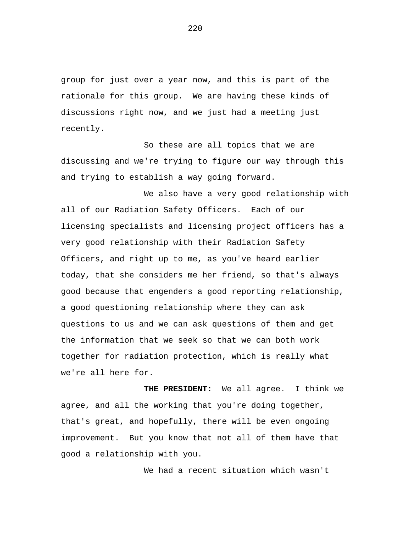group for just over a year now, and this is part of the rationale for this group. We are having these kinds of discussions right now, and we just had a meeting just recently.

So these are all topics that we are discussing and we're trying to figure our way through this and trying to establish a way going forward.

We also have a very good relationship with all of our Radiation Safety Officers. Each of our licensing specialists and licensing project officers has a very good relationship with their Radiation Safety Officers, and right up to me, as you've heard earlier today, that she considers me her friend, so that's always good because that engenders a good reporting relationship, a good questioning relationship where they can ask questions to us and we can ask questions of them and get the information that we seek so that we can both work together for radiation protection, which is really what we're all here for.

**THE PRESIDENT:** We all agree. I think we agree, and all the working that you're doing together, that's great, and hopefully, there will be even ongoing improvement. But you know that not all of them have that good a relationship with you.

We had a recent situation which wasn't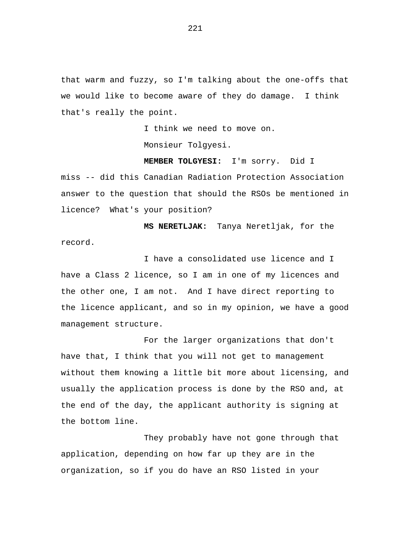that warm and fuzzy, so I'm talking about the one-offs that we would like to become aware of they do damage. I think that's really the point.

I think we need to move on.

Monsieur Tolgyesi.

**MEMBER TOLGYESI:** I'm sorry. Did I miss -- did this Canadian Radiation Protection Association answer to the question that should the RSOs be mentioned in licence? What's your position?

**MS NERETLJAK:** Tanya Neretljak, for the record.

I have a consolidated use licence and I have a Class 2 licence, so I am in one of my licences and the other one, I am not. And I have direct reporting to the licence applicant, and so in my opinion, we have a good management structure.

For the larger organizations that don't have that, I think that you will not get to management without them knowing a little bit more about licensing, and usually the application process is done by the RSO and, at the end of the day, the applicant authority is signing at the bottom line.

They probably have not gone through that application, depending on how far up they are in the organization, so if you do have an RSO listed in your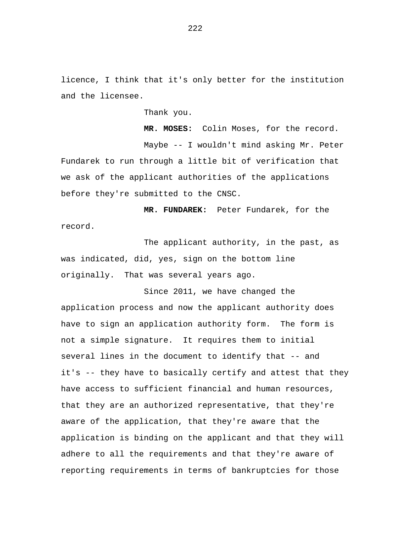licence, I think that it's only better for the institution and the licensee.

Thank you.

**MR. MOSES:** Colin Moses, for the record. Maybe -- I wouldn't mind asking Mr. Peter Fundarek to run through a little bit of verification that we ask of the applicant authorities of the applications before they're submitted to the CNSC.

**MR. FUNDAREK:** Peter Fundarek, for the record.

The applicant authority, in the past, as was indicated, did, yes, sign on the bottom line originally. That was several years ago.

Since 2011, we have changed the application process and now the applicant authority does have to sign an application authority form. The form is not a simple signature. It requires them to initial several lines in the document to identify that -- and it's -- they have to basically certify and attest that they have access to sufficient financial and human resources, that they are an authorized representative, that they're aware of the application, that they're aware that the application is binding on the applicant and that they will adhere to all the requirements and that they're aware of reporting requirements in terms of bankruptcies for those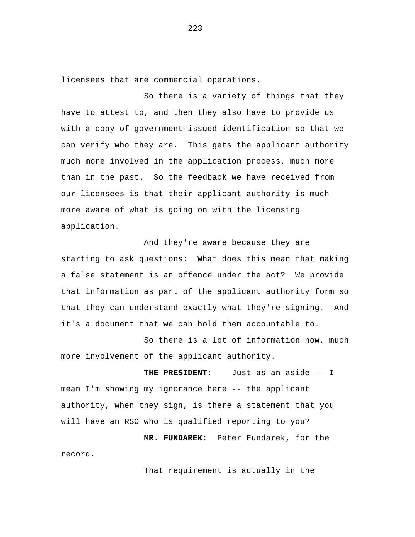licensees that are commercial operations.

So there is a variety of things that they have to attest to, and then they also have to provide us with a copy of government-issued identification so that we can verify who they are. This gets the applicant authority much more involved in the application process, much more than in the past. So the feedback we have received from our licensees is that their applicant authority is much more aware of what is going on with the licensing application.

And they're aware because they are starting to ask questions: What does this mean that making a false statement is an offence under the act? We provide that information as part of the applicant authority form so that they can understand exactly what they're signing. And it's a document that we can hold them accountable to.

So there is a lot of information now, much more involvement of the applicant authority.

**THE PRESIDENT:** Just as an aside -- I mean I'm showing my ignorance here -- the applicant authority, when they sign, is there a statement that you will have an RSO who is qualified reporting to you?

**MR. FUNDAREK:** Peter Fundarek, for the record.

That requirement is actually in the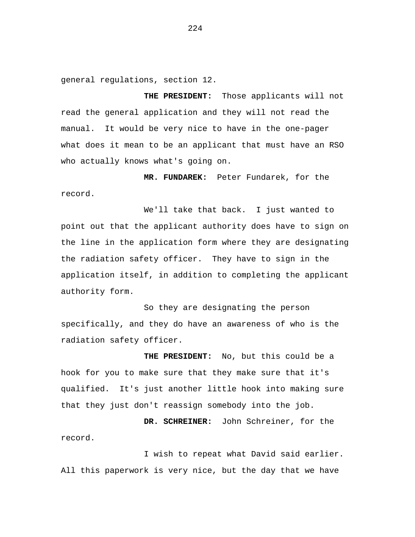general regulations, section 12.

**THE PRESIDENT:** Those applicants will not read the general application and they will not read the manual. It would be very nice to have in the one-pager what does it mean to be an applicant that must have an RSO who actually knows what's going on.

**MR. FUNDAREK:** Peter Fundarek, for the record.

We'll take that back. I just wanted to point out that the applicant authority does have to sign on the line in the application form where they are designating the radiation safety officer. They have to sign in the application itself, in addition to completing the applicant authority form.

So they are designating the person specifically, and they do have an awareness of who is the radiation safety officer.

**THE PRESIDENT:** No, but this could be a hook for you to make sure that they make sure that it's qualified. It's just another little hook into making sure that they just don't reassign somebody into the job.

**DR. SCHREINER:** John Schreiner, for the record.

I wish to repeat what David said earlier. All this paperwork is very nice, but the day that we have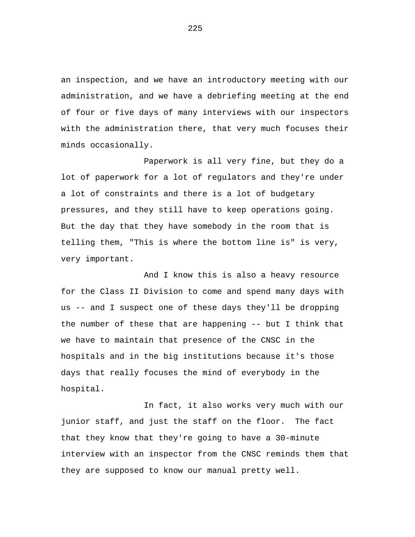an inspection, and we have an introductory meeting with our administration, and we have a debriefing meeting at the end of four or five days of many interviews with our inspectors with the administration there, that very much focuses their minds occasionally.

Paperwork is all very fine, but they do a lot of paperwork for a lot of regulators and they're under a lot of constraints and there is a lot of budgetary pressures, and they still have to keep operations going. But the day that they have somebody in the room that is telling them, "This is where the bottom line is" is very, very important.

And I know this is also a heavy resource for the Class II Division to come and spend many days with us -- and I suspect one of these days they'll be dropping the number of these that are happening -- but I think that we have to maintain that presence of the CNSC in the hospitals and in the big institutions because it's those days that really focuses the mind of everybody in the hospital.

In fact, it also works very much with our junior staff, and just the staff on the floor. The fact that they know that they're going to have a 30-minute interview with an inspector from the CNSC reminds them that they are supposed to know our manual pretty well.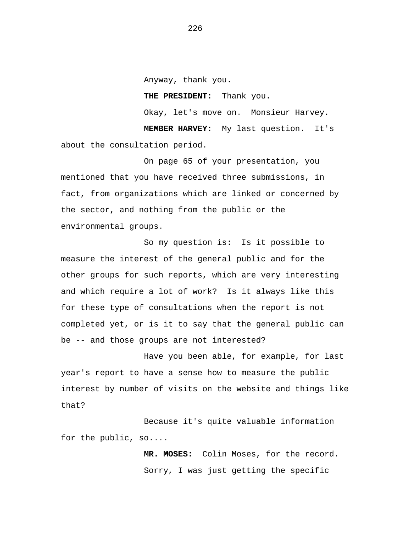Anyway, thank you. **THE PRESIDENT:** Thank you. Okay, let's move on. Monsieur Harvey. **MEMBER HARVEY:** My last question. It's about the consultation period.

On page 65 of your presentation, you mentioned that you have received three submissions, in fact, from organizations which are linked or concerned by the sector, and nothing from the public or the environmental groups.

So my question is: Is it possible to measure the interest of the general public and for the other groups for such reports, which are very interesting and which require a lot of work? Is it always like this for these type of consultations when the report is not completed yet, or is it to say that the general public can be -- and those groups are not interested?

Have you been able, for example, for last year's report to have a sense how to measure the public interest by number of visits on the website and things like that?

Because it's quite valuable information for the public, so....

> **MR. MOSES:** Colin Moses, for the record. Sorry, I was just getting the specific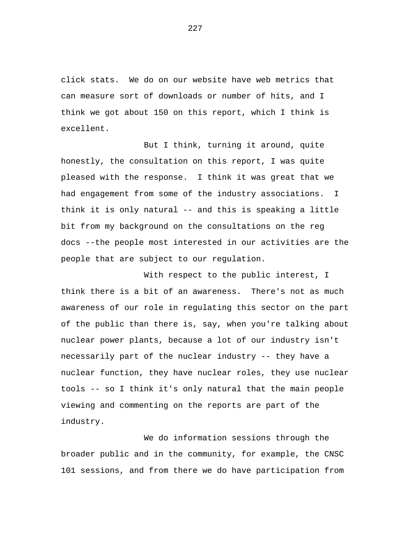click stats. We do on our website have web metrics that can measure sort of downloads or number of hits, and I think we got about 150 on this report, which I think is excellent.

But I think, turning it around, quite honestly, the consultation on this report, I was quite pleased with the response. I think it was great that we had engagement from some of the industry associations. I think it is only natural -- and this is speaking a little bit from my background on the consultations on the reg docs --the people most interested in our activities are the people that are subject to our regulation.

With respect to the public interest, I think there is a bit of an awareness. There's not as much awareness of our role in regulating this sector on the part of the public than there is, say, when you're talking about nuclear power plants, because a lot of our industry isn't necessarily part of the nuclear industry -- they have a nuclear function, they have nuclear roles, they use nuclear tools -- so I think it's only natural that the main people viewing and commenting on the reports are part of the industry.

We do information sessions through the broader public and in the community, for example, the CNSC 101 sessions, and from there we do have participation from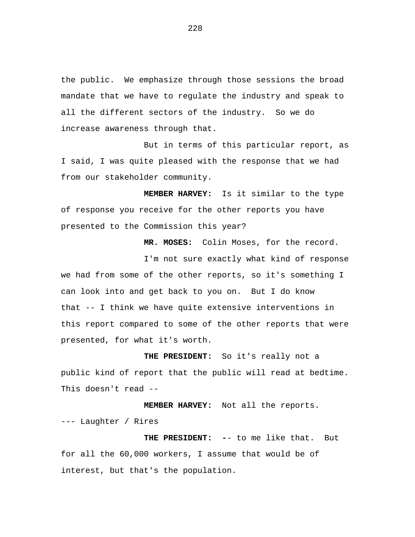the public. We emphasize through those sessions the broad mandate that we have to regulate the industry and speak to all the different sectors of the industry. So we do increase awareness through that.

But in terms of this particular report, as I said, I was quite pleased with the response that we had from our stakeholder community.

**MEMBER HARVEY:** Is it similar to the type of response you receive for the other reports you have presented to the Commission this year?

**MR. MOSES:** Colin Moses, for the record.

I'm not sure exactly what kind of response we had from some of the other reports, so it's something I can look into and get back to you on. But I do know that -- I think we have quite extensive interventions in this report compared to some of the other reports that were presented, for what it's worth.

**THE PRESIDENT:** So it's really not a public kind of report that the public will read at bedtime. This doesn't read --

**MEMBER HARVEY:** Not all the reports. --- Laughter / Rires

**THE PRESIDENT: -**- to me like that. But for all the 60,000 workers, I assume that would be of interest, but that's the population.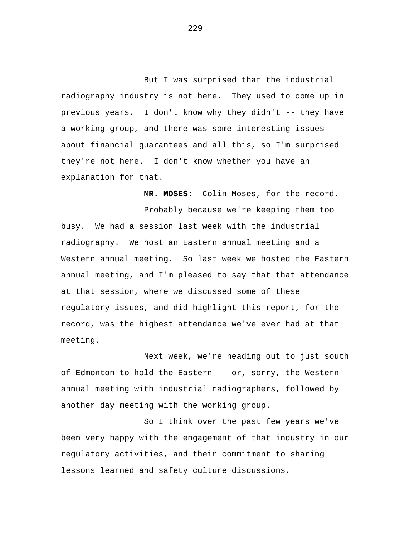But I was surprised that the industrial radiography industry is not here. They used to come up in previous years. I don't know why they didn't -- they have a working group, and there was some interesting issues about financial guarantees and all this, so I'm surprised they're not here. I don't know whether you have an explanation for that.

**MR. MOSES:** Colin Moses, for the record. Probably because we're keeping them too busy. We had a session last week with the industrial radiography. We host an Eastern annual meeting and a Western annual meeting. So last week we hosted the Eastern annual meeting, and I'm pleased to say that that attendance at that session, where we discussed some of these regulatory issues, and did highlight this report, for the record, was the highest attendance we've ever had at that meeting.

Next week, we're heading out to just south of Edmonton to hold the Eastern -- or, sorry, the Western annual meeting with industrial radiographers, followed by another day meeting with the working group.

So I think over the past few years we've been very happy with the engagement of that industry in our regulatory activities, and their commitment to sharing lessons learned and safety culture discussions.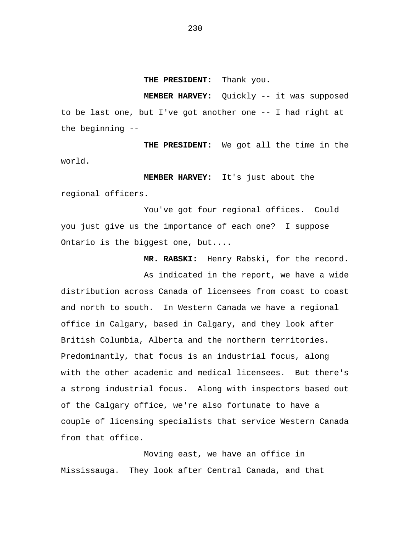**THE PRESIDENT:** Thank you.

**MEMBER HARVEY:** Quickly -- it was supposed to be last one, but I've got another one -- I had right at the beginning --

**THE PRESIDENT:** We got all the time in the world.

**MEMBER HARVEY:** It's just about the regional officers.

You've got four regional offices. Could you just give us the importance of each one? I suppose Ontario is the biggest one, but....

**MR. RABSKI:** Henry Rabski, for the record.

As indicated in the report, we have a wide distribution across Canada of licensees from coast to coast and north to south. In Western Canada we have a regional office in Calgary, based in Calgary, and they look after British Columbia, Alberta and the northern territories. Predominantly, that focus is an industrial focus, along with the other academic and medical licensees. But there's a strong industrial focus. Along with inspectors based out of the Calgary office, we're also fortunate to have a couple of licensing specialists that service Western Canada from that office.

Moving east, we have an office in Mississauga. They look after Central Canada, and that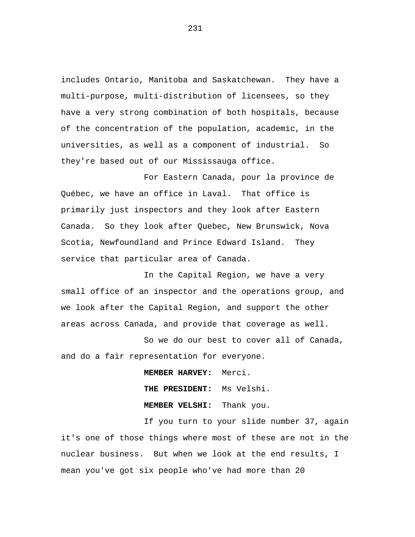includes Ontario, Manitoba and Saskatchewan. They have a multi-purpose, multi-distribution of licensees, so they have a very strong combination of both hospitals, because of the concentration of the population, academic, in the universities, as well as a component of industrial. So they're based out of our Mississauga office.

For Eastern Canada, pour la province de Québec, we have an office in Laval. That office is primarily just inspectors and they look after Eastern Canada. So they look after Quebec, New Brunswick, Nova Scotia, Newfoundland and Prince Edward Island. They service that particular area of Canada.

In the Capital Region, we have a very small office of an inspector and the operations group, and we look after the Capital Region, and support the other areas across Canada, and provide that coverage as well.

So we do our best to cover all of Canada, and do a fair representation for everyone.

> **MEMBER HARVEY:** Merci. **THE PRESIDENT:** Ms Velshi. **MEMBER VELSHI:** Thank you.

If you turn to your slide number 37, again it's one of those things where most of these are not in the nuclear business. But when we look at the end results, I mean you've got six people who've had more than 20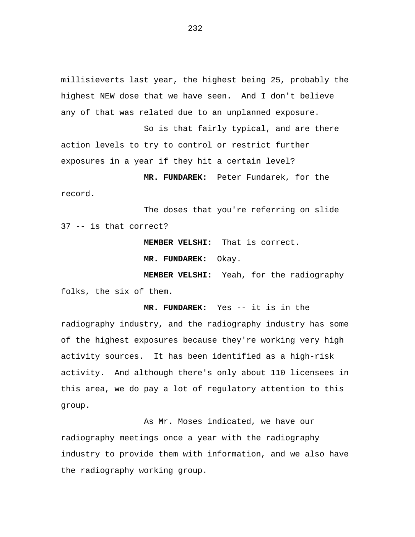millisieverts last year, the highest being 25, probably the highest NEW dose that we have seen. And I don't believe any of that was related due to an unplanned exposure.

So is that fairly typical, and are there action levels to try to control or restrict further exposures in a year if they hit a certain level?

**MR. FUNDAREK:** Peter Fundarek, for the record.

The doses that you're referring on slide 37 -- is that correct?

**MEMBER VELSHI:** That is correct.

**MR. FUNDAREK:** Okay.

**MEMBER VELSHI:** Yeah, for the radiography folks, the six of them.

**MR. FUNDAREK:** Yes -- it is in the radiography industry, and the radiography industry has some of the highest exposures because they're working very high activity sources. It has been identified as a high-risk activity. And although there's only about 110 licensees in this area, we do pay a lot of regulatory attention to this group.

As Mr. Moses indicated, we have our radiography meetings once a year with the radiography industry to provide them with information, and we also have the radiography working group.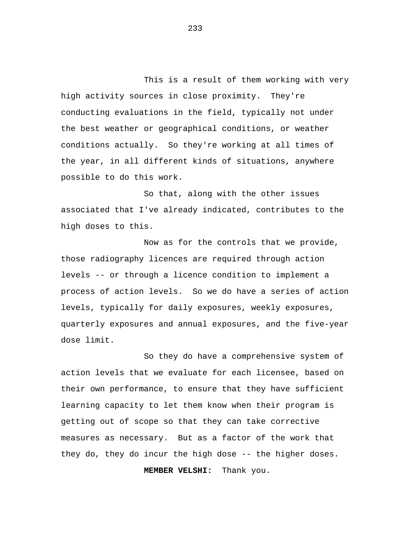This is a result of them working with very high activity sources in close proximity. They're conducting evaluations in the field, typically not under the best weather or geographical conditions, or weather conditions actually. So they're working at all times of the year, in all different kinds of situations, anywhere possible to do this work.

So that, along with the other issues associated that I've already indicated, contributes to the high doses to this.

Now as for the controls that we provide, those radiography licences are required through action levels -- or through a licence condition to implement a process of action levels. So we do have a series of action levels, typically for daily exposures, weekly exposures, quarterly exposures and annual exposures, and the five-year dose limit.

So they do have a comprehensive system of action levels that we evaluate for each licensee, based on their own performance, to ensure that they have sufficient learning capacity to let them know when their program is getting out of scope so that they can take corrective measures as necessary. But as a factor of the work that they do, they do incur the high dose -- the higher doses.

**MEMBER VELSHI:** Thank you.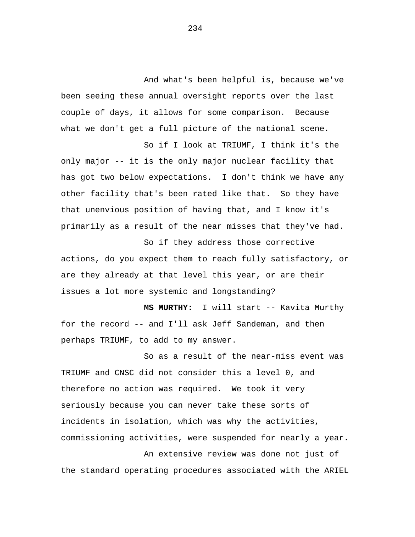And what's been helpful is, because we've been seeing these annual oversight reports over the last couple of days, it allows for some comparison. Because what we don't get a full picture of the national scene.

So if I look at TRIUMF, I think it's the only major -- it is the only major nuclear facility that has got two below expectations. I don't think we have any other facility that's been rated like that. So they have that unenvious position of having that, and I know it's primarily as a result of the near misses that they've had.

So if they address those corrective actions, do you expect them to reach fully satisfactory, or are they already at that level this year, or are their issues a lot more systemic and longstanding?

**MS MURTHY:** I will start -- Kavita Murthy for the record -- and I'll ask Jeff Sandeman, and then perhaps TRIUMF, to add to my answer.

So as a result of the near-miss event was TRIUMF and CNSC did not consider this a level 0, and therefore no action was required. We took it very seriously because you can never take these sorts of incidents in isolation, which was why the activities, commissioning activities, were suspended for nearly a year.

An extensive review was done not just of the standard operating procedures associated with the ARIEL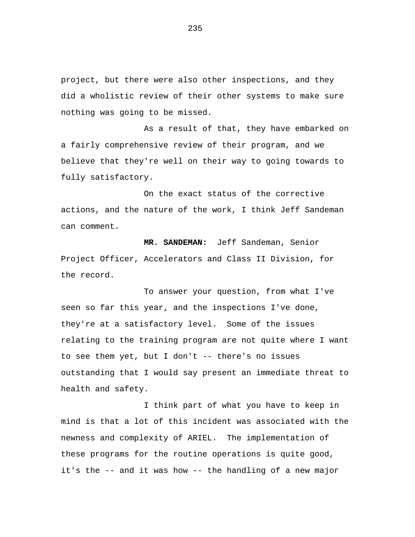project, but there were also other inspections, and they did a wholistic review of their other systems to make sure nothing was going to be missed.

As a result of that, they have embarked on a fairly comprehensive review of their program, and we believe that they're well on their way to going towards to fully satisfactory.

On the exact status of the corrective actions, and the nature of the work, I think Jeff Sandeman can comment.

**MR. SANDEMAN:** Jeff Sandeman, Senior Project Officer, Accelerators and Class II Division, for the record.

To answer your question, from what I've seen so far this year, and the inspections I've done, they're at a satisfactory level. Some of the issues relating to the training program are not quite where I want to see them yet, but I don't -- there's no issues outstanding that I would say present an immediate threat to health and safety.

I think part of what you have to keep in mind is that a lot of this incident was associated with the newness and complexity of ARIEL. The implementation of these programs for the routine operations is quite good, it's the -- and it was how -- the handling of a new major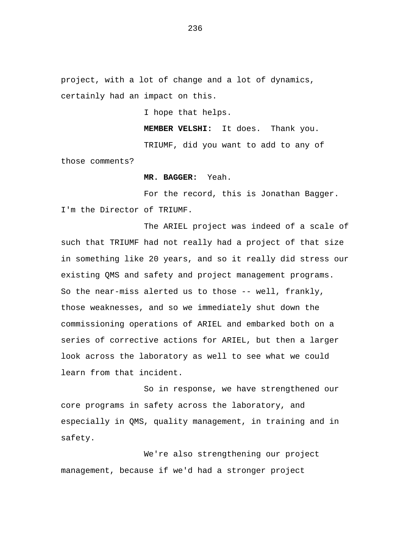project, with a lot of change and a lot of dynamics, certainly had an impact on this.

I hope that helps.

**MEMBER VELSHI:** It does. Thank you.

TRIUMF, did you want to add to any of those comments?

**MR. BAGGER:** Yeah.

For the record, this is Jonathan Bagger. I'm the Director of TRIUMF.

The ARIEL project was indeed of a scale of such that TRIUMF had not really had a project of that size in something like 20 years, and so it really did stress our existing QMS and safety and project management programs. So the near-miss alerted us to those -- well, frankly, those weaknesses, and so we immediately shut down the commissioning operations of ARIEL and embarked both on a series of corrective actions for ARIEL, but then a larger look across the laboratory as well to see what we could learn from that incident.

So in response, we have strengthened our core programs in safety across the laboratory, and especially in QMS, quality management, in training and in safety.

We're also strengthening our project management, because if we'd had a stronger project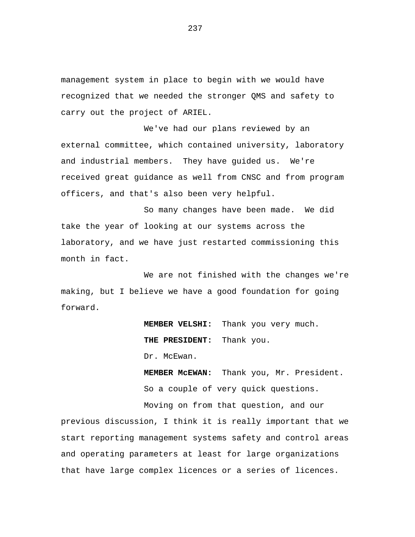management system in place to begin with we would have recognized that we needed the stronger QMS and safety to carry out the project of ARIEL.

We've had our plans reviewed by an external committee, which contained university, laboratory and industrial members. They have guided us. We're received great guidance as well from CNSC and from program officers, and that's also been very helpful.

So many changes have been made. We did take the year of looking at our systems across the laboratory, and we have just restarted commissioning this month in fact.

We are not finished with the changes we're making, but I believe we have a good foundation for going forward.

> **MEMBER VELSHI:** Thank you very much. **THE PRESIDENT:** Thank you. Dr. McEwan.

**MEMBER McEWAN:** Thank you, Mr. President. So a couple of very quick questions.

Moving on from that question, and our previous discussion, I think it is really important that we start reporting management systems safety and control areas and operating parameters at least for large organizations that have large complex licences or a series of licences.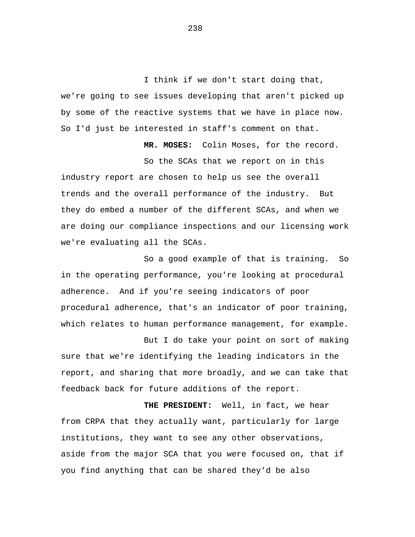I think if we don't start doing that, we're going to see issues developing that aren't picked up by some of the reactive systems that we have in place now. So I'd just be interested in staff's comment on that.

**MR. MOSES:** Colin Moses, for the record.

So the SCAs that we report on in this industry report are chosen to help us see the overall trends and the overall performance of the industry. But they do embed a number of the different SCAs, and when we are doing our compliance inspections and our licensing work we're evaluating all the SCAs.

So a good example of that is training. So in the operating performance, you're looking at procedural adherence. And if you're seeing indicators of poor procedural adherence, that's an indicator of poor training, which relates to human performance management, for example.

But I do take your point on sort of making sure that we're identifying the leading indicators in the report, and sharing that more broadly, and we can take that feedback back for future additions of the report.

**THE PRESIDENT:** Well, in fact, we hear from CRPA that they actually want, particularly for large institutions, they want to see any other observations, aside from the major SCA that you were focused on, that if you find anything that can be shared they'd be also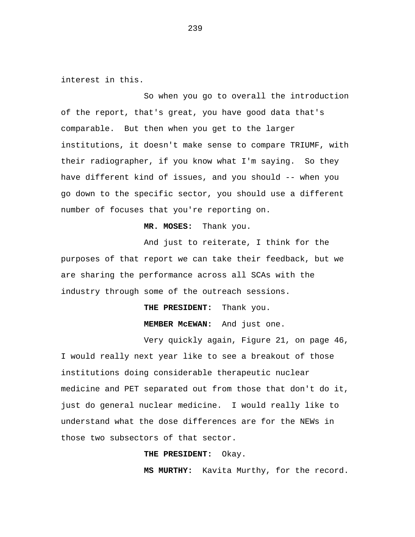interest in this.

So when you go to overall the introduction of the report, that's great, you have good data that's comparable. But then when you get to the larger institutions, it doesn't make sense to compare TRIUMF, with their radiographer, if you know what I'm saying. So they have different kind of issues, and you should -- when you go down to the specific sector, you should use a different number of focuses that you're reporting on.

## **MR. MOSES:** Thank you.

And just to reiterate, I think for the purposes of that report we can take their feedback, but we are sharing the performance across all SCAs with the industry through some of the outreach sessions.

**THE PRESIDENT:** Thank you.

**MEMBER McEWAN:** And just one.

Very quickly again, Figure 21, on page 46, I would really next year like to see a breakout of those institutions doing considerable therapeutic nuclear medicine and PET separated out from those that don't do it, just do general nuclear medicine. I would really like to understand what the dose differences are for the NEWs in those two subsectors of that sector.

## **THE PRESIDENT:** Okay.

**MS MURTHY:** Kavita Murthy, for the record.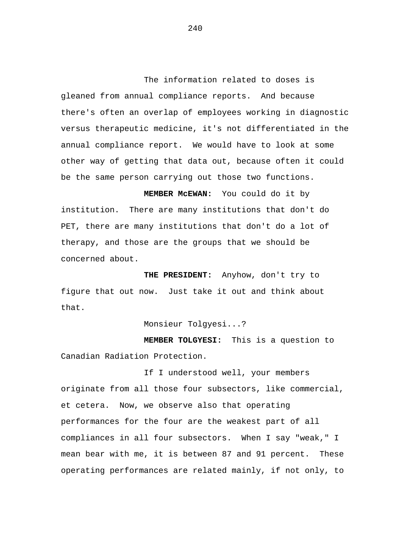The information related to doses is gleaned from annual compliance reports. And because there's often an overlap of employees working in diagnostic versus therapeutic medicine, it's not differentiated in the annual compliance report. We would have to look at some other way of getting that data out, because often it could be the same person carrying out those two functions.

**MEMBER McEWAN:** You could do it by institution. There are many institutions that don't do PET, there are many institutions that don't do a lot of therapy, and those are the groups that we should be concerned about.

 **THE PRESIDENT:** Anyhow, don't try to figure that out now. Just take it out and think about that.

Monsieur Tolgyesi...?

 **MEMBER TOLGYESI:** This is a question to Canadian Radiation Protection.

If I understood well, your members originate from all those four subsectors, like commercial, et cetera. Now, we observe also that operating performances for the four are the weakest part of all compliances in all four subsectors. When I say "weak," I mean bear with me, it is between 87 and 91 percent. These operating performances are related mainly, if not only, to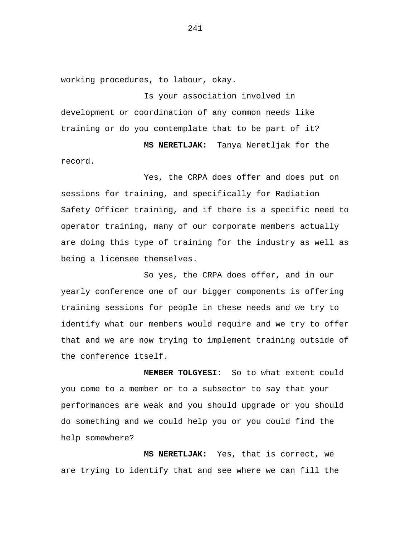working procedures, to labour, okay.

Is your association involved in development or coordination of any common needs like training or do you contemplate that to be part of it?

 **MS NERETLJAK:** Tanya Neretljak for the record.

Yes, the CRPA does offer and does put on sessions for training, and specifically for Radiation Safety Officer training, and if there is a specific need to operator training, many of our corporate members actually are doing this type of training for the industry as well as being a licensee themselves.

So yes, the CRPA does offer, and in our yearly conference one of our bigger components is offering training sessions for people in these needs and we try to identify what our members would require and we try to offer that and we are now trying to implement training outside of the conference itself.

 **MEMBER TOLGYESI:** So to what extent could you come to a member or to a subsector to say that your performances are weak and you should upgrade or you should do something and we could help you or you could find the help somewhere?

 **MS NERETLJAK:** Yes, that is correct, we are trying to identify that and see where we can fill the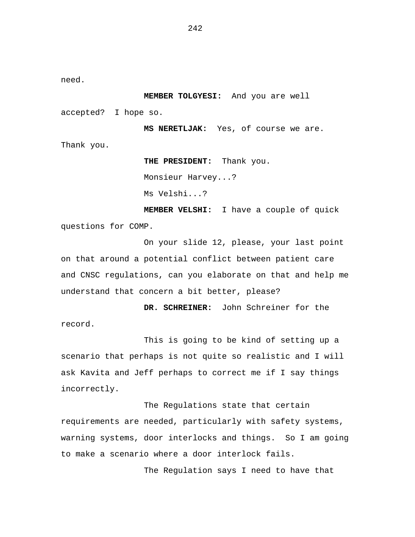need.

 **MEMBER TOLGYESI:** And you are well

accepted? I hope so.

 **MS NERETLJAK:** Yes, of course we are. Thank you.

> **THE PRESIDENT:** Thank you. Monsieur Harvey...? Ms Velshi...?  **MEMBER VELSHI:** I have a couple of quick

questions for COMP.

On your slide 12, please, your last point on that around a potential conflict between patient care and CNSC regulations, can you elaborate on that and help me understand that concern a bit better, please?

 **DR. SCHREINER:** John Schreiner for the record.

This is going to be kind of setting up a scenario that perhaps is not quite so realistic and I will ask Kavita and Jeff perhaps to correct me if I say things incorrectly.

The Regulations state that certain requirements are needed, particularly with safety systems, warning systems, door interlocks and things. So I am going to make a scenario where a door interlock fails.

The Regulation says I need to have that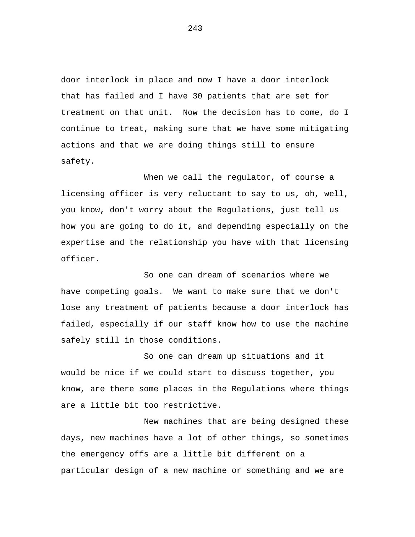door interlock in place and now I have a door interlock that has failed and I have 30 patients that are set for treatment on that unit. Now the decision has to come, do I continue to treat, making sure that we have some mitigating actions and that we are doing things still to ensure safety.

When we call the regulator, of course a licensing officer is very reluctant to say to us, oh, well, you know, don't worry about the Regulations, just tell us how you are going to do it, and depending especially on the expertise and the relationship you have with that licensing officer.

So one can dream of scenarios where we have competing goals. We want to make sure that we don't lose any treatment of patients because a door interlock has failed, especially if our staff know how to use the machine safely still in those conditions.

So one can dream up situations and it would be nice if we could start to discuss together, you know, are there some places in the Regulations where things are a little bit too restrictive.

New machines that are being designed these days, new machines have a lot of other things, so sometimes the emergency offs are a little bit different on a particular design of a new machine or something and we are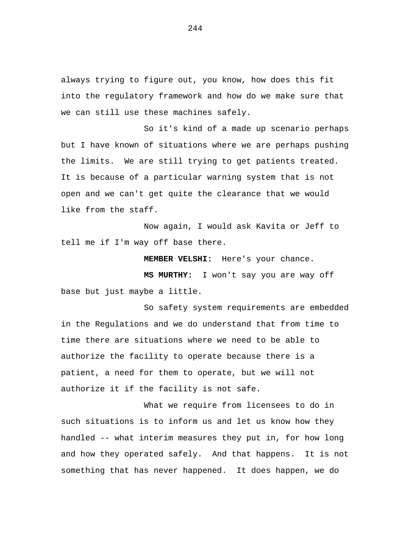always trying to figure out, you know, how does this fit into the regulatory framework and how do we make sure that we can still use these machines safely.

So it's kind of a made up scenario perhaps but I have known of situations where we are perhaps pushing the limits. We are still trying to get patients treated. It is because of a particular warning system that is not open and we can't get quite the clearance that we would like from the staff.

Now again, I would ask Kavita or Jeff to tell me if I'm way off base there.

 **MEMBER VELSHI:** Here's your chance.

 **MS MURTHY:** I won't say you are way off base but just maybe a little.

So safety system requirements are embedded in the Regulations and we do understand that from time to time there are situations where we need to be able to authorize the facility to operate because there is a patient, a need for them to operate, but we will not authorize it if the facility is not safe.

What we require from licensees to do in such situations is to inform us and let us know how they handled -- what interim measures they put in, for how long and how they operated safely. And that happens. It is not something that has never happened. It does happen, we do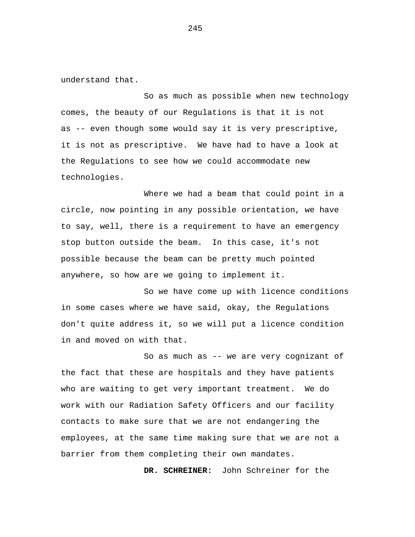understand that.

So as much as possible when new technology comes, the beauty of our Regulations is that it is not as -- even though some would say it is very prescriptive, it is not as prescriptive. We have had to have a look at the Regulations to see how we could accommodate new technologies.

Where we had a beam that could point in a circle, now pointing in any possible orientation, we have to say, well, there is a requirement to have an emergency stop button outside the beam. In this case, it's not possible because the beam can be pretty much pointed anywhere, so how are we going to implement it.

So we have come up with licence conditions in some cases where we have said, okay, the Regulations don't quite address it, so we will put a licence condition in and moved on with that.

So as much as -- we are very cognizant of the fact that these are hospitals and they have patients who are waiting to get very important treatment. We do work with our Radiation Safety Officers and our facility contacts to make sure that we are not endangering the employees, at the same time making sure that we are not a barrier from them completing their own mandates.

 **DR. SCHREINER:** John Schreiner for the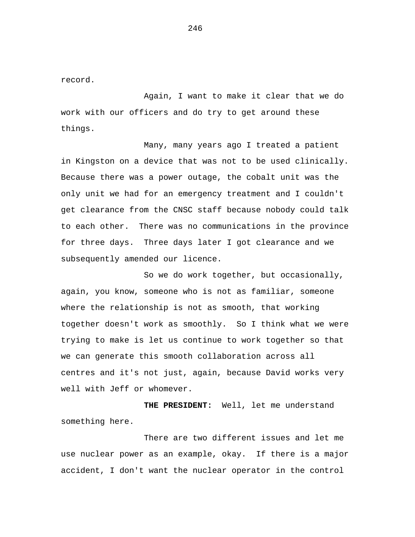record.

Again, I want to make it clear that we do work with our officers and do try to get around these things.

Many, many years ago I treated a patient in Kingston on a device that was not to be used clinically. Because there was a power outage, the cobalt unit was the only unit we had for an emergency treatment and I couldn't get clearance from the CNSC staff because nobody could talk to each other. There was no communications in the province for three days. Three days later I got clearance and we subsequently amended our licence.

So we do work together, but occasionally, again, you know, someone who is not as familiar, someone where the relationship is not as smooth, that working together doesn't work as smoothly. So I think what we were trying to make is let us continue to work together so that we can generate this smooth collaboration across all centres and it's not just, again, because David works very well with Jeff or whomever.

 **THE PRESIDENT:** Well, let me understand something here.

There are two different issues and let me use nuclear power as an example, okay. If there is a major accident, I don't want the nuclear operator in the control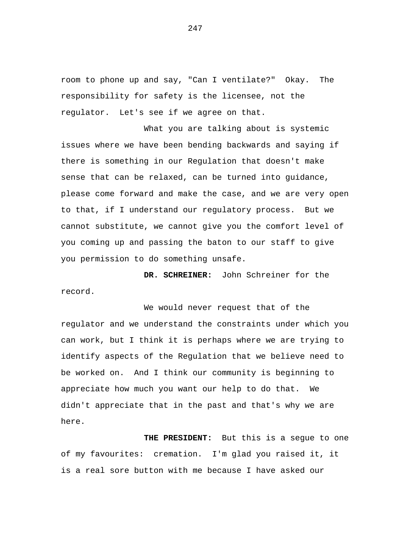room to phone up and say, "Can I ventilate?" Okay. The responsibility for safety is the licensee, not the regulator. Let's see if we agree on that.

What you are talking about is systemic issues where we have been bending backwards and saying if there is something in our Regulation that doesn't make sense that can be relaxed, can be turned into guidance, please come forward and make the case, and we are very open to that, if I understand our regulatory process. But we cannot substitute, we cannot give you the comfort level of you coming up and passing the baton to our staff to give you permission to do something unsafe.

 **DR. SCHREINER:** John Schreiner for the record.

We would never request that of the regulator and we understand the constraints under which you can work, but I think it is perhaps where we are trying to identify aspects of the Regulation that we believe need to be worked on. And I think our community is beginning to appreciate how much you want our help to do that. We didn't appreciate that in the past and that's why we are here.

 **THE PRESIDENT:** But this is a segue to one of my favourites: cremation. I'm glad you raised it, it is a real sore button with me because I have asked our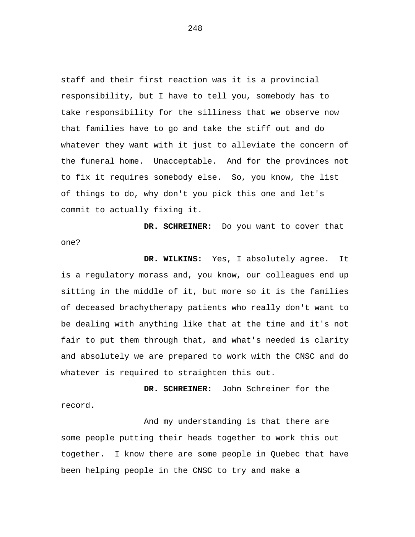staff and their first reaction was it is a provincial responsibility, but I have to tell you, somebody has to take responsibility for the silliness that we observe now that families have to go and take the stiff out and do whatever they want with it just to alleviate the concern of the funeral home. Unacceptable. And for the provinces not to fix it requires somebody else. So, you know, the list of things to do, why don't you pick this one and let's commit to actually fixing it.

**DR. SCHREINER:** Do you want to cover that one?

 **DR. WILKINS:** Yes, I absolutely agree. It is a regulatory morass and, you know, our colleagues end up sitting in the middle of it, but more so it is the families of deceased brachytherapy patients who really don't want to be dealing with anything like that at the time and it's not fair to put them through that, and what's needed is clarity and absolutely we are prepared to work with the CNSC and do whatever is required to straighten this out.

 **DR. SCHREINER:** John Schreiner for the record.

And my understanding is that there are some people putting their heads together to work this out together. I know there are some people in Quebec that have been helping people in the CNSC to try and make a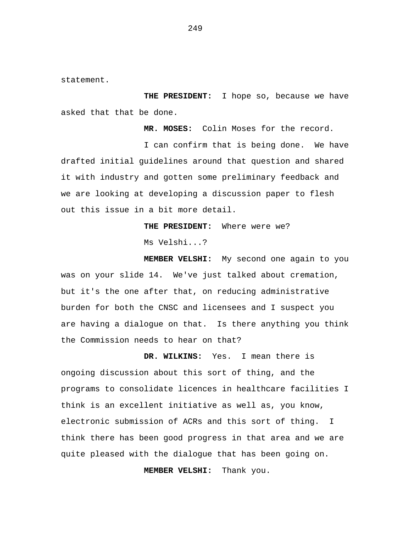statement.

 **THE PRESIDENT:** I hope so, because we have asked that that be done.

 **MR. MOSES:** Colin Moses for the record.

I can confirm that is being done. We have drafted initial guidelines around that question and shared it with industry and gotten some preliminary feedback and we are looking at developing a discussion paper to flesh out this issue in a bit more detail.

> **THE PRESIDENT:** Where were we? Ms Velshi...?

 **MEMBER VELSHI:** My second one again to you was on your slide 14. We've just talked about cremation, but it's the one after that, on reducing administrative burden for both the CNSC and licensees and I suspect you are having a dialogue on that. Is there anything you think the Commission needs to hear on that?

 **DR. WILKINS:** Yes. I mean there is ongoing discussion about this sort of thing, and the programs to consolidate licences in healthcare facilities I think is an excellent initiative as well as, you know, electronic submission of ACRs and this sort of thing. I think there has been good progress in that area and we are quite pleased with the dialogue that has been going on.

 **MEMBER VELSHI:** Thank you.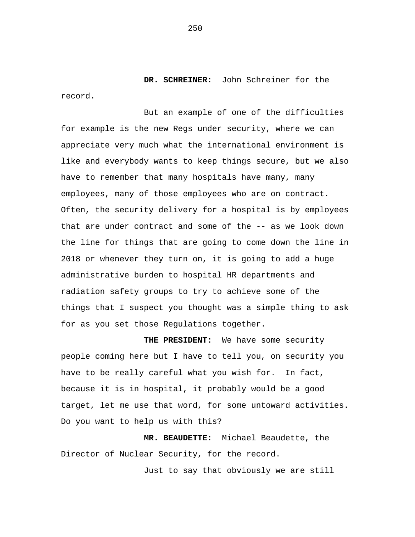**DR. SCHREINER:** John Schreiner for the record.

But an example of one of the difficulties for example is the new Regs under security, where we can appreciate very much what the international environment is like and everybody wants to keep things secure, but we also have to remember that many hospitals have many, many employees, many of those employees who are on contract. Often, the security delivery for a hospital is by employees that are under contract and some of the -- as we look down the line for things that are going to come down the line in 2018 or whenever they turn on, it is going to add a huge administrative burden to hospital HR departments and radiation safety groups to try to achieve some of the things that I suspect you thought was a simple thing to ask for as you set those Regulations together.

 **THE PRESIDENT:** We have some security people coming here but I have to tell you, on security you have to be really careful what you wish for. In fact, because it is in hospital, it probably would be a good target, let me use that word, for some untoward activities. Do you want to help us with this?

 **MR. BEAUDETTE:** Michael Beaudette, the Director of Nuclear Security, for the record.

Just to say that obviously we are still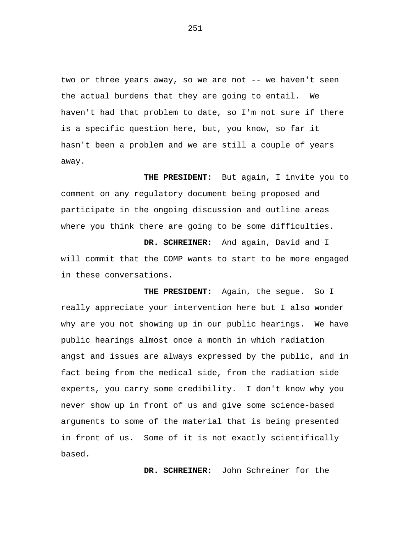two or three years away, so we are not -- we haven't seen the actual burdens that they are going to entail. We haven't had that problem to date, so I'm not sure if there is a specific question here, but, you know, so far it hasn't been a problem and we are still a couple of years away.

 **THE PRESIDENT:** But again, I invite you to comment on any regulatory document being proposed and participate in the ongoing discussion and outline areas where you think there are going to be some difficulties.

 **DR. SCHREINER:** And again, David and I will commit that the COMP wants to start to be more engaged in these conversations.

**THE PRESIDENT:** Again, the segue. So I really appreciate your intervention here but I also wonder why are you not showing up in our public hearings. We have public hearings almost once a month in which radiation angst and issues are always expressed by the public, and in fact being from the medical side, from the radiation side experts, you carry some credibility. I don't know why you never show up in front of us and give some science-based arguments to some of the material that is being presented in front of us. Some of it is not exactly scientifically based.

**DR. SCHREINER:** John Schreiner for the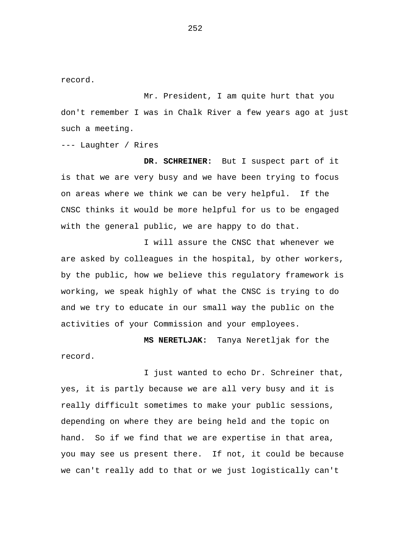record.

Mr. President, I am quite hurt that you don't remember I was in Chalk River a few years ago at just such a meeting.

--- Laughter / Rires

**DR. SCHREINER:** But I suspect part of it is that we are very busy and we have been trying to focus on areas where we think we can be very helpful. If the CNSC thinks it would be more helpful for us to be engaged with the general public, we are happy to do that.

I will assure the CNSC that whenever we are asked by colleagues in the hospital, by other workers, by the public, how we believe this regulatory framework is working, we speak highly of what the CNSC is trying to do and we try to educate in our small way the public on the activities of your Commission and your employees.

**MS NERETLJAK:** Tanya Neretljak for the record.

I just wanted to echo Dr. Schreiner that, yes, it is partly because we are all very busy and it is really difficult sometimes to make your public sessions, depending on where they are being held and the topic on hand. So if we find that we are expertise in that area, you may see us present there. If not, it could be because we can't really add to that or we just logistically can't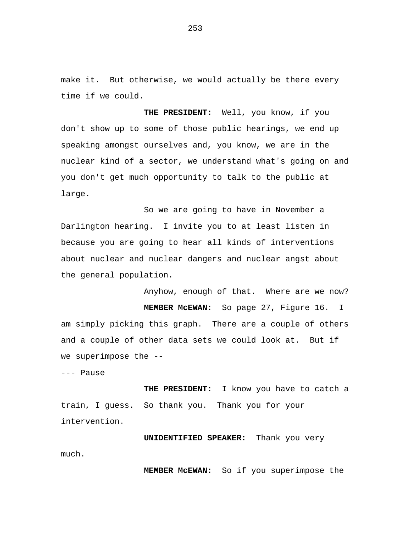make it. But otherwise, we would actually be there every time if we could.

 **THE PRESIDENT:** Well, you know, if you don't show up to some of those public hearings, we end up speaking amongst ourselves and, you know, we are in the nuclear kind of a sector, we understand what's going on and you don't get much opportunity to talk to the public at large.

So we are going to have in November a Darlington hearing. I invite you to at least listen in because you are going to hear all kinds of interventions about nuclear and nuclear dangers and nuclear angst about the general population.

Anyhow, enough of that. Where are we now?  **MEMBER McEWAN:** So page 27, Figure 16. I am simply picking this graph. There are a couple of others and a couple of other data sets we could look at. But if we superimpose the --

--- Pause

 **THE PRESIDENT:** I know you have to catch a train, I guess. So thank you. Thank you for your intervention.

**UNIDENTIFIED SPEAKER:** Thank you very much.

 **MEMBER McEWAN:** So if you superimpose the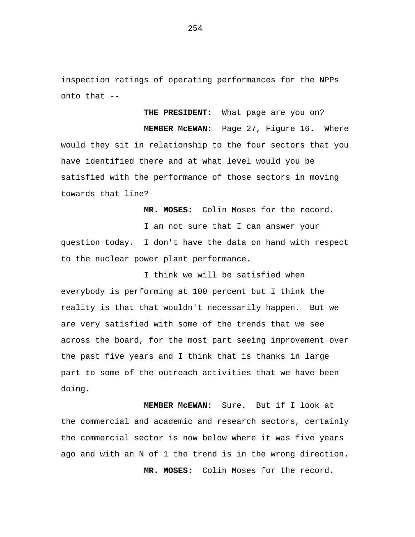inspection ratings of operating performances for the NPPs onto that --

**THE PRESIDENT:** What page are you on?

**MEMBER McEWAN:** Page 27, Figure 16. Where would they sit in relationship to the four sectors that you have identified there and at what level would you be satisfied with the performance of those sectors in moving towards that line?

 **MR. MOSES:** Colin Moses for the record.

I am not sure that I can answer your question today. I don't have the data on hand with respect to the nuclear power plant performance.

I think we will be satisfied when everybody is performing at 100 percent but I think the reality is that that wouldn't necessarily happen. But we are very satisfied with some of the trends that we see across the board, for the most part seeing improvement over the past five years and I think that is thanks in large part to some of the outreach activities that we have been doing.

 **MEMBER McEWAN:** Sure. But if I look at the commercial and academic and research sectors, certainly the commercial sector is now below where it was five years ago and with an N of 1 the trend is in the wrong direction.  **MR. MOSES:** Colin Moses for the record.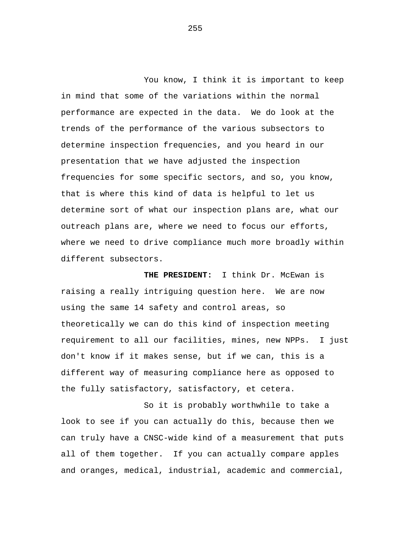You know, I think it is important to keep in mind that some of the variations within the normal performance are expected in the data. We do look at the trends of the performance of the various subsectors to determine inspection frequencies, and you heard in our presentation that we have adjusted the inspection frequencies for some specific sectors, and so, you know, that is where this kind of data is helpful to let us determine sort of what our inspection plans are, what our outreach plans are, where we need to focus our efforts, where we need to drive compliance much more broadly within different subsectors.

 **THE PRESIDENT:** I think Dr. McEwan is raising a really intriguing question here. We are now using the same 14 safety and control areas, so theoretically we can do this kind of inspection meeting requirement to all our facilities, mines, new NPPs. I just don't know if it makes sense, but if we can, this is a different way of measuring compliance here as opposed to the fully satisfactory, satisfactory, et cetera.

So it is probably worthwhile to take a look to see if you can actually do this, because then we can truly have a CNSC-wide kind of a measurement that puts all of them together. If you can actually compare apples and oranges, medical, industrial, academic and commercial,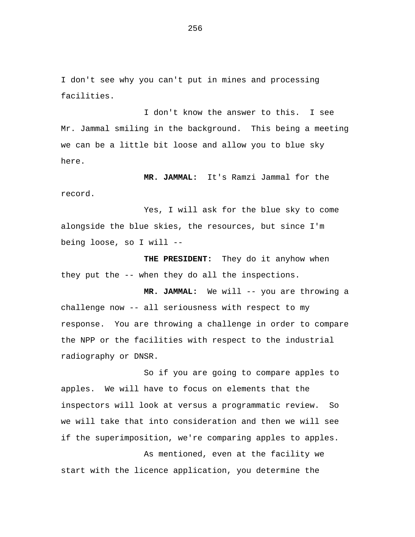I don't see why you can't put in mines and processing facilities.

I don't know the answer to this. I see Mr. Jammal smiling in the background. This being a meeting we can be a little bit loose and allow you to blue sky here.

 **MR. JAMMAL:** It's Ramzi Jammal for the record.

Yes, I will ask for the blue sky to come alongside the blue skies, the resources, but since I'm being loose, so I will -

 **THE PRESIDENT:** They do it anyhow when they put the -- when they do all the inspections.

 **MR. JAMMAL:** We will -- you are throwing a challenge now -- all seriousness with respect to my response. You are throwing a challenge in order to compare the NPP or the facilities with respect to the industrial radiography or DNSR.

So if you are going to compare apples to apples. We will have to focus on elements that the inspectors will look at versus a programmatic review. So we will take that into consideration and then we will see if the superimposition, we're comparing apples to apples.

As mentioned, even at the facility we start with the licence application, you determine the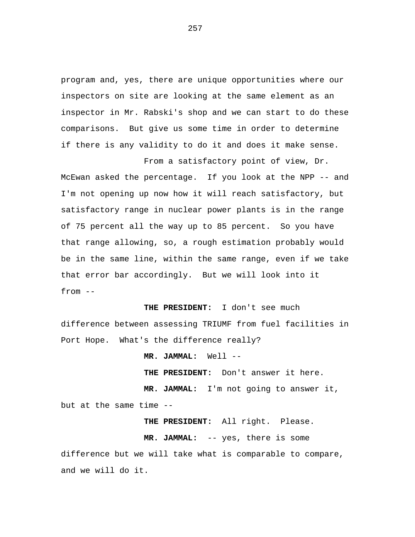program and, yes, there are unique opportunities where our inspectors on site are looking at the same element as an inspector in Mr. Rabski's shop and we can start to do these comparisons. But give us some time in order to determine if there is any validity to do it and does it make sense.

From a satisfactory point of view, Dr. McEwan asked the percentage. If you look at the NPP -- and I'm not opening up now how it will reach satisfactory, but satisfactory range in nuclear power plants is in the range of 75 percent all the way up to 85 percent. So you have that range allowing, so, a rough estimation probably would be in the same line, within the same range, even if we take that error bar accordingly. But we will look into it from --

 **THE PRESIDENT:** I don't see much difference between assessing TRIUMF from fuel facilities in Port Hope. What's the difference really?

 **MR. JAMMAL:** Well -

 **THE PRESIDENT:** Don't answer it here.  **MR. JAMMAL:** I'm not going to answer it,

 **THE PRESIDENT:** All right. Please.

but at the same time -

**MR. JAMMAL:** -- yes, there is some difference but we will take what is comparable to compare, and we will do it.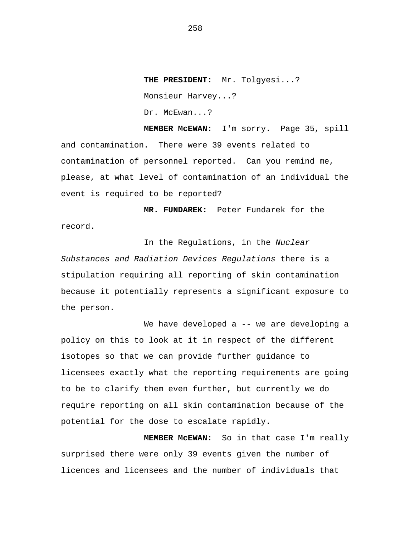**THE PRESIDENT:** Mr. Tolgyesi...? Monsieur Harvey...? Dr. McEwan...?

 **MEMBER McEWAN:** I'm sorry. Page 35, spill and contamination. There were 39 events related to contamination of personnel reported. Can you remind me, please, at what level of contamination of an individual the event is required to be reported?

 **MR. FUNDAREK:** Peter Fundarek for the record.

In the Regulations, in the *Nuclear Substances and Radiation Devices Regulations* there is a stipulation requiring all reporting of skin contamination because it potentially represents a significant exposure to the person.

We have developed a -- we are developing a policy on this to look at it in respect of the different isotopes so that we can provide further guidance to licensees exactly what the reporting requirements are going to be to clarify them even further, but currently we do require reporting on all skin contamination because of the potential for the dose to escalate rapidly.

 **MEMBER McEWAN:** So in that case I'm really surprised there were only 39 events given the number of licences and licensees and the number of individuals that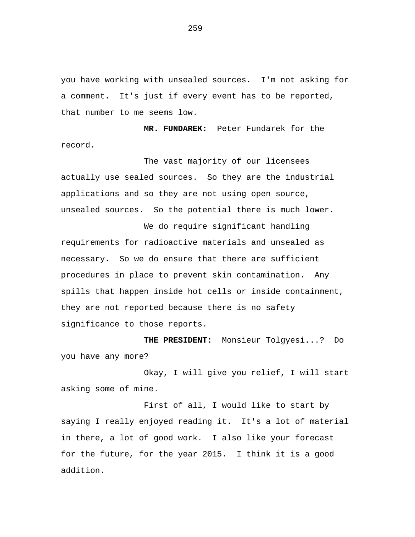you have working with unsealed sources. I'm not asking for a comment. It's just if every event has to be reported, that number to me seems low.

 **MR. FUNDAREK:** Peter Fundarek for the record.

The vast majority of our licensees actually use sealed sources. So they are the industrial applications and so they are not using open source, unsealed sources. So the potential there is much lower.

We do require significant handling requirements for radioactive materials and unsealed as necessary. So we do ensure that there are sufficient procedures in place to prevent skin contamination. Any spills that happen inside hot cells or inside containment, they are not reported because there is no safety significance to those reports.

 **THE PRESIDENT:** Monsieur Tolgyesi...? Do you have any more?

Okay, I will give you relief, I will start asking some of mine.

First of all, I would like to start by saying I really enjoyed reading it. It's a lot of material in there, a lot of good work. I also like your forecast for the future, for the year 2015. I think it is a good addition.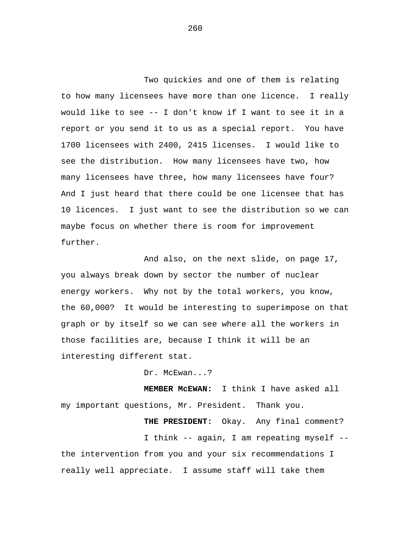Two quickies and one of them is relating to how many licensees have more than one licence. I really would like to see -- I don't know if I want to see it in a report or you send it to us as a special report. You have 1700 licensees with 2400, 2415 licenses. I would like to see the distribution. How many licensees have two, how many licensees have three, how many licensees have four? And I just heard that there could be one licensee that has 10 licences. I just want to see the distribution so we can maybe focus on whether there is room for improvement further.

And also, on the next slide, on page 17, you always break down by sector the number of nuclear energy workers. Why not by the total workers, you know, the 60,000? It would be interesting to superimpose on that graph or by itself so we can see where all the workers in those facilities are, because I think it will be an interesting different stat.

Dr. McEwan...?

 **MEMBER McEWAN:** I think I have asked all my important questions, Mr. President. Thank you.

I think -- again, I am repeating myself - the intervention from you and your six recommendations I really well appreciate. I assume staff will take them

 **THE PRESIDENT:** Okay. Any final comment?